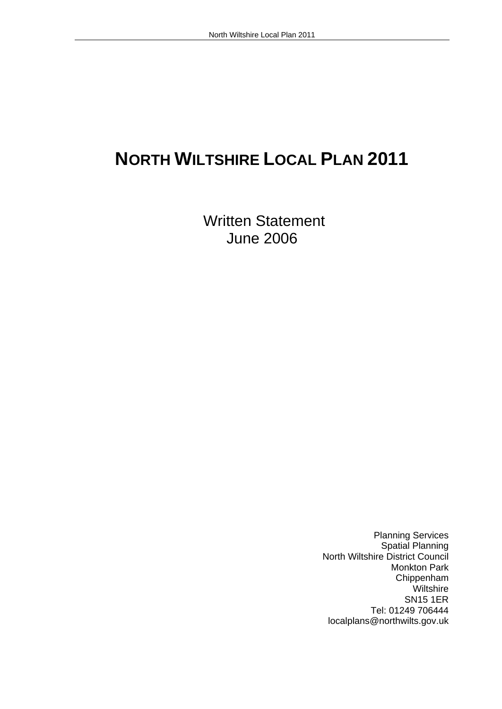# North Wiltshire Local Plan 2011<br> **NORTH WILTSHIRE LOCAL PLAN 2011**

Written Statement<br>June 2006 June 2006 Planning Services

Spatial Planning North Wiltshire District Council Monkton Park Chippenham Wiltshire SN15 1ER Tel: 01249 706444 localplans@northwilts.gov.uk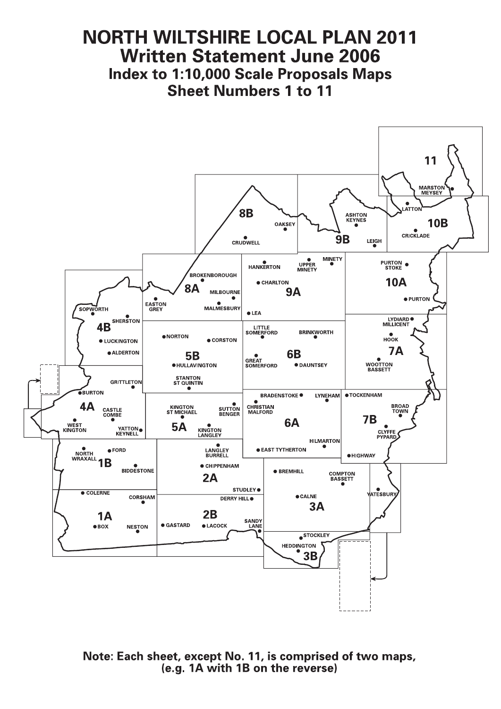# **NORTH WILTSHIRE LOCAL PLAN 2011 Written Statement June 2006 Index to 1:10,000 Scale Proposals Maps Sheet Numbers 1 to 11**



Note: Each sheet, except No. 11, is comprised of two maps, (e.g. 1A with 1B on the reverse)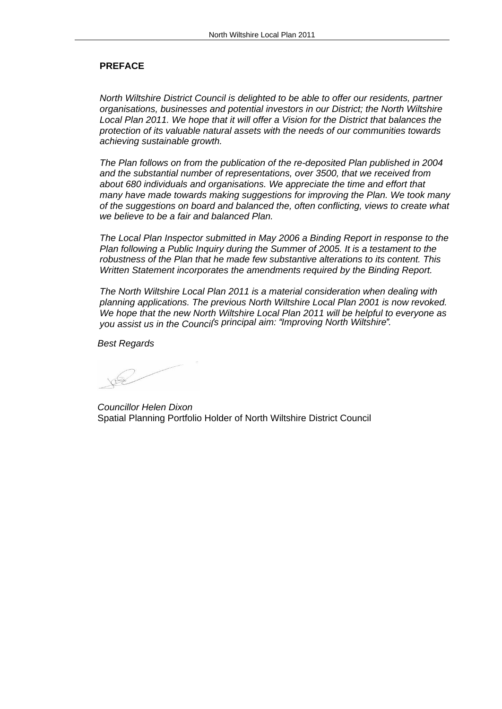## **PREFACE**

North Wiltshire District Council is delighted to be able to offer our residents, partner organisations, businesses and potential investors in our District; the North Wiltshire Local Plan 2011. We hope that it will offer a Vision for the District that balances the protection of its valuable natural assets with the needs of our communities towards achieving sustainable growth.<br>The Plan follows on from the publication of the re-deposited Plan published in 2004

and the substantial number of representations, over 3500, that we received from about 680 individuals and organisations. We appreciate the time and effort that many have made towards making suggestions for improving the Plan. We took many of the suggestions on board and balanced the, often conflicting, views to create what we believe to be a fair and balanced Plan.<br>The Local Plan Inspector submitted in May 2006 a Binding Report in response to the

Plan following a Public Inquiry during the Summer of 2005. It is a testament to the robustness of the Plan that he made few substantive alterations to its content. This Written Statement incorporates the amendments required by the Binding Report.<br>The North Wiltshire Local Plan 2011 is a material consideration when dealing with

planning applications. The previous North Wiltshire Local Plan 2001 is now revoked. We hope that the new North Wiltshire Local Plan 2011 will be helpful to everyone as you assist us in the Council's principal aim: "Improving North Wiltshire". you assist us in the Council<sup>'s</sup> principal aim: "Improving North Wiltshire".<br>Best Regards<br>Councillor Helen Dixon

Spatial Planning Portfolio Holder of North Wiltshire District Council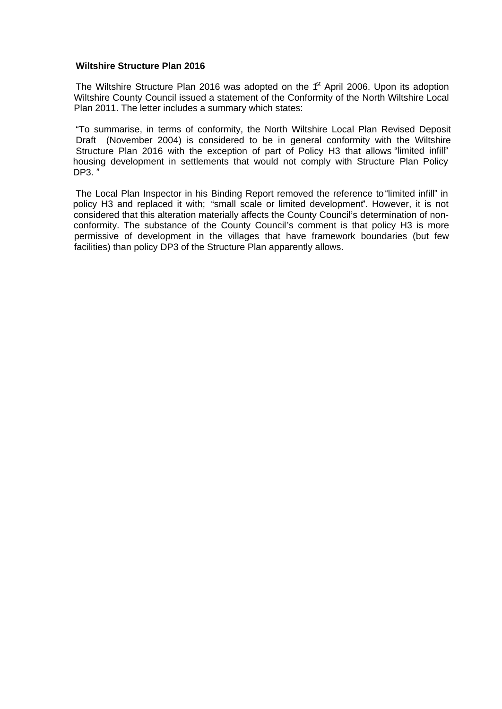## **Wiltshire Structure Plan 2016**

The Wiltshire Structure Plan 2016 was adopted on the  $1<sup>st</sup>$  April 2006. Upon its adoption Wiltshire County Council issued a statement of the Conformity of the North Wiltshire Local Plan 2011. The letter includes a summary which states:<br>"To summarise, in terms of conformity, the North Wiltshire Local Plan Revised Deposit

Draft (November 2004) is considered to be in general conformity with the Wiltshire Structure Plan 2016 with the exception of part of Policy H3 that allows "limited infill" housing development in settlements that would not comply with Structure Plan Policy **DP3.** " Wiltshire Structure Plan 2016<br>
The Wiltshire Structure Plan 2016<br>
Wiltshire County Council issued a statement of the Conformity of the North Wiltshire Local<br>
Plan 2011. The letter includes a summary which states:<br>
"To sum

policy H3 and replaced it with; "small scale or limited development". However, it is not considered that this alteration materially affects the County Council's determination of nonconformity. The substance of the County Council's comment is that policy H3 is more permissive of development in the villages that have framework boundaries (but few facilities) than policy DP3 of the Structure Plan apparently allows.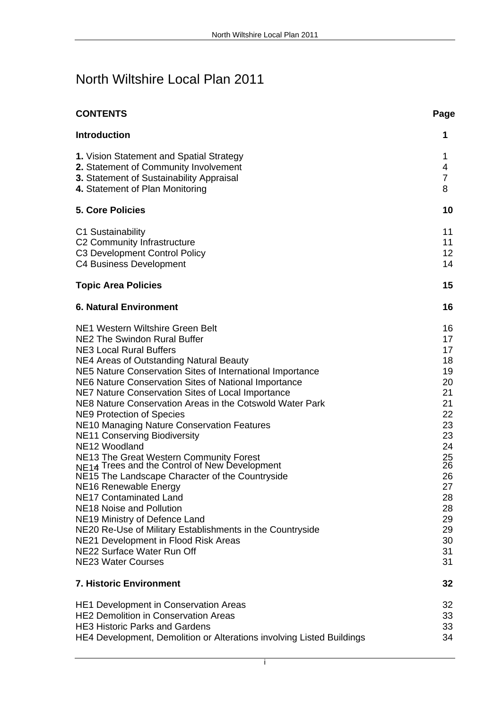# North Wiltshire Local Plan 2011

| <b>CONTENTS</b>                                                                                                                             | Page |
|---------------------------------------------------------------------------------------------------------------------------------------------|------|
| Introduction                                                                                                                                |      |
| 1. Vision Statement and Spatial Strategy                                                                                                    |      |
| 2. Statement of Community Involvement                                                                                                       |      |
| 3. Statement of Sustainability Appraisal                                                                                                    |      |
| 4. Statement of Plan Monitoring                                                                                                             |      |
|                                                                                                                                             |      |
| <b>5. Core Policies</b>                                                                                                                     |      |
| C1 Sustainability                                                                                                                           |      |
| C2 Community Infrastructure                                                                                                                 |      |
| C3 Development Control Policy                                                                                                               |      |
| C4 Business Development                                                                                                                     |      |
| <b>Topic Area Policies</b>                                                                                                                  |      |
| <b>6. Natural Environment</b>                                                                                                               |      |
|                                                                                                                                             |      |
| NE1 Western Wiltshire Green Belt                                                                                                            |      |
| NE2 The Swindon Rural Buffer                                                                                                                |      |
| <b>NE3 Local Rural Buffers</b>                                                                                                              |      |
| NE4 Areas of Outstanding Natural Beauty                                                                                                     |      |
| NE5 Nature Conservation Sites of International Importance                                                                                   |      |
| NE6 Nature Conservation Sites of National Importance                                                                                        |      |
| NE7 Nature Conservation Sites of Local Importance                                                                                           |      |
| NE8 Nature Conservation Areas in the Cotswold Water Park                                                                                    |      |
| <b>NE9 Protection of Species</b>                                                                                                            |      |
| NE10 Managing Nature Conservation Features                                                                                                  |      |
| <b>NE11 Conserving Biodiversity</b>                                                                                                         |      |
| NE12 Woodland                                                                                                                               |      |
| NE13 The Great Western Community Forest<br>NE14 Trees and the Control of New Development<br>NE15 The Landscape Character of the Countryside |      |
|                                                                                                                                             |      |
|                                                                                                                                             | 26   |
| NE16 Renewable Energy                                                                                                                       | 27   |
| NE17 Contaminated Land                                                                                                                      | 28   |
| NE18 Noise and Pollution                                                                                                                    | 28   |
| NE19 Ministry of Defence Land                                                                                                               | 29   |
| NE20 Re-Use of Military Establishments in the Countryside                                                                                   | 29   |
| NE21 Development in Flood Risk Areas                                                                                                        | 30   |
| NE22 Surface Water Run Off                                                                                                                  | 31   |
| NE23 Water Courses                                                                                                                          | 31   |
| 7. Historic Environment                                                                                                                     | 32   |
| HE1 Development in Conservation Areas                                                                                                       | 32   |
| HE2 Demolition in Conservation Areas                                                                                                        | 33   |
| <b>HE3 Historic Parks and Gardens</b>                                                                                                       | 33   |
| HE4 Development, Demolition or Alterations involving Listed Buildings                                                                       | 34   |
|                                                                                                                                             |      |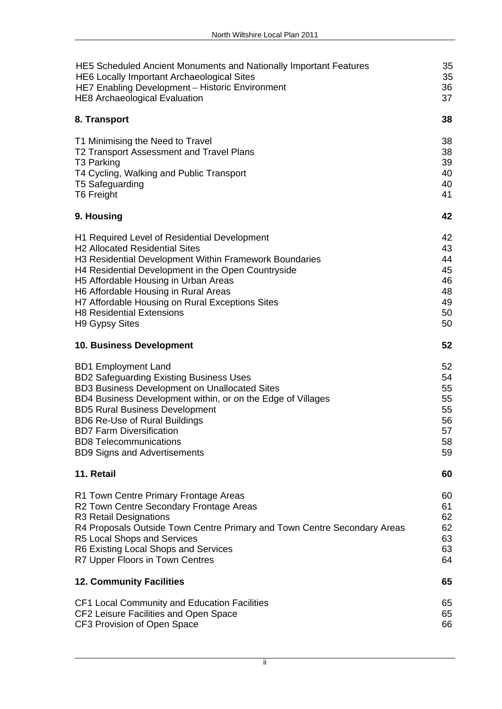| HE5 Scheduled Ancient Monuments and Nationally Important Features        | 35  |  |  |
|--------------------------------------------------------------------------|-----|--|--|
| HE6 Locally Important Archaeological Sites                               | 35  |  |  |
| HE7 Enabling Development - Historic Environment                          | 36  |  |  |
| HE8 Archaeological Evaluation                                            | 37  |  |  |
|                                                                          |     |  |  |
| 8. Transport                                                             | 38  |  |  |
| T1 Minimising the Need to Travel                                         | 38  |  |  |
| T2 Transport Assessment and Travel Plans                                 | 38  |  |  |
| T3 Parking                                                               | 39  |  |  |
| T4 Cycling, Walking and Public Transport                                 |     |  |  |
| T5 Safeguarding                                                          |     |  |  |
| <b>T6 Freight</b>                                                        |     |  |  |
|                                                                          |     |  |  |
| 9. Housing                                                               |     |  |  |
| H1 Required Level of Residential Development                             |     |  |  |
| <b>H2 Allocated Residential Sites</b>                                    | 43. |  |  |
| H3 Residential Development Within Framework Boundaries                   |     |  |  |
| H4 Residential Development in the Open Countryside                       |     |  |  |
| H5 Affordable Housing in Urban Areas                                     |     |  |  |
| H6 Affordable Housing in Rural Areas                                     |     |  |  |
| H7 Affordable Housing on Rural Exceptions Sites                          |     |  |  |
| <b>H8 Residential Extensions</b>                                         | 50  |  |  |
| H9 Gypsy Sites                                                           | 50  |  |  |
| 10. Business Development                                                 | 52  |  |  |
|                                                                          |     |  |  |
| <b>BD1 Employment Land</b>                                               | 52  |  |  |
| <b>BD2 Safeguarding Existing Business Uses</b>                           | 54  |  |  |
| BD3 Business Development on Unallocated Sites                            | 55  |  |  |
| BD4 Business Development within, or on the Edge of Villages              | 55  |  |  |
| <b>BD5 Rural Business Development</b>                                    | 55  |  |  |
| <b>BD6 Re-Use of Rural Buildings</b>                                     | 56  |  |  |
| <b>BD7 Farm Diversification</b>                                          | 57  |  |  |
| <b>BD8 Telecommunications</b>                                            | 58  |  |  |
| <b>BD9 Signs and Advertisements</b>                                      | 59  |  |  |
|                                                                          |     |  |  |
| 11. Retail                                                               | 60  |  |  |
| R1 Town Centre Primary Frontage Areas                                    | 60  |  |  |
| R2 Town Centre Secondary Frontage Areas                                  |     |  |  |
| R3 Retail Designations                                                   | 62  |  |  |
| R4 Proposals Outside Town Centre Primary and Town Centre Secondary Areas | 62  |  |  |
| R5 Local Shops and Services                                              | 63  |  |  |
| R6 Existing Local Shops and Services                                     | 63  |  |  |
| R7 Upper Floors in Town Centres                                          | 64  |  |  |
| <b>12. Community Facilities</b>                                          | 65  |  |  |
|                                                                          |     |  |  |
| CF1 Local Community and Education Facilities                             | 65  |  |  |
| CF2 Leisure Facilities and Open Space                                    | 65  |  |  |
| CF3 Provision of Open Space                                              | 66  |  |  |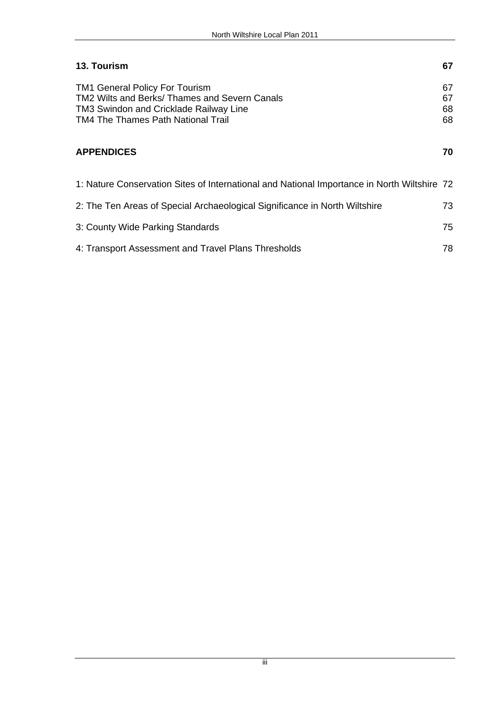| 13. Tourism                                                                                 | 67 |
|---------------------------------------------------------------------------------------------|----|
| TM1 General Policy For Tourism                                                              |    |
| TM2 Wilts and Berks/ Thames and Severn Canals                                               |    |
| TM3 Swindon and Cricklade Railway Line                                                      |    |
| TM4 The Thames Path National Trail                                                          |    |
|                                                                                             |    |
| <b>APPENDICES</b>                                                                           | 70 |
|                                                                                             |    |
| 1: Nature Conservation Sites of International and National Importance in North Wiltshire 72 |    |
|                                                                                             |    |
| 2: The Ten Areas of Special Archaeological Significance in North Wiltshire                  | 73 |
|                                                                                             |    |
| 3: County Wide Parking Standards                                                            | 75 |
| 4: Transport Assessment and Travel Plans Thresholds                                         | 78 |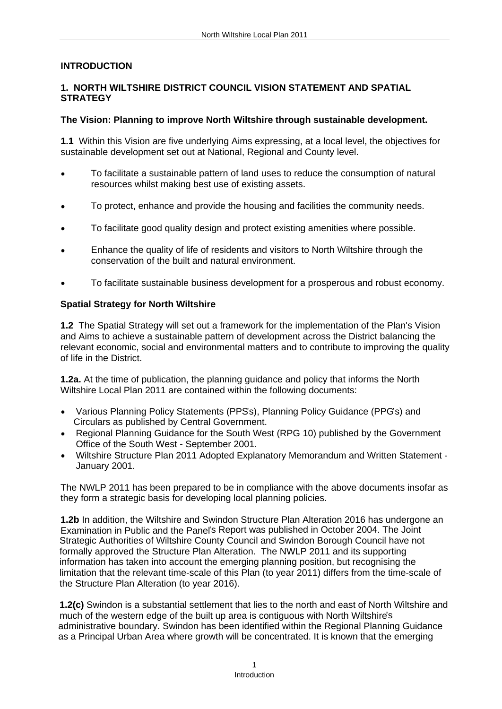# **INTRODUCTION 1. NORTH WILTSHIRE DISTRICT COUNCIL VISION STATEMENT AND SPATIAL**

**STRATEGY**<br>The Vision: Planning to improve North Wiltshire through sustainable development.<br>1.1 Within this Vision are five underlying Aims expressing, at a local level, the objectives for sustainable development set out at National, Regional and County level.<br>• To facilitate a sustainable pattern of land uses to reduce the consumption of natural

- 
- resources whilst making best use of existing assets.<br>To protect, enhance and provide the housing and facilities the community needs.<br>To facilitate good quality design and protect existing amenities where possible.<br>Enhance
- 
- conservation of the built and natural environment. To facilitate sustainable business development for a prosperous and robust economy.
- 

**Spatial Strategy for North Wiltshire**<br>**1.2** The Spatial Strategy will set out a framework for the implementation of the Plan's Vision and Aims to achieve a sustainable pattern of development across the District balancing the relevant economic, social and environmental matters and to contribute to improving the quality of life in the District.

**1.2a.** At the time of publication, the planning guidance and policy that informs the North Wiltshire Local Plan 2011 are contained within the following documents:<br>• Various Planning Policy Statements (PPSs), Planning Policy Guidance (PPG's) and

- Circulars as published by Central Government.
- Regional Planning Guidance for the South West (RPG 10) published by the Government Office of the South West - September 2001.
- Wiltshire Structure Plan 2011 Adopted Explanatory Memorandum and Written Statement January 2001. The NWLP 2011 has been prepared to be in compliance with the above documents insofar as

they form a strategic basis for developing local planning policies.

**1.2b** In addition, the Wiltshire and Swindon Structure Plan Alteration 2016 has undergone an Examination in Public and the Panel's Report was published in October 2004. The Joint Strategic Authorities of Wiltshire County Council and Swindon Borough Council have not formally approved the Structure Plan Alteration. The NWLP 2011 and its supporting information has taken into account the emerging planning position, but recognising the limitation that the relevant time-scale of this Plan (to year 2011) differs from the time-scale of the Structure Plan Alteration (to year 2016).

**1.2(c)** Swindon is a substantial settlement that lies to the north and east of North Wiltshire and much of the western edge of the built up area is contiguous with North Wiltshire's administrative boundary. Swindon has been identified within the Regional Planning Guidance as a Principal Urban Area where growth will be concentrated. It is known that the emerging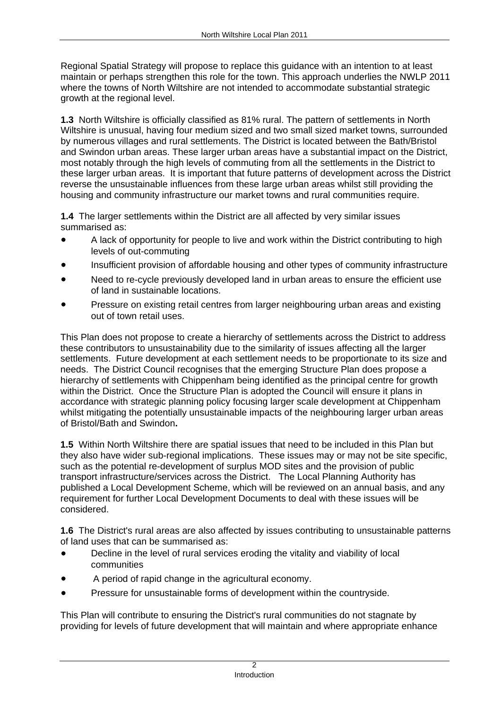Regional Spatial Strategy will propose to replace this guidance with an intention to at least maintain or perhaps strengthen this role for the town. This approach underlies the NWLP 2011 where the towns of North Wiltshire are not intended to accommodate substantial strategic growth at the regional level.

**1.3** North Wiltshire is officially classified as 81% rural. The pattern of settlements in North Wiltshire is unusual, having four medium sized and two small sized market towns, surrounded by numerous villages and rural settlements. The District is located between the Bath/Bristol and Swindon urban areas. These larger urban areas have a substantial impact on the District, most notably through the high levels of commuting from all the settlements in the District to these larger urban areas. It is important that future patterns of development across the District reverse the unsustainable influences from these large urban areas whilst still providing the housing and community infrastructure our market towns and rural communities require.

**1.4** The larger settlements within the District are all affected by very similar issues summarised as: *Summarised as: Summarised as: Summarised as: Summarised as:* 

- A lack of opportunity for people to live and work within the District contributing to high levels of out-commuting
- Insufficient provision of affordable housing and other types of community infrastructure
- Need to re-cycle previously developed land in urban areas to ensure the efficient use of land in sustainable locations.
- Pressure on existing retail centres from larger neighbouring urban areas and existing out of town retail uses.<br>This Plan does not propose to create a hierarchy of settlements across the District to address

these contributors to unsustainability due to the similarity of issues affecting all the larger settlements. Future development at each settlement needs to be proportionate to its size and needs. The District Council recognises that the emerging Structure Plan does propose a hierarchy of settlements with Chippenham being identified as the principal centre for growth within the District. Once the Structure Plan is adopted the Council will ensure it plans in accordance with strategic planning policy focusing larger scale development at Chippenham whilst mitigating the potentially unsustainable impacts of the neighbouring larger urban areas of Bristol/Bath and Swindon**. 1.5** Within North Wiltshire there are spatial issues that need to be included in this Plan but

they also have wider sub-regional implications. These issues may or may not be site specific, such as the potential re-development of surplus MOD sites and the provision of public transport infrastructure/services across the District. The Local Planning Authority has published a Local Development Scheme, which will be reviewed on an annual basis, and any requirement for further Local Development Documents to deal with these issues will be considered.

**1.6** The District's rural areas are also affected by issues contributing to unsustainable patterns of land uses that can be summarised as:

- Decline in the level of rural services eroding the vitality and viability of local  $\bullet$ communities
- A period of rapid change in the agricultural economy.
- Pressure for unsustainable forms of development within the countryside. This Plan will contribute to ensuring the District's rural communities do not stagnate by

providing for levels of future development that will maintain and where appropriate enhance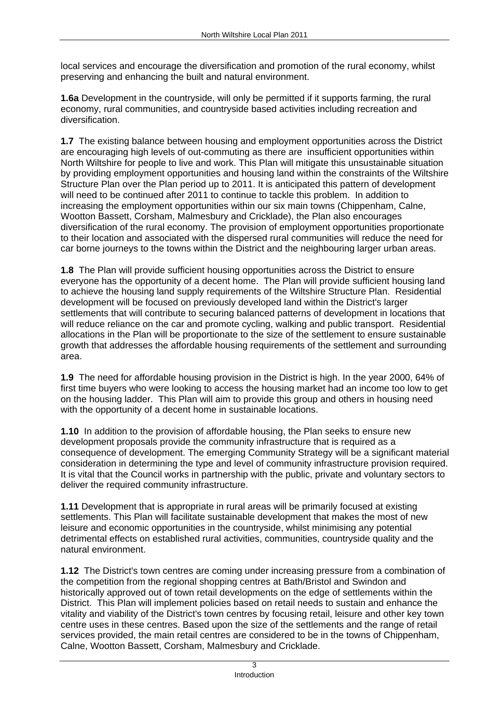local services and encourage the diversification and promotion of the rural economy, whilst preserving and enhancing the built and natural environment.

**1.6a** Development in the countryside, will only be permitted if it supports farming, the rural economy, rural communities, and countryside based activities including recreation and diversification.

**1.7** The existing balance between housing and employment opportunities across the District are encouraging high levels of out-commuting as there are insufficient opportunities within North Wiltshire for people to live and work. This Plan will mitigate this unsustainable situation by providing employment opportunities and housing land within the constraints of the Wiltshire Structure Plan over the Plan period up to 2011. It is anticipated this pattern of development will need to be continued after 2011 to continue to tackle this problem. In addition to increasing the employment opportunities within our six main towns (Chippenham, Calne, Wootton Bassett, Corsham, Malmesbury and Cricklade), the Plan also encourages diversification of the rural economy. The provision of employment opportunities proportionate to their location and associated with the dispersed rural communities will reduce the need for car borne journeys to the towns within the District and the neighbouring larger urban areas.

**1.8** The Plan will provide sufficient housing opportunities across the District to ensure everyone has the opportunity of a decent home. The Plan will provide sufficient housing land to achieve the housing land supply requirements of the Wiltshire Structure Plan. Residential development will be focused on previously developed land within the District's larger settlements that will contribute to securing balanced patterns of development in locations that will reduce reliance on the car and promote cycling, walking and public transport. Residential allocations in the Plan will be proportionate to the size of the settlement to ensure sustainable growth that addresses the affordable housing requirements of the settlement and surrounding area.

**1.9** The need for affordable housing provision in the District is high. In the year 2000, 64% of first time buyers who were looking to access the housing market had an income too low to get on the housing ladder. This Plan will aim to provide this group and others in housing need with the opportunity of a decent home in sustainable locations.

**1.10** In addition to the provision of affordable housing, the Plan seeks to ensure new development proposals provide the community infrastructure that is required as a consequence of development. The emerging Community Strategy will be a significant material consideration in determining the type and level of community infrastructure provision required. It is vital that the Council works in partnership with the public, private and voluntary sectors to deliver the required community infrastructure.

**1.11** Development that is appropriate in rural areas will be primarily focused at existing settlements. This Plan will facilitate sustainable development that makes the most of new leisure and economic opportunities in the countryside, whilst minimising any potential detrimental effects on established rural activities, communities, countryside quality and the natural environment.

**1.12** The District's town centres are coming under increasing pressure from a combination of the competition from the regional shopping centres at Bath/Bristol and Swindon and historically approved out of town retail developments on the edge of settlements within the District. This Plan will implement policies based on retail needs to sustain and enhance the vitality and viability of the District's town centres by focusing retail, leisure and other key town centre uses in these centres. Based upon the size of the settlements and the range of retail services provided, the main retail centres are considered to be in the towns of Chippenham, Calne, Wootton Bassett, Corsham, Malmesbury and Cricklade.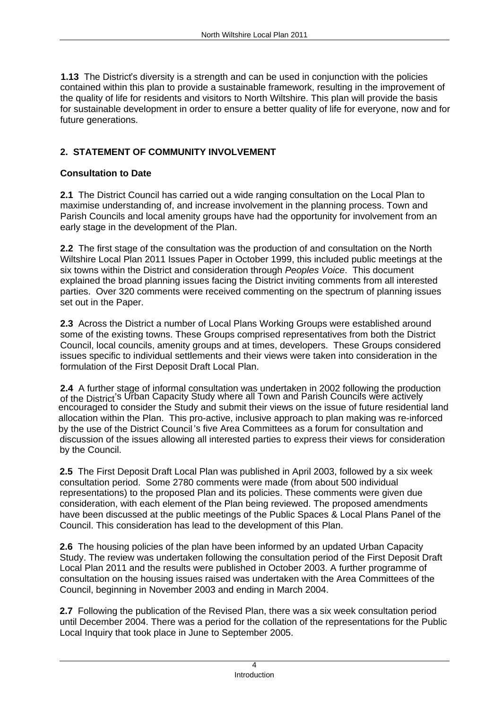**1.13** The District's diversity is a strength and can be used in conjunction with the policies contained within this plan to provide a sustainable framework, resulting in the improvement of the quality of life for residents and visitors to North Wiltshire. This plan will provide the basis for sustainable development in order to ensure a better quality of life for everyone, now and for future generations.

# **2. STATEMENT OF COMMUNITY INVOLVEMENT**

# **Consultation to Date**

**2.1** The District Council has carried out a wide ranging consultation on the Local Plan to maximise understanding of, and increase involvement in the planning process. Town and Parish Councils and local amenity groups have had the opportunity for involvement from an early stage in the development of the Plan.

**2.2** The first stage of the consultation was the production of and consultation on the North Wiltshire Local Plan 2011 Issues Paper in October 1999, this included public meetings at the six towns within the District and consideration through Peoples Voice. This document explained the broad planning issues facing the District inviting comments from all interested parties. Over 320 comments were received commenting on the spectrum of planning issues set out in the Paper.

**2.3** Across the District a number of Local Plans Working Groups were established around some of the existing towns. These Groups comprised representatives from both the District Council, local councils, amenity groups and at times, developers. These Groups considered issues specific to individual settlements and their views were taken into consideration in the formulation of the First Deposit Draft Local Plan.

**2.4** A further stage of informal consultation was undertaken in 2002 following the production of the District's Urban Capacity Study where all Town and Parish Councils were actively encouraged to consider the Study and submit their views on the issue of future residential land allocation within the Plan. This pro-active, inclusive approach to plan making was re-inforced by the use of the District Council's five Area Committees as a forum for consultation and discussion of the issues allowing all interested parties to express their views for consideration by the Council. **2.5** The First Deposit Draft Local Plan was published in April 2003, followed by a six week

consultation period. Some 2780 comments were made (from about 500 individual representations) to the proposed Plan and its policies. These comments were given due consideration, with each element of the Plan being reviewed. The proposed amendments have been discussed at the public meetings of the Public Spaces & Local Plans Panel of the Council. This consideration has lead to the development of this Plan.

**2.6** The housing policies of the plan have been informed by an updated Urban Capacity Study. The review was undertaken following the consultation period of the First Deposit Draft Local Plan 2011 and the results were published in October 2003. A further programme of consultation on the housing issues raised was undertaken with the Area Committees of the Council, beginning in November 2003 and ending in March 2004.

**2.7** Following the publication of the Revised Plan, there was a six week consultation period until December 2004. There was a period for the collation of the representations for the Public Local Inquiry that took place in June to September 2005.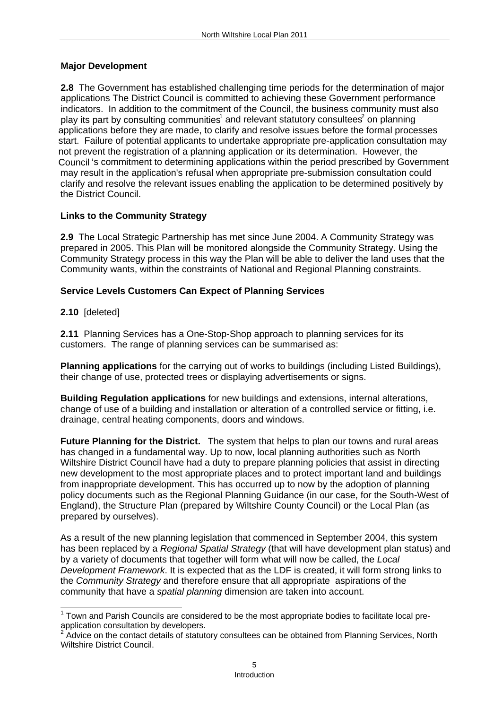# **Major Development**

**2.8** The Government has established challenging time periods for the determination of major applications The District Council is committed to achieving these Government performance indicators. In addition to the commitment of the Council, the business community must also play its part by consulting communities $^{\rm 1}$  and relevant statutory consultees $^{\rm 2}$  on planning on planning applications before they are made, to clarify and resolve issues before the formal processes start. Failure of potential applicants to undertake appropriate pre-application consultation may not prevent the registration of a planning application or its determination. However, the Council's commitment to determining applications within the period prescribed by Government may result in the application's refusal when appropriate pre-submission consultation could clarify and resolve the relevant issues enabling the application to be determined positively by the District Council.

# **Links to the Community Strategy**

**2.9** The Local Strategic Partnership has met since June 2004. A Community Strategy was prepared in 2005. This Plan will be monitored alongside the Community Strategy. Using the Community Strategy process in this way the Plan will be able to deliver the land uses that the Community wants, within the constraints of National and Regional Planning constraints.

# **Service Levels Customers Can Expect of Planning Services**

**2.10** [deleted]

**2.11** Planning Services has a One-Stop-Shop approach to planning services for its customers. The range of planning services can be summarised as:

**Planning applications** for the carrying out of works to buildings (including Listed Buildings), their change of use, protected trees or displaying advertisements or signs.

**Building Regulation applications** for new buildings and extensions, internal alterations, change of use of a building and installation or alteration of a controlled service or fitting, i.e. drainage, central heating components, doors and windows.

**Future Planning for the District.** The system that helps to plan our towns and rural areas has changed in a fundamental way. Up to now, local planning authorities such as North Wiltshire District Council have had a duty to prepare planning policies that assist in directing new development to the most appropriate places and to protect important land and buildings from inappropriate development. This has occurred up to now by the adoption of planning policy documents such as the Regional Planning Guidance (in our case, for the South-West of England), the Structure Plan (prepared by Wiltshire County Council) or the Local Plan (as prepared by ourselves).<br>As a result of the new planning legislation that commenced in September 2004, this system

has been replaced by a Regional Spatial Strategy (that will have development plan status) and by a variety of documents that together will form what will now be called, the Local Development Framework. It is expected that as the LDF is created, it will form strong links to the Community Strategy and therefore ensure that all appropriate aspirations of the community that have a spatial planning dimension are taken into account.

<sup>1</sup> Town and Parish Councils are considered to be the most appropriate bodies to facilitate local pre-

application consultation by developers.<br><sup>2</sup> Advice on the contact details of statutory consultees can be obtained from Planning Services, North Wiltshire District Council.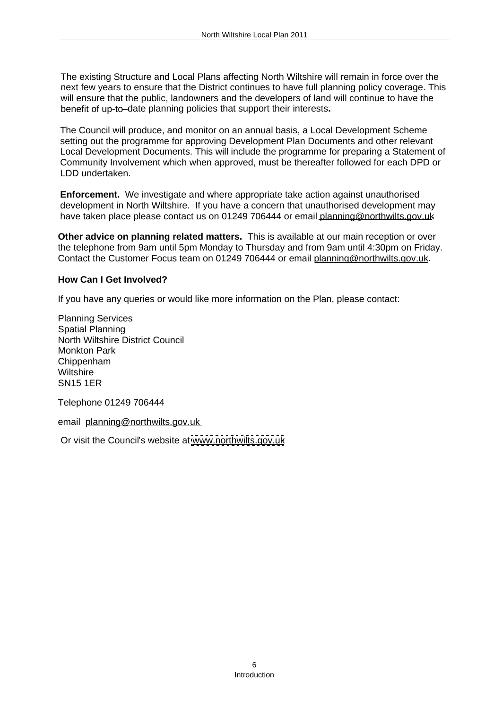The existing Structure and Local Plans affecting North Wiltshire will remain in force over the next few years to ensure that the District continues to have full planning policy coverage. This will ensure that the public, landowners and the developers of land will continue to have the

benefit of up-to–date planning policies that support their interests**.**<br>The Council will produce, and monitor on an annual basis, a Local Development Scheme setting out the programme for approving Development Plan Documents and other relevant Local Development Documents. This will include the programme for preparing a Statement of Community Involvement which when approved, must be thereafter followed for each DPD or LDD undertaken. North Williams Lead Pain 2011<br>
The existing Structure and Local Plane affecting North Willshire will remain in force over the<br>
mext few years to ensure that the District continues to have full planning policy coverage. Thi

**Enforcement.** We investigate and where appropriate take action against unauthorised development in North Wiltshire. If you have a concern that unauthorised development may have taken place please contact us on 01249 706444 or email planning@northwilts.gov.uk

**Other advice on planning related matters.** This is available at our main reception or over the telephone from 9am until 5pm Monday to Thursday and from 9am until 4:30pm on Friday. Contact the Customer Focus team on 01249 706444 or email planning@northwilts.gov.uk.

# **How Can I Get Involved?**

If you have any queries or would like more information on the Plan, please contact: Planning Services

Spatial Planning North Wiltshire District Council Monkton Park Chippenham Wiltshire

SN15 1ER<br>Telephone 01249 706444<br>email p<u>lanning@northwilts.gov.uk</u>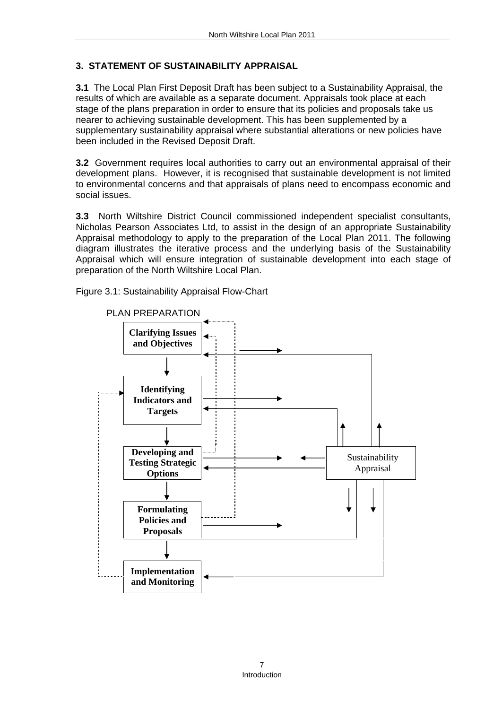# **3. STATEMENT OF SUSTAINABILITY APPRAISAL**

**3.1** The Local Plan First Deposit Draft has been subject to a Sustainability Appraisal, the results of which are available as a separate document. Appraisals took place at each stage of the plans preparation in order to ensure that its policies and proposals take us nearer to achieving sustainable development. This has been supplemented by a supplementary sustainability appraisal where substantial alterations or new policies have been included in the Revised Deposit Draft.

**3.2** Government requires local authorities to carry out an environmental appraisal of their development plans. However, it is recognised that sustainable development is not limited to environmental concerns and that appraisals of plans need to encompass economic and social issues.

**3.3** North Wiltshire District Council commissioned independent specialist consultants, Nicholas Pearson Associates Ltd, to assist in the design of an appropriate Sustainability Appraisal methodology to apply to the preparation of the Local Plan 2011. The following diagram illustrates the iterative process and the underlying basis of the Sustainability Appraisal which will ensure integration of sustainable development into each stage of preparation of the North Wiltshire Local Plan.

Figure 3.1: Sustainability Appraisal Flow-Chart

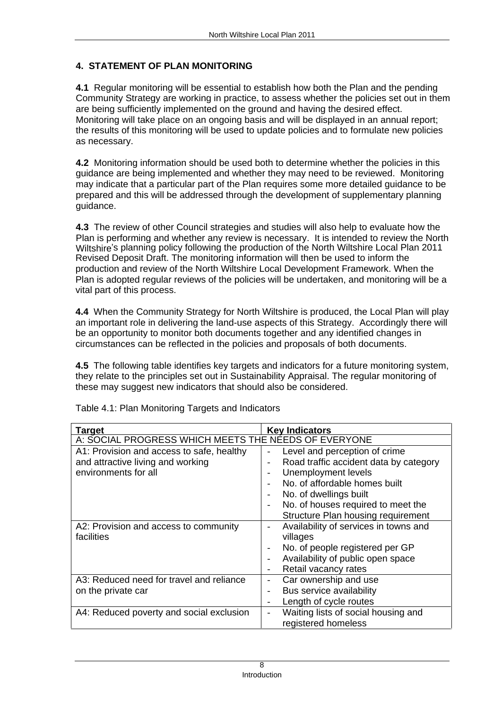# **4. STATEMENT OF PLAN MONITORING**

**4.1** Regular monitoring will be essential to establish how both the Plan and the pending Community Strategy are working in practice, to assess whether the policies set out in them are being sufficiently implemented on the ground and having the desired effect. Monitoring will take place on an ongoing basis and will be displayed in an annual report; the results of this monitoring will be used to update policies and to formulate new policies as necessary.

**4.2** Monitoring information should be used both to determine whether the policies in this guidance are being implemented and whether they may need to be reviewed. Monitoring may indicate that a particular part of the Plan requires some more detailed guidance to be prepared and this will be addressed through the development of supplementary planning guidance.

**4.3** The review of other Council strategies and studies will also help to evaluate how the Plan is performing and whether any review is necessary. It is intended to review the North Wiltshire's planning policy following the production of the North Wiltshire Local Plan 2011 Revised Deposit Draft. The monitoring information will then be used to inform the production and review of the North Wiltshire Local Development Framework. When the Plan is adopted regular reviews of the policies will be undertaken, and monitoring will be a vital part of this process.

**4.4** When the Community Strategy for North Wiltshire is produced, the Local Plan will play an important role in delivering the land-use aspects of this Strategy. Accordingly there will be an opportunity to monitor both documents together and any identified changes in circumstances can be reflected in the policies and proposals of both documents.

**4.5** The following table identifies key targets and indicators for a future monitoring system, they relate to the principles set out in Sustainability Appraisal. The regular monitoring of these may suggest new indicators that should also be considered. Table 4.1: Plan Monitoring Targets and Indicators

|                                                                                                      | Key Indicators                         |
|------------------------------------------------------------------------------------------------------|----------------------------------------|
| Target Target For Section 1 Rey Indicators<br>  A: SOCIAL PROGRESS WHICH MEETS THE NEEDS OF EVERYONE |                                        |
| A1: Provision and access to safe, healthy                                                            | Level and perception of crime          |
| and attractive living and working                                                                    | Road traffic accident data by category |
| environments for all                                                                                 | Unemployment levels                    |
|                                                                                                      | No. of affordable homes built          |
|                                                                                                      | No. of dwellings built                 |
|                                                                                                      | No. of houses required to meet the     |
|                                                                                                      | Structure Plan housing requirement     |
| A2: Provision and access to community                                                                | Availability of services in towns and  |
| facilities                                                                                           | villages                               |
|                                                                                                      | No. of people registered per GP        |
|                                                                                                      | Availability of public open space      |
|                                                                                                      | Retail vacancy rates                   |
| A3: Reduced need for travel and reliance                                                             | Car ownership and use                  |
| on the private car                                                                                   | Bus service availability               |
|                                                                                                      | Length of cycle routes                 |
| A4: Reduced poverty and social exclusion                                                             | Waiting lists of social housing and    |
|                                                                                                      | registered homeless                    |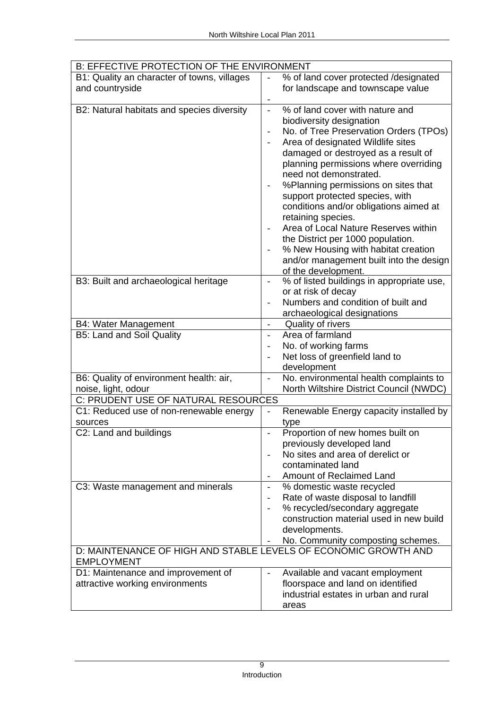| <b>B: EFFECTIVE PROTECTION OF THE ENVIRONMENT</b>               |                                           |
|-----------------------------------------------------------------|-------------------------------------------|
| B1: Quality an character of towns, villages                     | % of land cover protected /designated     |
| and countryside                                                 | for landscape and townscape value         |
| B2: Natural habitats and species diversity                      | % of land cover with nature and           |
|                                                                 |                                           |
|                                                                 | biodiversity designation                  |
|                                                                 | No. of Tree Preservation Orders (TPOs)    |
|                                                                 | Area of designated Wildlife sites         |
|                                                                 | damaged or destroyed as a result of       |
|                                                                 | planning permissions where overriding     |
|                                                                 | need not demonstrated.                    |
|                                                                 | %Planning permissions on sites that       |
|                                                                 | support protected species, with           |
|                                                                 | conditions and/or obligations aimed at    |
|                                                                 | retaining species.                        |
|                                                                 | Area of Local Nature Reserves within      |
|                                                                 | the District per 1000 population.         |
|                                                                 | % New Housing with habitat creation       |
|                                                                 | and/or management built into the design   |
|                                                                 | of the development.                       |
| B3: Built and archaeological heritage                           | % of listed buildings in appropriate use, |
|                                                                 | or at risk of decay                       |
|                                                                 | Numbers and condition of built and        |
|                                                                 | archaeological designations               |
| <b>B4: Water Management</b>                                     | Quality of rivers                         |
| <b>B5: Land and Soil Quality</b>                                | Area of farmland                          |
|                                                                 | No. of working farms                      |
|                                                                 | Net loss of greenfield land to            |
|                                                                 | development                               |
| B6: Quality of environment health: air,                         | No. environmental health complaints to    |
| noise, light, odour                                             | North Wiltshire District Council (NWDC)   |
| C: PRUDENT USE OF NATURAL RESOURCES                             |                                           |
| C1: Reduced use of non-renewable energy                         | Renewable Energy capacity installed by    |
| sources                                                         | type                                      |
| C2: Land and buildings                                          | Proportion of new homes built on          |
|                                                                 |                                           |
|                                                                 | previously developed land                 |
|                                                                 | No sites and area of derelict or          |
|                                                                 | contaminated land                         |
|                                                                 | Amount of Reclaimed Land                  |
| C3: Waste management and minerals                               | % domestic waste recycled                 |
|                                                                 | Rate of waste disposal to landfill        |
|                                                                 | % recycled/secondary aggregate            |
|                                                                 | construction material used in new build   |
|                                                                 | developments.                             |
|                                                                 | No. Community composting schemes.         |
| D: MAINTENANCE OF HIGH AND STABLE LEVELS OF ECONOMIC GROWTH AND |                                           |
| <b>EMPLOYMENT</b>                                               |                                           |
| D1: Maintenance and improvement of                              | Available and vacant employment           |
| attractive working environments                                 | floorspace and land on identified         |
|                                                                 | industrial estates in urban and rural     |
|                                                                 | areas                                     |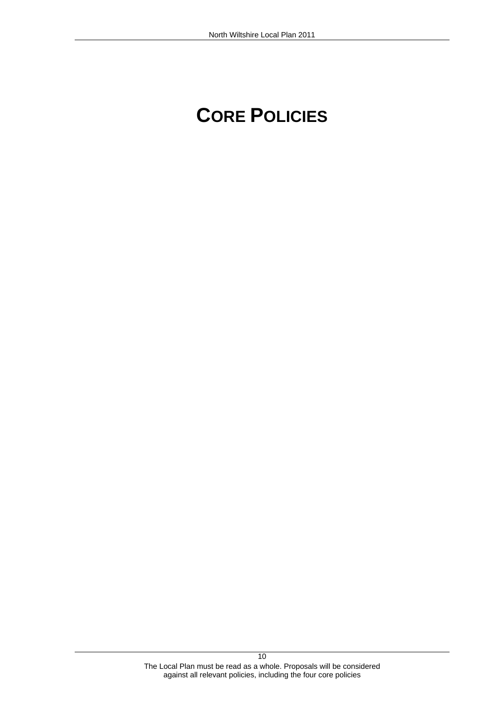# North Wiltshire Local Plan 2011<br> **CORE POLICIES**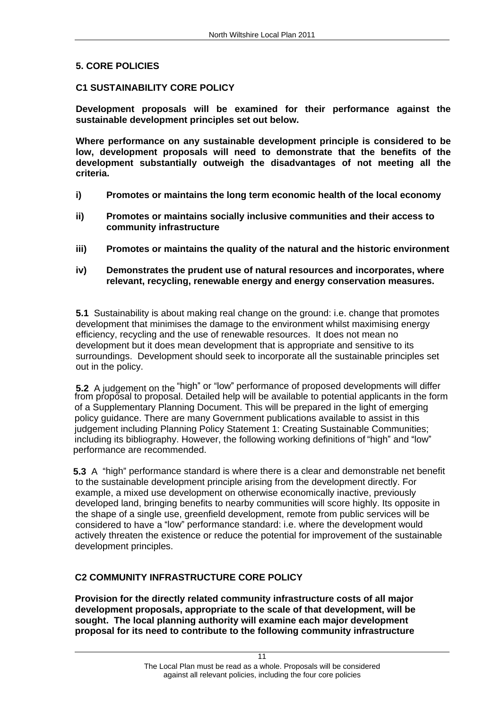5. CORE POLICIES<br>C1 SUSTAINABILITY CORE POLICY<br>Development proposals will be examined for their performance against the **sustainable development principles set out below. Where performance on any sustainable development principle is considered to be** 

**low, development proposals will need to demonstrate that the benefits of the development substantially outweigh the disadvantages of not meeting all the criteria.** 

- **i) Promotes or maintains the long term economic health of the local economy**
- **ii) Promotes or maintains socially inclusive communities and their access to community infrastructure**
- **iii) Promotes or maintains the quality of the natural and the historic environment**
- **iv) Demonstrates the prudent use of natural resources and incorporates, where relevant, recycling, renewable energy and energy conservation measures.**

**5.1** Sustainability is about making real change on the ground: i.e. change that promotes development that minimises the damage to the environment whilst maximising energy efficiency, recycling and the use of renewable resources. It does not mean no development but it does mean development that is appropriate and sensitive to its surroundings. Development should seek to incorporate all the sustainable principles set out in the policy.

**5.2** A judgement on the "high" or "low" performance of proposed developments will differ from proposal to proposal. Detailed help will be available to potential applicants in the form of a Supplementary Planning Document. This will be prepared in the light of emerging policy guidance. There are many Government publications available to assist in this judgement including Planning Policy Statement 1: Creating Sustainable Communities; including its bibliography. However, the following working definitions of "high" and "low" performance are recommended.

**5.3** A "high" performance standard is where there is a clear and demonstrable net benefit to the sustainable development principle arising from the development directly. For example, a mixed use development on otherwise economically inactive, previously developed land, bringing benefits to nearby communities will score highly. Its opposite in the shape of a single use, greenfield development, remote from public services will be considered to have a "low" performance standard: i.e. where the development would actively threaten the existence or reduce the potential for improvement of the sustainable development principles.

**C2 COMMUNITY INFRASTRUCTURE CORE POLICY Provision for the directly related community infrastructure costs of all major development proposals, appropriate to the scale of that development, will be sought. The local planning authority will examine each major development proposal for its need to contribute to the following community infrastructure**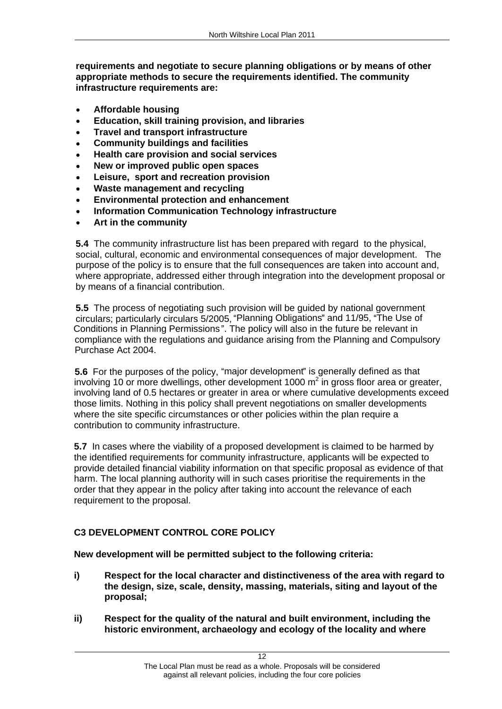**requirements and negotiate to secure planning obligations or by means of other appropriate methods to secure the requirements identified. The community infrastructure requirements are: Affordable housing**

- 
- **Education, skill training provision, and libraries**
- **Travel and transport infrastructure**
- **Community buildings and facilities**
- **Health care provision and social services**
- **New or improved public open spaces**
- **Leisure, sport and recreation provision**
- **Waste management and recycling**
- **Environmental protection and enhancement**
- **Information Communication Technology infrastructure**
- 

**Art in the community**<br>**5.4** The community infrastructure list has been prepared with regard to the physical, social, cultural, economic and environmental consequences of major development. The purpose of the policy is to ensure that the full consequences are taken into account and, where appropriate, addressed either through integration into the development proposal or by means of a financial contribution.

**5.5** The process of negotiating such provision will be guided by national government circulars; particularly circulars 5/2005, "Planning Obligations" and 11/95, "The Use of Conditions in Planning Permissions". The policy will also in the future be relevant in compliance with the regulations and guidance arising from the Planning and Compulsory Purchase Act 2004.

**5.6** For the purposes of the policy, "major development" is generally defined as that involving 10 or more dwellings, other development 1000 m<sup>2</sup> in gross floor area or greater, involving land of 0.5 hectares or greater in area or where cumulative developments exceed those limits. Nothing in this policy shall prevent negotiations on smaller developments where the site specific circumstances or other policies within the plan require a contribution to community infrastructure.

**5.7** In cases where the viability of a proposed development is claimed to be harmed by the identified requirements for community infrastructure, applicants will be expected to provide detailed financial viability information on that specific proposal as evidence of that harm. The local planning authority will in such cases prioritise the requirements in the order that they appear in the policy after taking into account the relevance of each requirement to the proposal.

# **C3 DEVELOPMENT CONTROL CORE POLICY**

# **New development will be permitted subject to the following criteria:**

- **i) Respect for the local character and distinctiveness of the area with regard to the design, size, scale, density, massing, materials, siting and layout of the proposal;**
- **ii) Respect for the quality of the natural and built environment, including the historic environment, archaeology and ecology of the locality and where**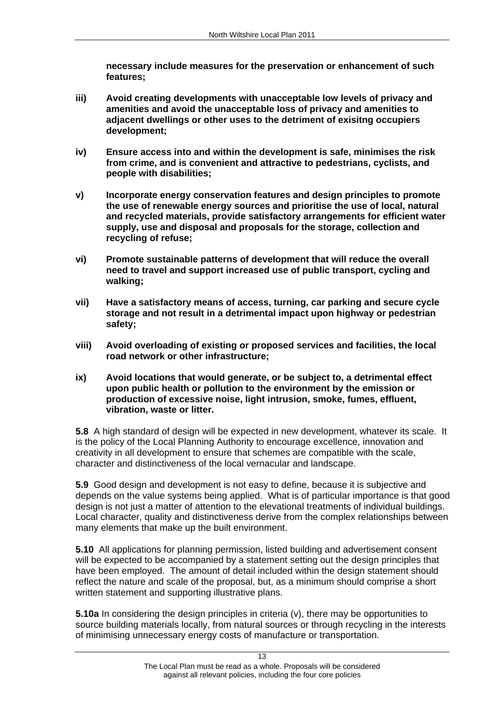**necessary include measures for the preservation or enhancement of such features;** 

- **iii) Avoid creating developments with unacceptable low levels of privacy and amenities and avoid the unacceptable loss of privacy and amenities to adjacent dwellings or other uses to the detriment of exisitng occupiers development;**
- **iv) Ensure access into and within the development is safe, minimises the risk from crime, and is convenient and attractive to pedestrians, cyclists, and people with disabilities; v) Incorporate energy conservation features and design principles to promote**
- **the use of renewable energy sources and prioritise the use of local, natural and recycled materials, provide satisfactory arrangements for efficient water supply, use and disposal and proposals for the storage, collection and recycling of refuse; vi) Promote sustainable patterns of development that will reduce the overall**
- **need to travel and support increased use of public transport, cycling and**
- **walking; vii) Have a satisfactory means of access, turning, car parking and secure cycle storage and not result in a detrimental impact upon highway or pedestrian safety; viii) Avoid overloading of existing or proposed services and facilities, the local**
- **road network or other infrastructure;**
- **ix) Avoid locations that would generate, or be subject to, a detrimental effect upon public health or pollution to the environment by the emission or production of excessive noise, light intrusion, smoke, fumes, effluent, vibration, waste or litter.**

**5.8** A high standard of design will be expected in new development, whatever its scale. It is the policy of the Local Planning Authority to encourage excellence, innovation and creativity in all development to ensure that schemes are compatible with the scale, character and distinctiveness of the local vernacular and landscape.

**5.9** Good design and development is not easy to define, because it is subjective and depends on the value systems being applied. What is of particular importance is that good design is not just a matter of attention to the elevational treatments of individual buildings. Local character, quality and distinctiveness derive from the complex relationships between many elements that make up the built environment.

**5.10** All applications for planning permission, listed building and advertisement consent will be expected to be accompanied by a statement setting out the design principles that have been employed. The amount of detail included within the design statement should reflect the nature and scale of the proposal, but, as a minimum should comprise a short written statement and supporting illustrative plans.<br>**5.10a** In considering the design principles in criteria (v), there may be opportunities to

source building materials locally, from natural sources or through recycling in the interests of minimising unnecessary energy costs of manufacture or transportation.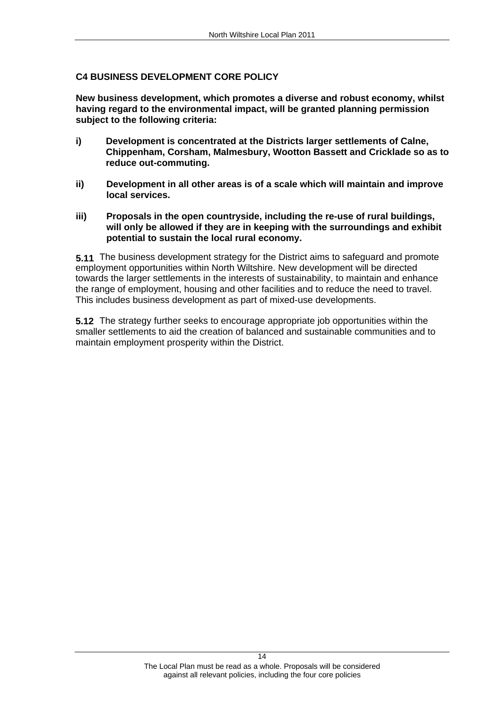**C4 BUSINESS DEVELOPMENT CORE POLICY New business development, which promotes a diverse and robust economy, whilst having regard to the environmental impact, will be granted planning permission subject to the following criteria:** 

- **i) Development is concentrated at the Districts larger settlements of Calne, Chippenham, Corsham, Malmesbury, Wootton Bassett and Cricklade so as to reduce out-commuting.**
- **ii) Development in all other areas is of a scale which will maintain and improve local services.**
- **iii) Proposals in the open countryside, including the re-use of rural buildings, will only be allowed if they are in keeping with the surroundings and exhibit potential to sustain the local rural economy.**

**5.11** The business development strategy for the District aims to safeguard and promote employment opportunities within North Wiltshire. New development will be directed towards the larger settlements in the interests of sustainability, to maintain and enhance the range of employment, housing and other facilities and to reduce the need to travel. This includes business development as part of mixed-use developments. **5.12** The strategy further seeks to encourage appropriate job opportunities within the

smaller settlements to aid the creation of balanced and sustainable communities and to maintain employment prosperity within the District.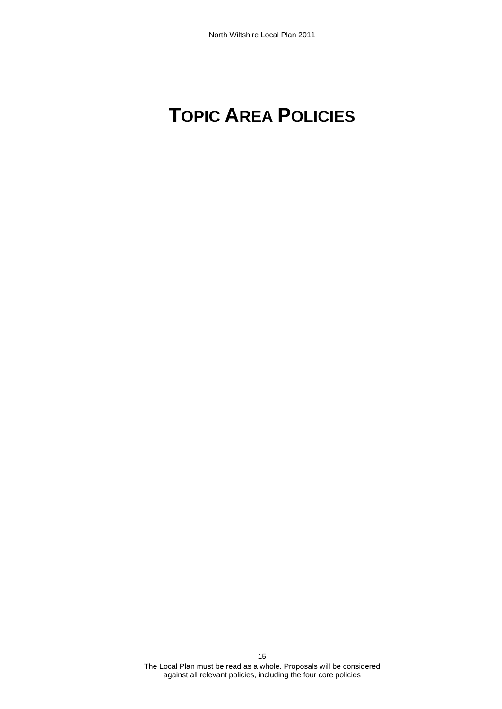# North Wiltshire Local Plan 2011<br> **TOPIC AREA POLICIES**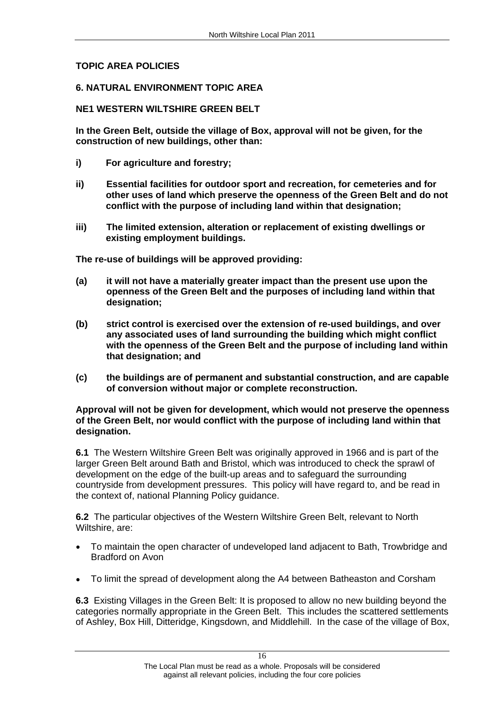# **TOPIC AREA POLICIES<br>6. NATURAL ENVIRONMENT TOPIC AREA<br>NE1 WESTERN WILTSHIRE GREEN BELT**

**In the Green Belt, outside the village of Box, approval will not be given, for the construction of new buildings, other than:** 

- **i) For agriculture and forestry;**
- **ii) Essential facilities for outdoor sport and recreation, for cemeteries and for other uses of land which preserve the openness of the Green Belt and do not conflict with the purpose of including land within that designation;**
- **iii) The limited extension, alteration or replacement of existing dwellings or**

- **existing employment buildings. The re-use of buildings will be approved providing: (a) it will not have a materially greater impact than the present use upon the openness of the Green Belt and the purposes of including land within that designation; (b) strict control is exercised over the extension of re-used buildings, and over**
- **any associated uses of land surrounding the building which might conflict with the openness of the Green Belt and the purpose of including land within that designation; and (c) the buildings are of permanent and substantial construction, and are capable**
- **of conversion without major or complete reconstruction. Approval will not be given for development, which would not preserve the openness**

# **of the Green Belt, nor would conflict with the purpose of including land within that designation.**

**6.1** The Western Wiltshire Green Belt was originally approved in 1966 and is part of the larger Green Belt around Bath and Bristol, which was introduced to check the sprawl of development on the edge of the built-up areas and to safeguard the surrounding countryside from development pressures. This policy will have regard to, and be read in the context of, national Planning Policy guidance.

**6.2** The particular objectives of the Western Wiltshire Green Belt, relevant to North

- Wiltshire, are:<br>• To maintain the open character of undeveloped land adjacent to Bath, Trowbridge and Bradford on Avon<br>To limit the spread of development along the A4 between Batheaston and Corsham<br>
- 

**6.3** Existing Villages in the Green Belt: It is proposed to allow no new building beyond the categories normally appropriate in the Green Belt. This includes the scattered settlements of Ashley, Box Hill, Ditteridge, Kingsdown, and Middlehill. In the case of the village of Box,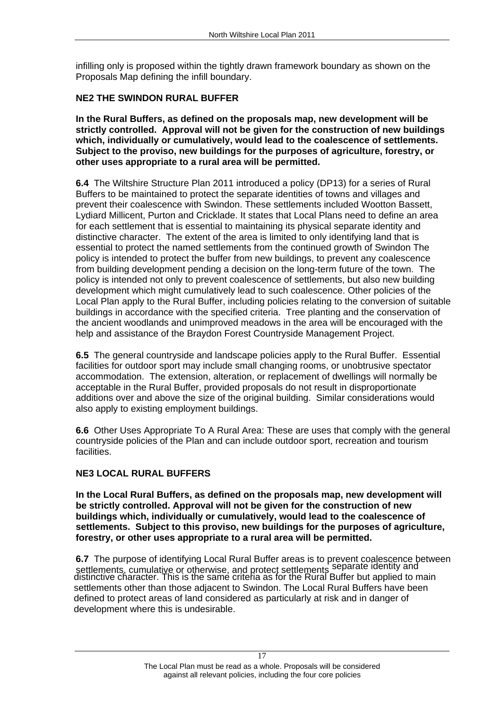infilling only is proposed within the tightly drawn framework boundary as shown on the Proposals Map defining the infill boundary.

# **NE2 THE SWINDON RURAL BUFFER**

**In the Rural Buffers, as defined on the proposals map, new development will be strictly controlled. Approval will not be given for the construction of new buildings which, individually or cumulatively, would lead to the coalescence of settlements. Subject to the proviso, new buildings for the purposes of agriculture, forestry, or other uses appropriate to a rural area will be permitted.**<br>**6.4** The Wiltshire Structure Plan 2011 introduced a policy (DP13) for a series of Rural

Buffers to be maintained to protect the separate identities of towns and villages and prevent their coalescence with Swindon. These settlements included Wootton Bassett, Lydiard Millicent, Purton and Cricklade. It states that Local Plans need to define an area for each settlement that is essential to maintaining its physical separate identity and distinctive character. The extent of the area is limited to only identifying land that is essential to protect the named settlements from the continued growth of Swindon The policy is intended to protect the buffer from new buildings, to prevent any coalescence from building development pending a decision on the long-term future of the town. The policy is intended not only to prevent coalescence of settlements, but also new building development which might cumulatively lead to such coalescence. Other policies of the Local Plan apply to the Rural Buffer, including policies relating to the conversion of suitable buildings in accordance with the specified criteria. Tree planting and the conservation of the ancient woodlands and unimproved meadows in the area will be encouraged with the help and assistance of the Braydon Forest Countryside Management Project.

**6.5** The general countryside and landscape policies apply to the Rural Buffer. Essential facilities for outdoor sport may include small changing rooms, or unobtrusive spectator accommodation. The extension, alteration, or replacement of dwellings will normally be acceptable in the Rural Buffer, provided proposals do not result in disproportionate additions over and above the size of the original building. Similar considerations would also apply to existing employment buildings.

**6.6** Other Uses Appropriate To A Rural Area: These are uses that comply with the general countryside policies of the Plan and can include outdoor sport, recreation and tourism facilities.

# **NE3 LOCAL RURAL BUFFERS**

**In the Local Rural Buffers, as defined on the proposals map, new development will be strictly controlled. Approval will not be given for the construction of new buildings which, individually or cumulatively, would lead to the coalescence of settlements. Subject to this proviso, new buildings for the purposes of agriculture, forestry, or other uses appropriate to a rural area will be permitted.**

**6.7** The purpose of identifying Local Rural Buffer areas is to prevent coalescence between settlements, cumulative or otherwise, and protect settlements separate identity and distinctive character. This is the same criteria as for the Rural Buffer but applied to main settlements other than those adjacent to Swindon. The Local Rural Buffers have been defined to protect areas of land considered as particularly at risk and in danger of development where this is undesirable.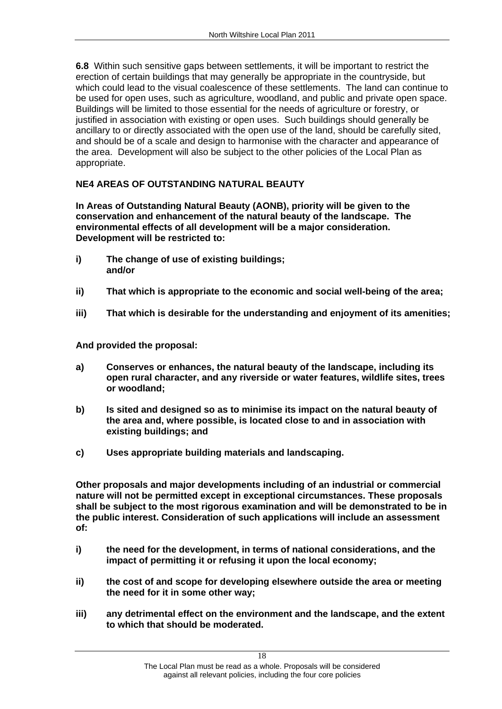**6.8** Within such sensitive gaps between settlements, it will be important to restrict the erection of certain buildings that may generally be appropriate in the countryside, but which could lead to the visual coalescence of these settlements. The land can continue to be used for open uses, such as agriculture, woodland, and public and private open space. Buildings will be limited to those essential for the needs of agriculture or forestry, or justified in association with existing or open uses. Such buildings should generally be ancillary to or directly associated with the open use of the land, should be carefully sited, and should be of a scale and design to harmonise with the character and appearance of the area. Development will also be subject to the other policies of the Local Plan as appropriate.

# **NE4 AREAS OF OUTSTANDING NATURAL BEAUTY**

**In Areas of Outstanding Natural Beauty (AONB), priority will be given to the conservation and enhancement of the natural beauty of the landscape. The environmental effects of all development will be a major consideration. Development will be restricted to:** 

- **i) The change of use of existing buildings; and/or**
- **ii) That which is appropriate to the economic and social well-being of the area;**
- 

- iii) That which is desirable for the understanding and enjoyment of its amenities;<br>And provided the proposal:<br>a) Conserves or enhances, the natural beauty of the landscape, including its **open rural character, and any riverside or water features, wildlife sites, trees or woodland; b) Is sited and designed so as to minimise its impact on the natural beauty of**
- **the area and, where possible, is located close to and in association with**
- 

**existing buildings; and c) Uses appropriate building materials and landscaping. Other proposals and major developments including of an industrial or commercial nature will not be permitted except in exceptional circumstances. These proposals shall be subject to the most rigorous examination and will be demonstrated to be in the public interest. Consideration of such applications will include an assessment of:** 

- **i) the need for the development, in terms of national considerations, and the impact of permitting it or refusing it upon the local economy;**
- **ii) the cost of and scope for developing elsewhere outside the area or meeting the need for it in some other way;**
- **iii) any detrimental effect on the environment and the landscape, and the extent to which that should be moderated.**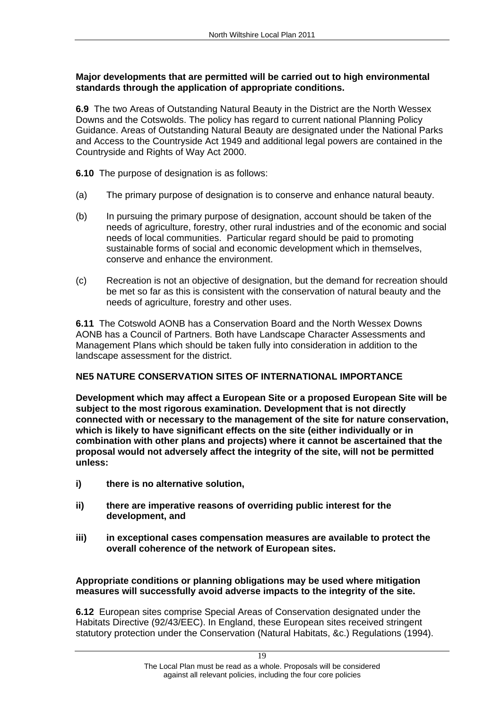# **Major developments that are permitted will be carried out to high environmental standards through the application of appropriate conditions.**

**6.9** The two Areas of Outstanding Natural Beauty in the District are the North Wessex Downs and the Cotswolds. The policy has regard to current national Planning Policy Guidance. Areas of Outstanding Natural Beauty are designated under the National Parks and Access to the Countryside Act 1949 and additional legal powers are contained in the Countryside and Rights of Way Act 2000.

- 
- **6.10** The purpose of designation is as follows:<br>(a) The primary purpose of designation is to conserve and enhance natural beauty.<br>(b) In pursuing the primary purpose of designation, account should be taken of the needs of agriculture, forestry, other rural industries and of the economic and social needs of local communities. Particular regard should be paid to promoting sustainable forms of social and economic development which in themselves, conserve and enhance the environment.<br>(c) Recreation is not an objective of designation, but the demand for recreation should
- be met so far as this is consistent with the conservation of natural beauty and the needs of agriculture, forestry and other uses.

**6.11** The Cotswold AONB has a Conservation Board and the North Wessex Downs AONB has a Council of Partners. Both have Landscape Character Assessments and Management Plans which should be taken fully into consideration in addition to the landscape assessment for the district.

# **NE5 NATURE CONSERVATION SITES OF INTERNATIONAL IMPORTANCE Development which may affect a European Site or a proposed European Site will be**

**subject to the most rigorous examination. Development that is not directly connected with or necessary to the management of the site for nature conservation, which is likely to have significant effects on the site (either individually or in combination with other plans and projects) where it cannot be ascertained that the proposal would not adversely affect the integrity of the site, will not be permitted unless:** 

- **i) there is no alternative solution,**
- **ii) there are imperative reasons of overriding public interest for the development, and**
- **iii) in exceptional cases compensation measures are available to protect the**

**overall coherence of the network of European sites. Appropriate conditions or planning obligations may be used where mitigation measures will successfully avoid adverse impacts to the integrity of the site. 6.12** European sites comprise Special Areas of Conservation designated under the

Habitats Directive (92/43/EEC). In England, these European sites received stringent statutory protection under the Conservation (Natural Habitats, &c.) Regulations (1994).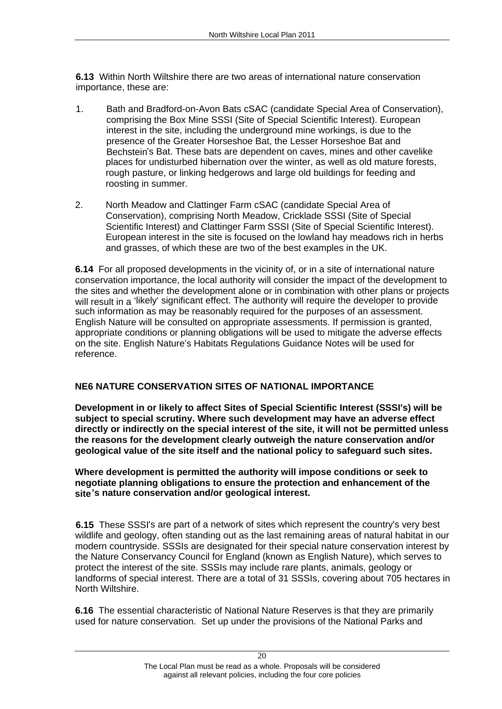**6.13** Within North Wiltshire there are two areas of international nature conservation

- importance, these are:<br>1. Bath and Bradford-on-Avon Bats cSAC (candidate Special Area of Conservation), comprising the Box Mine SSSI (Site of Special Scientific Interest). European interest in the site, including the underground mine workings, is due to the presence of the Greater Horseshoe Bat, the Lesser Horseshoe Bat and Bechstein's Bat. These bats are dependent on caves, mines and other cavelike places for undisturbed hibernation over the winter, as well as old mature forests, rough pasture, or linking hedgerows and large old buildings for feeding and
- roosting in summer.<br>2. North Meadow and Clattinger Farm cSAC (candidate Special Area of Conservation), comprising North Meadow, Cricklade SSSI (Site of Special Scientific Interest) and Clattinger Farm SSSI (Site of Special Scientific Interest). European interest in the site is focused on the lowland hay meadows rich in herbs and grasses, of which these are two of the best examples in the UK.

**6.14** For all proposed developments in the vicinity of, or in a site of international nature conservation importance, the local authority will consider the impact of the development to the sites and whether the development alone or in combination with other plans or projects will result in a 'likely' significant effect. The authority will require the developer to provide such information as may be reasonably required for the purposes of an assessment. English Nature will be consulted on appropriate assessments. If permission is granted, appropriate conditions or planning obligations will be used to mitigate the adverse effects on the site. English Nature's Habitats Regulations Guidance Notes will be used for reference.

**NE6 NATURE CONSERVATION SITES OF NATIONAL IMPORTANCE Development in or likely to affect Sites of Special Scientific Interest (SSSI's) will be subject to special scrutiny. Where such development may have an adverse effect directly or indirectly on the special interest of the site, it will not be permitted unless the reasons for the development clearly outweigh the nature conservation and/or** 

Where development is permitted the authority will impose conditions or seek to **negotiate planning obligations to ensure the protection and enhancement of the site s nature conservation and/or geological interest.** 

**6.15** These SSSI's are part of a network of sites which represent the country's very best wildlife and geology, often standing out as the last remaining areas of natural habitat in our modern countryside. SSSIs are designated for their special nature conservation interest by the Nature Conservancy Council for England (known as English Nature), which serves to protect the interest of the site. SSSIs may include rare plants, animals, geology or landforms of special interest. There are a total of 31 SSSIs, covering about 705 hectares in North Wiltshire.

**6.16** The essential characteristic of National Nature Reserves is that they are primarily used for nature conservation. Set up under the provisions of the National Parks and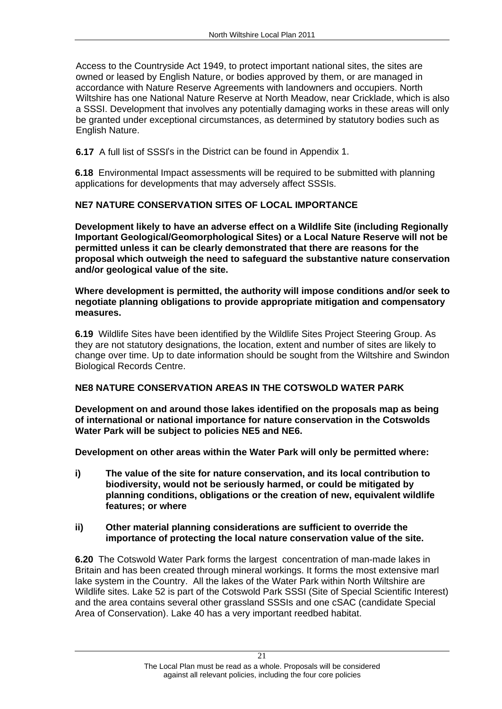Access to the Countryside Act 1949, to protect important national sites, the sites are owned or leased by English Nature, or bodies approved by them, or are managed in accordance with Nature Reserve Agreements with landowners and occupiers. North Wiltshire has one National Nature Reserve at North Meadow, near Cricklade, which is also a SSSI. Development that involves any potentially damaging works in these areas will only be granted under exceptional circumstances, as determined by statutory bodies such as English Nature.

**6.17** A full list of SSSI's in the District can be found in Appendix 1.

**6.18** Environmental Impact assessments will be required to be submitted with planning applications for developments that may adversely affect SSSIs.

**NE7 NATURE CONSERVATION SITES OF LOCAL IMPORTANCE Development likely to have an adverse effect on a Wildlife Site (including Regionally Important Geological/Geomorphological Sites) or a Local Nature Reserve will not be permitted unless it can be clearly demonstrated that there are reasons for the proposal which outweigh the need to safeguard the substantive nature conservation and/or geological value of the site. Where development is permitted, the authority will impose conditions and/or seek to** 

**negotiate planning obligations to provide appropriate mitigation and compensatory measures.**

**6.19** Wildlife Sites have been identified by the Wildlife Sites Project Steering Group. As they are not statutory designations, the location, extent and number of sites are likely to change over time. Up to date information should be sought from the Wiltshire and Swindon Biological Records Centre.

# **NE8 NATURE CONSERVATION AREAS IN THE COTSWOLD WATER PARK**

**Development on and around those lakes identified on the proposals map as being of international or national importance for nature conservation in the Cotswolds**  Water Park will be subject to policies NE5 and NE6.<br>Development on other areas within the Water Park will only be permitted where:

**i) The value of the site for nature conservation, and its local contribution to biodiversity, would not be seriously harmed, or could be mitigated by planning conditions, obligations or the creation of new, equivalent wildlife features; or where** 

# **ii) Other material planning considerations are sufficient to override the importance of protecting the local nature conservation value of the site.**

**6.20** The Cotswold Water Park forms the largest concentration of man-made lakes in Britain and has been created through mineral workings. It forms the most extensive marl lake system in the Country. All the lakes of the Water Park within North Wiltshire are Wildlife sites. Lake 52 is part of the Cotswold Park SSSI (Site of Special Scientific Interest) and the area contains several other grassland SSSIs and one cSAC (candidate Special Area of Conservation). Lake 40 has a very important reedbed habitat.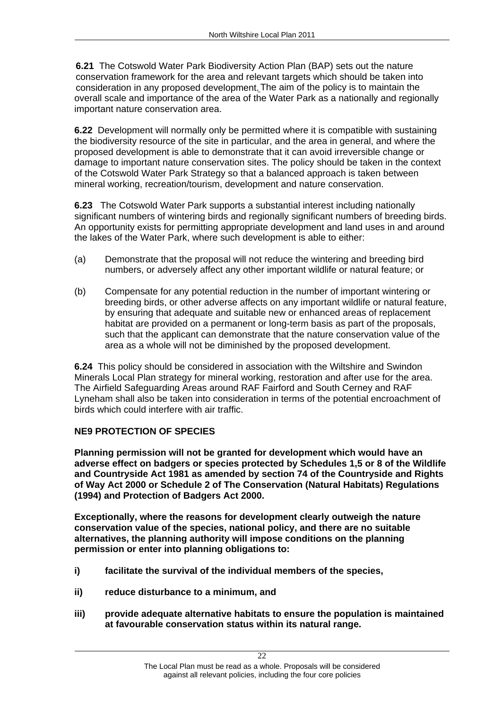**6.21** The Cotswold Water Park Biodiversity Action Plan (BAP) sets out the nature conservation framework for the area and relevant targets which should be taken into consideration in any proposed development.The aim of the policy is to maintain the overall scale and importance of the area of the Water Park as a nationally and regionally important nature conservation area.

**6.22** Development will normally only be permitted where it is compatible with sustaining the biodiversity resource of the site in particular, and the area in general, and where the proposed development is able to demonstrate that it can avoid irreversible change or damage to important nature conservation sites. The policy should be taken in the context of the Cotswold Water Park Strategy so that a balanced approach is taken between mineral working, recreation/tourism, development and nature conservation.

**6.23** The Cotswold Water Park supports a substantial interest including nationally significant numbers of wintering birds and regionally significant numbers of breeding birds. An opportunity exists for permitting appropriate development and land uses in and around the lakes of the Water Park, where such development is able to either:<br>(a) Demonstrate that the proposal will not reduce the wintering and breeding bird

- numbers, or adversely affect any other important wildlife or natural feature; or<br>(b) Compensate for any potential reduction in the number of important wintering or
- breeding birds, or other adverse affects on any important wildlife or natural feature, by ensuring that adequate and suitable new or enhanced areas of replacement habitat are provided on a permanent or long-term basis as part of the proposals, such that the applicant can demonstrate that the nature conservation value of the area as a whole will not be diminished by the proposed development.

**6.24** This policy should be considered in association with the Wiltshire and Swindon Minerals Local Plan strategy for mineral working, restoration and after use for the area. The Airfield Safeguarding Areas around RAF Fairford and South Cerney and RAF Lyneham shall also be taken into consideration in terms of the potential encroachment of birds which could interfere with air traffic.

# **NE9 PROTECTION OF SPECIES**

**Planning permission will not be granted for development which would have an adverse effect on badgers or species protected by Schedules 1,5 or 8 of the Wildlife and Countryside Act 1981 as amended by section 74 of the Countryside and Rights of Way Act 2000 or Schedule 2 of The Conservation (Natural Habitats) Regulations** 

**Exceptionally, where the reasons for development clearly outweigh the nature conservation value of the species, national policy, and there are no suitable alternatives, the planning authority will impose conditions on the planning permission or enter into planning obligations to:** 

- **i) facilitate the survival of the individual members of the species,**
- **ii) reduce disturbance to a minimum, and**
- **iii) provide adequate alternative habitats to ensure the population is maintained at favourable conservation status within its natural range.**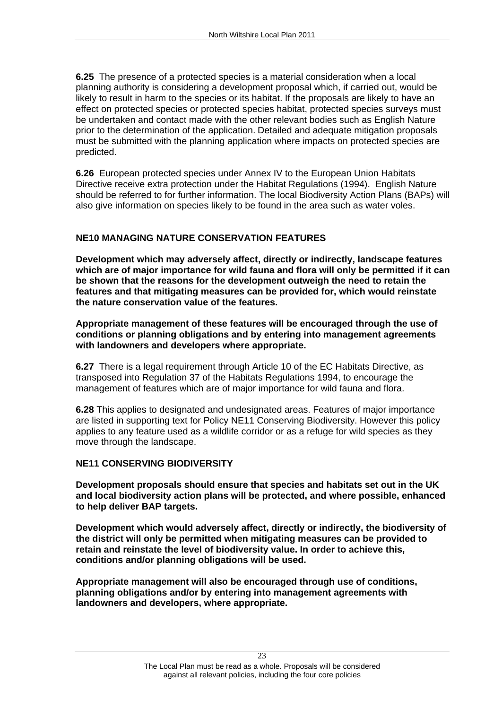**6.25** The presence of a protected species is a material consideration when a local planning authority is considering a development proposal which, if carried out, would be likely to result in harm to the species or its habitat. If the proposals are likely to have an effect on protected species or protected species habitat, protected species surveys must be undertaken and contact made with the other relevant bodies such as English Nature prior to the determination of the application. Detailed and adequate mitigation proposals must be submitted with the planning application where impacts on protected species are predicted.

**6.26** European protected species under Annex IV to the European Union Habitats Directive receive extra protection under the Habitat Regulations (1994). English Nature should be referred to for further information. The local Biodiversity Action Plans (BAPs) will

also give information on species likely to be found in the area such as water voles.<br>**NE10 MANAGING NATURE CONSERVATION FEATURES**<br>Development which may adversely affect, directly or indirectly, landscape features **which are of major importance for wild fauna and flora will only be permitted if it can be shown that the reasons for the development outweigh the need to retain the features and that mitigating measures can be provided for, which would reinstate the nature conservation value of the features. Appropriate management of these features will be encouraged through the use of** 

**conditions or planning obligations and by entering into management agreements with landowners and developers where appropriate. 6.27** There is a legal requirement through Article 10 of the EC Habitats Directive, as

transposed into Regulation 37 of the Habitats Regulations 1994, to encourage the management of features which are of major importance for wild fauna and flora.

**6.28** This applies to designated and undesignated areas. Features of major importance are listed in supporting text for Policy NE11 Conserving Biodiversity. However this policy applies to any feature used as a wildlife corridor or as a refuge for wild species as they move through the landscape.

# **NE11 CONSERVING BIODIVERSITY**

**Development proposals should ensure that species and habitats set out in the UK and local biodiversity action plans will be protected, and where possible, enhanced to help deliver BAP targets. Development which would adversely affect, directly or indirectly, the biodiversity of** 

**the district will only be permitted when mitigating measures can be provided to retain and reinstate the level of biodiversity value. In order to achieve this, conditions and/or planning obligations will be used. Appropriate management will also be encouraged through use of conditions,** 

**planning obligations and/or by entering into management agreements with landowners and developers, where appropriate.**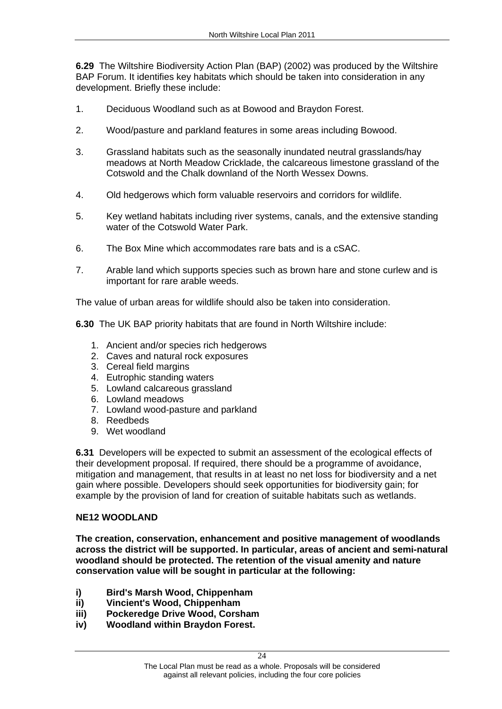**6.29** The Wiltshire Biodiversity Action Plan (BAP) (2002) was produced by the Wiltshire BAP Forum. It identifies key habitats which should be taken into consideration in any

- 
- 
- development. Briefly these include:<br>1. Deciduous Woodland such as at Bowood and Braydon Forest.<br>2. Wood/pasture and parkland features in some areas including Bowood.<br>3. Grassland habitats such as the s meadows at North Meadow Cricklade, the calcareous limestone grassland of the
- 
- Cotswold and the Chalk downland of the North Wessex Downs. 4. Old hedgerows which form valuable reservoirs and corridors for wildlife. 5. Key wetland habitats including river systems, canals, and the extensive standing
- 
- water of the Cotswold Water Park.<br>6. The Box Mine which accommodates rare bats and is a cSAC.<br>7. Arable land which supports species such as brown hare and stone curlew and is important for rare arable weeds.<br>The value of urban areas for wildlife should also be taken into consideration.

**6.30** The UK BAP priority habitats that are found in North Wiltshire include: 1. Ancient and/or species rich hedgerows

- 
- 2. Caves and natural rock exposures
- 3. Cereal field margins
- 4. Eutrophic standing waters
- 5. Lowland calcareous grassland
- 6. Lowland meadows
- 7. Lowland wood-pasture and parkland
- 8. Reedbeds
- 9. Wet woodland

**6.31** Developers will be expected to submit an assessment of the ecological effects of their development proposal. If required, there should be a programme of avoidance, mitigation and management, that results in at least no net loss for biodiversity and a net gain where possible. Developers should seek opportunities for biodiversity gain; for example by the provision of land for creation of suitable habitats such as wetlands.

## **NE12 WOODLAND**

**The creation, conservation, enhancement and positive management of woodlands across the district will be supported. In particular, areas of ancient and semi-natural woodland should be protected. The retention of the visual amenity and nature conservation value will be sought in particular at the following:**

- **i) Bird's Marsh Wood, Chippenham**
- **ii) Vincient's Wood, Chippenham**
- **iii) Pockeredge Drive Wood, Corsham**
- **iv) Woodland within Braydon Forest.**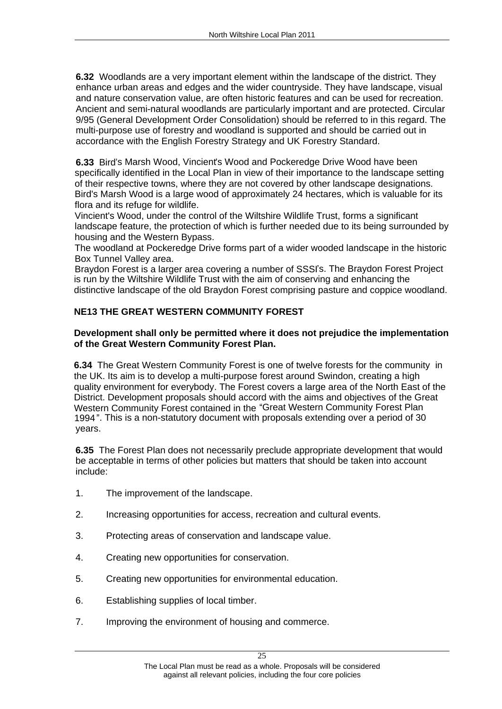**6.32** Woodlands are a very important element within the landscape of the district. They enhance urban areas and edges and the wider countryside. They have landscape, visual and nature conservation value, are often historic features and can be used for recreation. Ancient and semi-natural woodlands are particularly important and are protected. Circular 9/95 (General Development Order Consolidation) should be referred to in this regard. The multi-purpose use of forestry and woodland is supported and should be carried out in accordance with the English Forestry Strategy and UK Forestry Standard.

**6.33** Bird's Marsh Wood, Vincient's Wood and Pockeredge Drive Wood have been specifically identified in the Local Plan in view of their importance to the landscape setting of their respective towns, where they are not covered by other landscape designations. Bird's Marsh Wood is a large wood of approximately 24 hectares, which is valuable for its flora and its refuge for wildlife.

Vincient's Wood, under the control of the Wiltshire Wildlife Trust, forms a significant landscape feature, the protection of which is further needed due to its being surrounded by housing and the Western Bypass.

The woodland at Pockeredge Drive forms part of a wider wooded landscape in the historic Box Tunnel Valley area.

Braydon Forest is a larger area covering a number of SSSI's. The Braydon Forest Project is run by the Wiltshire Wildlife Trust with the aim of conserving and enhancing the distinctive landscape of the old Braydon Forest comprising pasture and coppice woodland.

# **NE13 THE GREAT WESTERN COMMUNITY FOREST<br>Development shall only be permitted where it does not prejudice the implementation<br>of the Great Western Community Forest Plan.**

**6.34** The Great Western Community Forest is one of twelve forests for the community in the UK. Its aim is to develop a multi-purpose forest around Swindon, creating a high quality environment for everybody. The Forest covers a large area of the North East of the District. Development proposals should accord with the aims and objectives of the Great Western Community Forest contained in the "Great Western Community Forest Plan 1994". This is a non-statutory document with proposals extending over a period of 30 years. The contract of the contract of the contract of the contract of the contract of the contract of the contract of the contract of the contract of the contract of the contract of the contract of the contract of the con

**6.35** The Forest Plan does not necessarily preclude appropriate development that would be acceptable in terms of other policies but matters that should be taken into account

- 
- include:<br>
1. The improvement of the landscape.<br>
2. Increasing opportunities for access, recreation and cultural events.<br>
3. Protecting areas of conservation and landscape value.<br>
4. Creating new opportunities for conservat
- 
- 
- 
- 
-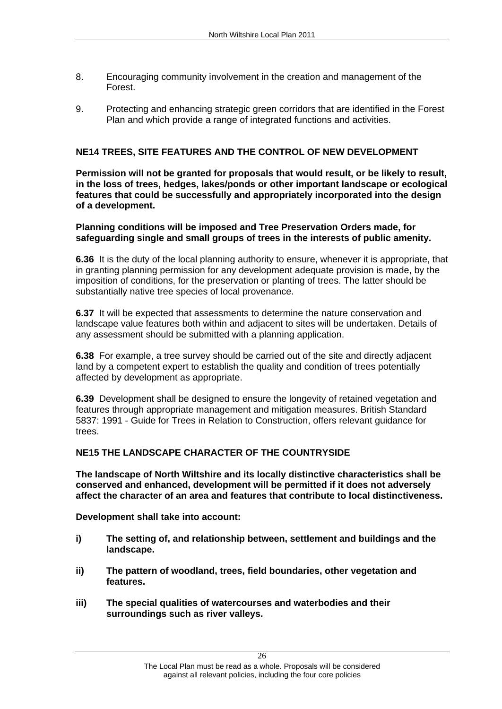- 8. Encouraging community involvement in the creation and management of the Forest. 9. Protecting and enhancing strategic green corridors that are identified in the Forest
- Plan and which provide a range of integrated functions and activities.

# **NE14 TREES, SITE FEATURES AND THE CONTROL OF NEW DEVELOPMENT**

**Permission will not be granted for proposals that would result, or be likely to result, in the loss of trees, hedges, lakes/ponds or other important landscape or ecological features that could be successfully and appropriately incorporated into the design**  of a development.<br>Planning conditions will be imposed and Tree Preservation Orders made, for

**safeguarding single and small groups of trees in the interests of public amenity.**

**6.36** It is the duty of the local planning authority to ensure, whenever it is appropriate, that in granting planning permission for any development adequate provision is made, by the imposition of conditions, for the preservation or planting of trees. The latter should be substantially native tree species of local provenance.

**6.37** It will be expected that assessments to determine the nature conservation and landscape value features both within and adjacent to sites will be undertaken. Details of any assessment should be submitted with a planning application.

**6.38** For example, a tree survey should be carried out of the site and directly adjacent land by a competent expert to establish the quality and condition of trees potentially affected by development as appropriate.

**6.39** Development shall be designed to ensure the longevity of retained vegetation and features through appropriate management and mitigation measures. British Standard 5837: 1991 - Guide for Trees in Relation to Construction, offers relevant guidance for trees.

**NE15 THE LANDSCAPE CHARACTER OF THE COUNTRYSIDE The landscape of North Wiltshire and its locally distinctive characteristics shall be conserved and enhanced, development will be permitted if it does not adversely affect the character of an area and features that contribute to local distinctiveness. Development shall take into account:** 

- **i) The setting of, and relationship between, settlement and buildings and the landscape.**
- **ii) The pattern of woodland, trees, field boundaries, other vegetation and features.**
- **iii) The special qualities of watercourses and waterbodies and their surroundings such as river valleys.**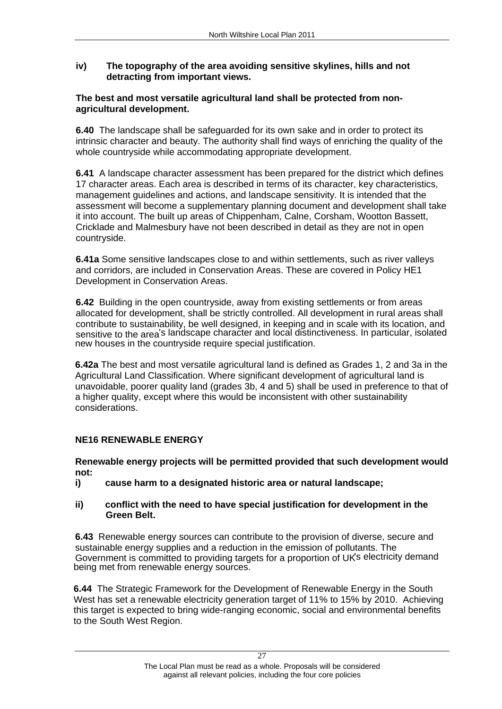# **iv) The topography of the area avoiding sensitive skylines, hills and not detracting from important views. The best and most versatile agricultural land shall be protected from non-**

# **agricultural development.**

**6.40** The landscape shall be safeguarded for its own sake and in order to protect its intrinsic character and beauty. The authority shall find ways of enriching the quality of the whole countryside while accommodating appropriate development.

**6.41** A landscape character assessment has been prepared for the district which defines 17 character areas. Each area is described in terms of its character, key characteristics, management guidelines and actions, and landscape sensitivity. It is intended that the assessment will become a supplementary planning document and development shall take it into account. The built up areas of Chippenham, Calne, Corsham, Wootton Bassett, Cricklade and Malmesbury have not been described in detail as they are not in open countryside.

**6.41a** Some sensitive landscapes close to and within settlements, such as river valleys and corridors, are included in Conservation Areas. These are covered in Policy HE1 Development in Conservation Areas.

**6.42** Building in the open countryside, away from existing settlements or from areas allocated for development, shall be strictly controlled. All development in rural areas shall contribute to sustainability, be well designed, in keeping and in scale with its location, and sensitive to the area's landscape character and local distinctiveness. In particular, isolated new houses in the countryside require special justification.

**6.42a** The best and most versatile agricultural land is defined as Grades 1, 2 and 3a in the Agricultural Land Classification. Where significant development of agricultural land is unavoidable, poorer quality land (grades 3b, 4 and 5) shall be used in preference to that of a higher quality, except where this would be inconsistent with other sustainability considerations.

# **NE16 RENEWABLE ENERGY**

**Renewable energy projects will be permitted provided that such development would not:**

**i) cause harm to a designated historic area or natural landscape;** 

**ii) conflict with the need to have special justification for development in the Green Belt.**

**6.43** Renewable energy sources can contribute to the provision of diverse, secure and sustainable energy supplies and a reduction in the emission of pollutants. The Government is committed to providing targets for a proportion of UKs electricity demand being met from renewable energy sources.

**6.44** The Strategic Framework for the Development of Renewable Energy in the South West has set a renewable electricity generation target of 11% to 15% by 2010. Achieving this target is expected to bring wide-ranging economic, social and environmental benefits to the South West Region.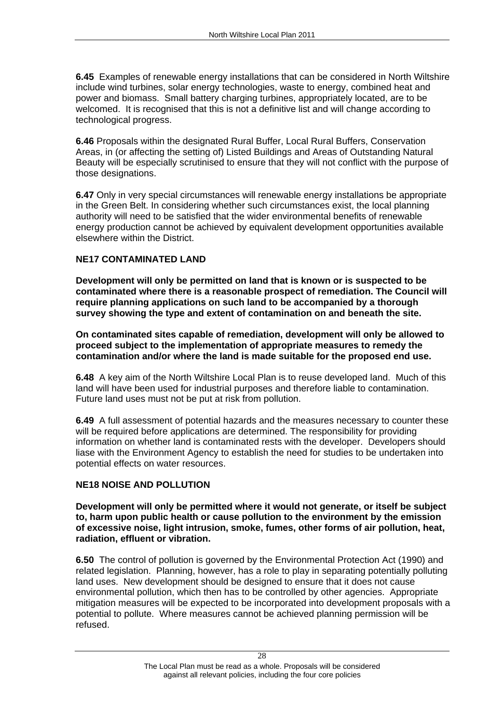**6.45** Examples of renewable energy installations that can be considered in North Wiltshire include wind turbines, solar energy technologies, waste to energy, combined heat and power and biomass. Small battery charging turbines, appropriately located, are to be welcomed. It is recognised that this is not a definitive list and will change according to technological progress.

**6.46** Proposals within the designated Rural Buffer, Local Rural Buffers, Conservation Areas, in (or affecting the setting of) Listed Buildings and Areas of Outstanding Natural Beauty will be especially scrutinised to ensure that they will not conflict with the purpose of those designations.

**6.47** Only in very special circumstances will renewable energy installations be appropriate in the Green Belt. In considering whether such circumstances exist, the local planning authority will need to be satisfied that the wider environmental benefits of renewable energy production cannot be achieved by equivalent development opportunities available elsewhere within the District.

# **NE17 CONTAMINATED LAND**

**Development will only be permitted on land that is known or is suspected to be contaminated where there is a reasonable prospect of remediation. The Council will require planning applications on such land to be accompanied by a thorough survey showing the type and extent of contamination on and beneath the site. On contaminated sites capable of remediation, development will only be allowed to** 

**proceed subject to the implementation of appropriate measures to remedy the contamination and/or where the land is made suitable for the proposed end use.**

**6.48** A key aim of the North Wiltshire Local Plan is to reuse developed land. Much of this land will have been used for industrial purposes and therefore liable to contamination. Future land uses must not be put at risk from pollution.

**6.49** A full assessment of potential hazards and the measures necessary to counter these will be required before applications are determined. The responsibility for providing information on whether land is contaminated rests with the developer. Developers should liase with the Environment Agency to establish the need for studies to be undertaken into potential effects on water resources.

**NE18 NOISE AND POLLUTION**<br>Development will only be permitted where it would not generate, or itself be subject **to, harm upon public health or cause pollution to the environment by the emission of excessive noise, light intrusion, smoke, fumes, other forms of air pollution, heat, radiation, effluent or vibration.**<br>**6.50** The control of pollution is governed by the Environmental Protection Act (1990) and

related legislation. Planning, however, has a role to play in separating potentially polluting land uses. New development should be designed to ensure that it does not cause environmental pollution, which then has to be controlled by other agencies. Appropriate mitigation measures will be expected to be incorporated into development proposals with a potential to pollute. Where measures cannot be achieved planning permission will be refused.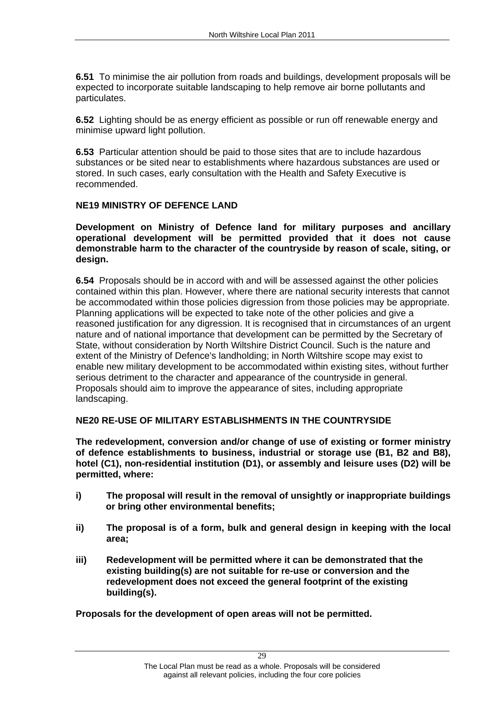**6.51** To minimise the air pollution from roads and buildings, development proposals will be expected to incorporate suitable landscaping to help remove air borne pollutants and particulates.

**6.52** Lighting should be as energy efficient as possible or run off renewable energy and minimise upward light pollution.

**6.53** Particular attention should be paid to those sites that are to include hazardous substances or be sited near to establishments where hazardous substances are used or stored. In such cases, early consultation with the Health and Safety Executive is recommended.

**NE19 MINISTRY OF DEFENCE LAND**<br>Development on Ministry of Defence land for military purposes and ancillary **operational development will be permitted provided that it does not cause demonstrable harm to the character of the countryside by reason of scale, siting, or design.**

**6.54** Proposals should be in accord with and will be assessed against the other policies contained within this plan. However, where there are national security interests that cannot be accommodated within those policies digression from those policies may be appropriate. Planning applications will be expected to take note of the other policies and give a reasoned justification for any digression. It is recognised that in circumstances of an urgent nature and of national importance that development can be permitted by the Secretary of State, without consideration by North Wiltshire District Council. Such is the nature and extent of the Ministry of Defence's landholding; in North Wiltshire scope may exist to enable new military development to be accommodated within existing sites, without further serious detriment to the character and appearance of the countryside in general. Proposals should aim to improve the appearance of sites, including appropriate landscaping.

## **NE20 RE-USE OF MILITARY ESTABLISHMENTS IN THE COUNTRYSIDE**

**The redevelopment, conversion and/or change of use of existing or former ministry of defence establishments to business, industrial or storage use (B1, B2 and B8), hotel (C1), non-residential institution (D1), or assembly and leisure uses (D2) will be permitted, where:**

- **i) The proposal will result in the removal of unsightly or inappropriate buildings or bring other environmental benefits;**
- **ii) The proposal is of a form, bulk and general design in keeping with the local area;**
- **iii) Redevelopment will be permitted where it can be demonstrated that the existing building(s) are not suitable for re-use or conversion and the redevelopment does not exceed the general footprint of the existing building(s). Proposals for the development of open areas will not be permitted.**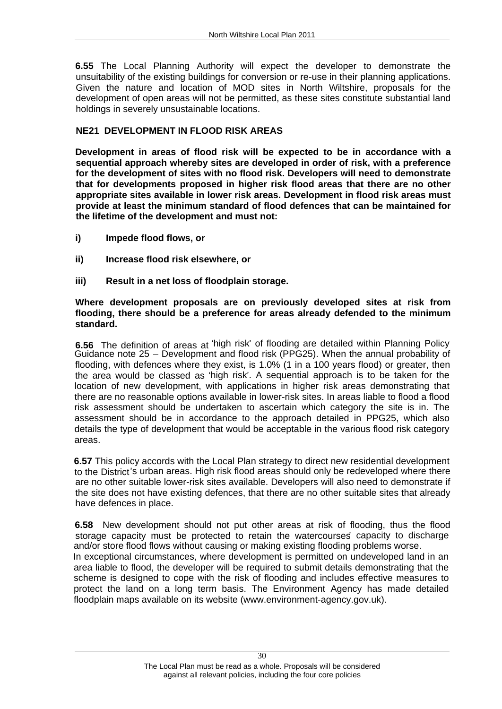**6.55** The Local Planning Authority will expect the developer to demonstrate the unsuitability of the existing buildings for conversion or re-use in their planning applications. Given the nature and location of MOD sites in North Wiltshire, proposals for the development of open areas will not be permitted, as these sites constitute substantial land holdings in severely unsustainable locations.

**NE21 DEVELOPMENT IN FLOOD RISK AREAS**<br>Development in areas of flood risk will be expected to be in accordance with a **sequential approach whereby sites are developed in order of risk, with a preference for the development of sites with no flood risk. Developers will need to demonstrate that for developments proposed in higher risk flood areas that there are no other appropriate sites available in lower risk areas. Development in flood risk areas must provide at least the minimum standard of flood defences that can be maintained for the lifetime of the development and must not:** 

- **i) Impede flood flows, or**
- **ii) Increase flood risk elsewhere, or**
- 

# **iii) Result in a net loss of floodplain storage. Where development proposals are on previously developed sites at risk from flooding, there should be a preference for areas already defended to the minimum standard.**

**6.56** The definition of areas at 'high risk' of flooding are detailed within Planning Policy Guidance note 25 – Development and flood risk (PPG25). When the annual probability of flooding, with defences where they exist, is 1.0% (1 in a 100 years flood) or greater, then the area would be classed as 'high risk'. A sequential approach is to be taken for the location of new development, with applications in higher risk areas demonstrating that there are no reasonable options available in lower-risk sites. In areas liable to flood a flood risk assessment should be undertaken to ascertain which category the site is in. The assessment should be in accordance to the approach detailed in PPG25, which also details the type of development that would be acceptable in the various flood risk category

areas. **6.57** This policy accords with the Local Plan strategy to direct new residential development to the District's urban areas. High risk flood areas should only be redeveloped where there are no other suitable lower-risk sites available. Developers will also need to demonstrate if the site does not have existing defences, that there are no other suitable sites that already have defences in place.

**6.58** New development should not put other areas at risk of flooding, thus the flood storage capacity must be protected to retain the watercourses capacity to discharge and/or store flood flows without causing or making existing flooding problems worse. In exceptional circumstances, where development is permitted on undeveloped land in an

area liable to flood, the developer will be required to submit details demonstrating that the scheme is designed to cope with the risk of flooding and includes effective measures to protect the land on a long term basis. The Environment Agency has made detailed floodplain maps available on its website (www.environment-agency.gov.uk).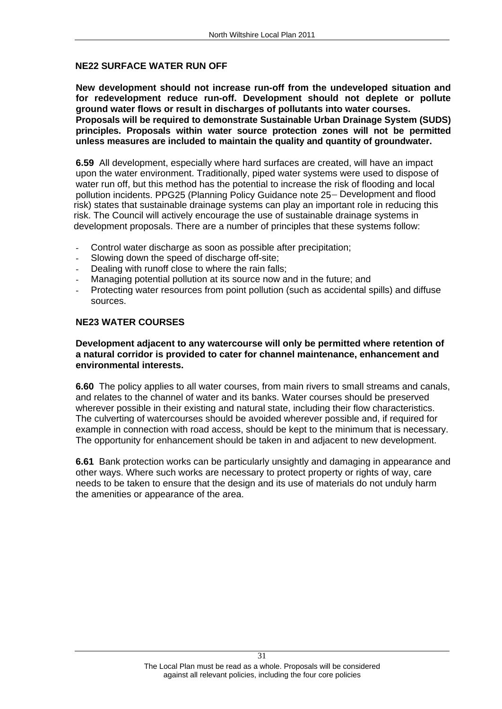**NE22 SURFACE WATER RUN OFF<br>New development should not increase run-off from the undeveloped situation and for redevelopment reduce run-off. Development should not deplete or pollute ground water flows or result in discharges of pollutants into water courses. Proposals will be required to demonstrate Sustainable Urban Drainage System (SUDS) principles. Proposals within water source protection zones will not be permitted unless measures are included to maintain the quality and quantity of groundwater. 6.59** All development, especially where hard surfaces are created, will have an impact

upon the water environment. Traditionally, piped water systems were used to dispose of water run off, but this method has the potential to increase the risk of flooding and local pollution incidents. PPG25 (Planning Policy Guidance note 25- Development and flood risk) states that sustainable drainage systems can play an important role in reducing this risk. The Council will actively encourage the use of sustainable drainage systems in development proposals. There are a number of principles that these systems follow:

- Control water discharge as soon as possible after precipitation;
- Slowing down the speed of discharge off-site;
- Dealing with runoff close to where the rain falls;
- Managing potential pollution at its source now and in the future: and
- Protecting water resources from point pollution (such as accidental spills) and diffuse sources. The contract of the contract of the contract of the contract of the contract of the contract of the contract of the contract of the contract of the contract of the contract of the contract of the contract of the c

### **NE23 WATER COURSES**

# **Development adjacent to any watercourse will only be permitted where retention of a natural corridor is provided to cater for channel maintenance, enhancement and environmental interests.**<br>**6.60** The policy applies to all water courses, from main rivers to small streams and canals,

and relates to the channel of water and its banks. Water courses should be preserved wherever possible in their existing and natural state, including their flow characteristics. The culverting of watercourses should be avoided wherever possible and, if required for example in connection with road access, should be kept to the minimum that is necessary. The opportunity for enhancement should be taken in and adjacent to new development.

**6.61** Bank protection works can be particularly unsightly and damaging in appearance and other ways. Where such works are necessary to protect property or rights of way, care needs to be taken to ensure that the design and its use of materials do not unduly harm the amenities or appearance of the area.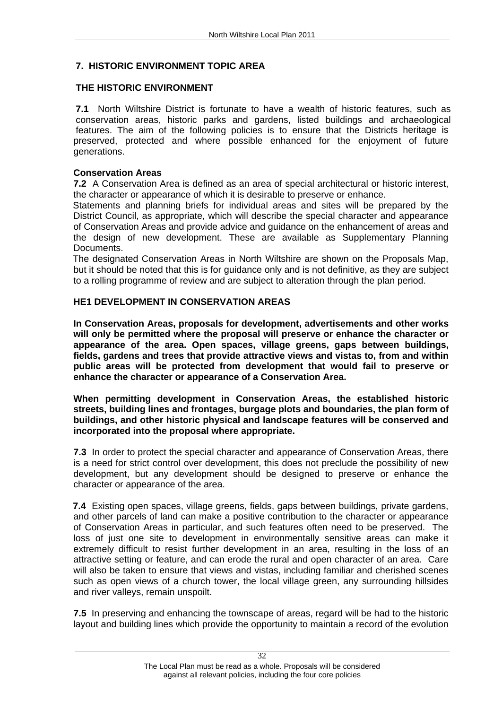**7. HISTORIC ENVIRONMENT TOPIC AREA<br>THE HISTORIC ENVIRONMENT<br>7.1** North Wiltshire District is fortunate to have a wealth of historic features, such as conservation areas, historic parks and gardens, listed buildings and archaeological features. The aim of the following policies is to ensure that the Districts heritage is preserved, protected and where possible enhanced for the enjoyment of future generations. The contract of the contract of the contract of the contract of the contract of the contract of the contract of the contract of the contract of the contract of the contract of the contract of the contract of t

# **Conservation Areas**

**7.2** A Conservation Area is defined as an area of special architectural or historic interest, the character or appearance of which it is desirable to preserve or enhance.

Statements and planning briefs for individual areas and sites will be prepared by the District Council, as appropriate, which will describe the special character and appearance of Conservation Areas and provide advice and guidance on the enhancement of areas and the design of new development. These are available as Supplementary Planning Documents. **Example 20** Note that the contract of the contract of the contract of the contract of the contract of the contract of the contract of the contract of the contract of the contract of the contract of the contract

The designated Conservation Areas in North Wiltshire are shown on the Proposals Map, but it should be noted that this is for guidance only and is not definitive, as they are subject to a rolling programme of review and are subject to alteration through the plan period.

# **HE1 DEVELOPMENT IN CONSERVATION AREAS**

**In Conservation Areas, proposals for development, advertisements and other works will only be permitted where the proposal will preserve or enhance the character or appearance of the area. Open spaces, village greens, gaps between buildings, fields, gardens and trees that provide attractive views and vistas to, from and within public areas will be protected from development that would fail to preserve or enhance the character or appearance of a Conservation Area.**

**When permitting development in Conservation Areas, the established historic streets, building lines and frontages, burgage plots and boundaries, the plan form of buildings, and other historic physical and landscape features will be conserved and incorporated into the proposal where appropriate.**

**7.3** In order to protect the special character and appearance of Conservation Areas, there is a need for strict control over development, this does not preclude the possibility of new development, but any development should be designed to preserve or enhance the character or appearance of the area.

**7.4** Existing open spaces, village greens, fields, gaps between buildings, private gardens, and other parcels of land can make a positive contribution to the character or appearance of Conservation Areas in particular, and such features often need to be preserved. The loss of just one site to development in environmentally sensitive areas can make it extremely difficult to resist further development in an area, resulting in the loss of an attractive setting or feature, and can erode the rural and open character of an area. Care will also be taken to ensure that views and vistas, including familiar and cherished scenes such as open views of a church tower, the local village green, any surrounding hillsides and river valleys, remain unspoilt.

**7.5** In preserving and enhancing the townscape of areas, regard will be had to the historic layout and building lines which provide the opportunity to maintain a record of the evolution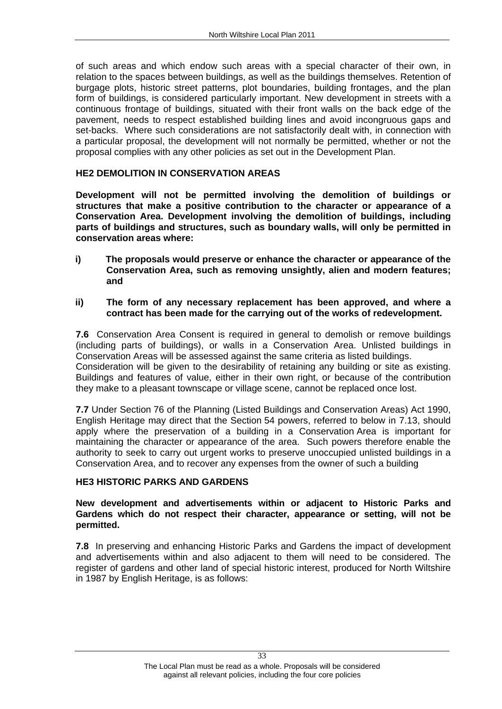of such areas and which endow such areas with a special character of their own, in relation to the spaces between buildings, as well as the buildings themselves. Retention of burgage plots, historic street patterns, plot boundaries, building frontages, and the plan form of buildings, is considered particularly important. New development in streets with a continuous frontage of buildings, situated with their front walls on the back edge of the pavement, needs to respect established building lines and avoid incongruous gaps and set-backs. Where such considerations are not satisfactorily dealt with, in connection with a particular proposal, the development will not normally be permitted, whether or not the proposal complies with any other policies as set out in the Development Plan.

**HE2 DEMOLITION IN CONSERVATION AREAS**<br>Development will not be permitted involving the demolition of buildings or **structures that make a positive contribution to the character or appearance of a Conservation Area. Development involving the demolition of buildings, including parts of buildings and structures, such as boundary walls, will only be permitted in conservation areas where:** 

- **i) The proposals would preserve or enhance the character or appearance of the Conservation Area, such as removing unsightly, alien and modern features; and**
- **ii) The form of any necessary replacement has been approved, and where a contract has been made for the carrying out of the works of redevelopment.**

**7.6** Conservation Area Consent is required in general to demolish or remove buildings (including parts of buildings), or walls in a Conservation Area. Unlisted buildings in Conservation Areas will be assessed against the same criteria as listed buildings.Consideration will be given to the desirability of retaining any building or site as existing. Buildings and features of value, either in their own right, or because of the contribution they make to a pleasant townscape or village scene, cannot be replaced once lost.

**7.7** Under Section 76 of the Planning (Listed Buildings and Conservation Areas) Act 1990, English Heritage may direct that the Section 54 powers, referred to below in 7.13, should apply where the preservation of a building in a Conservation Area is important for maintaining the character or appearance of the area. Such powers therefore enable the authority to seek to carry out urgent works to preserve unoccupied unlisted buildings in a Conservation Area, and to recover any expenses from the owner of such a building.

**HE3 HISTORIC PARKS AND GARDENS**<br>New development and advertisements within or adjacent to Historic Parks and **Gardens which do not respect their character, appearance or setting, will not be permitted.** 

**7.8** In preserving and enhancing Historic Parks and Gardens the impact of development and advertisements within and also adjacent to them will need to be considered. The register of gardens and other land of special historic interest, produced for North Wiltshire in 1987 by English Heritage, is as follows: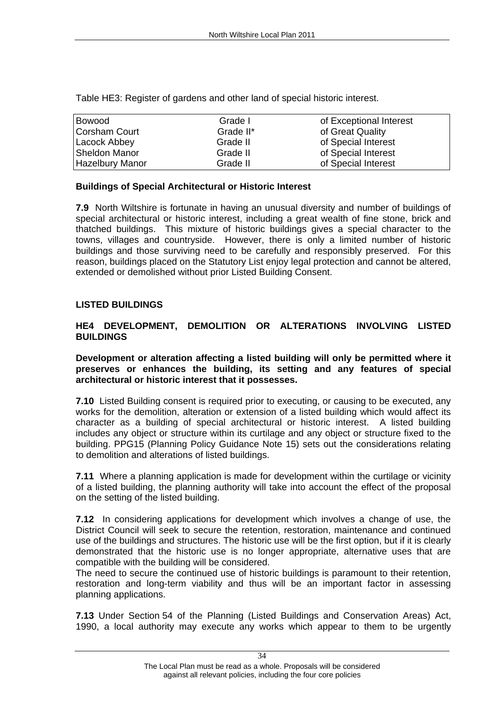|                        | Table HE3: Register of gardens and other land of special historic interest. |                         |  |  |  |
|------------------------|-----------------------------------------------------------------------------|-------------------------|--|--|--|
| Bowood                 | Grade I                                                                     | of Exceptional Interest |  |  |  |
| <b>Corsham Court</b>   | Grade II*                                                                   | of Great Quality        |  |  |  |
| Lacock Abbey           | Grade II                                                                    | of Special Interest     |  |  |  |
| Sheldon Manor          | Grade II                                                                    | of Special Interest     |  |  |  |
| <b>Hazelbury Manor</b> | Grade II                                                                    | of Special Interest     |  |  |  |

**Buildings of Special Architectural or Historic Interest**<br>**7.9** North Wiltshire is fortunate in having an unusual diversity and number of buildings of special architectural or historic interest, including a great wealth of fine stone, brick and thatched buildings. This mixture of historic buildings gives a special character to the towns, villages and countryside. However, there is only a limited number of historic buildings and those surviving need to be carefully and responsibly preserved. For this reason, buildings placed on the Statutory List enjoy legal protection and cannot be altered, extended or demolished without prior Listed Building Consent.

# **LISTED BUILDINGS HE4 DEVELOPMENT, DEMOLITION OR ALTERATIONS INVOLVING LISTED BUILDINGS**

**Development or alteration affecting a listed building will only be permitted where it preserves or enhances the building, its setting and any features of special architectural or historic interest that it possesses.**

**7.10** Listed Building consent is required prior to executing, or causing to be executed, any works for the demolition, alteration or extension of a listed building which would affect its character as a building of special architectural or historic interest. A listed building includes any object or structure within its curtilage and any object or structure fixed to the building. PPG15 (Planning Policy Guidance Note 15) sets out the considerations relating to demolition and alterations of listed buildings.

**7.11** Where a planning application is made for development within the curtilage or vicinity of a listed building, the planning authority will take into account the effect of the proposal on the setting of the listed building.

**7.12** In considering applications for development which involves a change of use, the District Council will seek to secure the retention, restoration, maintenance and continued use of the buildings and structures. The historic use will be the first option, but if it is clearly demonstrated that the historic use is no longer appropriate, alternative uses that are compatible with the building will be considered.

The need to secure the continued use of historic buildings is paramount to their retention, restoration and long-term viability and thus will be an important factor in assessing planning applications.

**7.13** Under Section 54 of the Planning (Listed Buildings and Conservation Areas) Act, 1990, a local authority may execute any works which appear to them to be urgently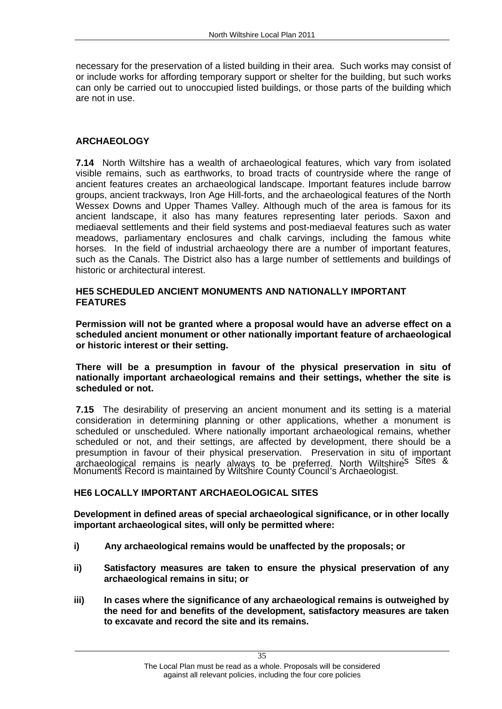necessary for the preservation of a listed building in their area. Such works may consist of or include works for affording temporary support or shelter for the building, but such works can only be carried out to unoccupied listed buildings, or those parts of the building which are not in use.

**ARCHAEOLOGY 7.14** North Wiltshire has a wealth of archaeological features, which vary from isolated visible remains, such as earthworks, to broad tracts of countryside where the range of ancient features creates an archaeological landscape. Important features include barrow groups, ancient trackways, Iron Age Hill-forts, and the archaeological features of the North Wessex Downs and Upper Thames Valley. Although much of the area is famous for its ancient landscape, it also has many features representing later periods. Saxon and mediaeval settlements and their field systems and post-mediaeval features such as water meadows, parliamentary enclosures and chalk carvings, including the famous white horses. In the field of industrial archaeology there are a number of important features, such as the Canals. The District also has a large number of settlements and buildings of historic or architectural interest.

# HE5 SCHEDULED ANCIENT MONUMENTS AND NATIONALLY IMPORTANT<br>FEATURES<br>Permission will not be granted where a proposal would have an adverse effect on a

**scheduled ancient monument or other nationally important feature of archaeological or historic interest or their setting. There will be a presumption in favour of the physical preservation in situ of** 

**nationally important archaeological remains and their settings, whether the site is scheduled or not.**

**7.15** The desirability of preserving an ancient monument and its setting is a material consideration in determining planning or other applications, whether a monument is scheduled or unscheduled. Where nationally important archaeological remains, whether scheduled or not, and their settings, are affected by development, there should be a presumption in favour of their physical preservation. Preservation in situ of important archaeological remains is nearly always to be preferred. North Wiltshire<sup>'s Sites &</sup> Monumentš Record is maintained by Wiltshire County Council's Archaeologist.

**HE6 LOCALLY IMPORTANT ARCHAEOLOGICAL SITES**<br>Development in defined areas of special archaeological significance, or in other locally **important archaeological sites, will only be permitted where:** 

- **i) Any archaeological remains would be unaffected by the proposals; or**
- **ii) Satisfactory measures are taken to ensure the physical preservation of any archaeological remains in situ; or**
- **iii) In cases where the significance of any archaeological remains is outweighed by the need for and benefits of the development, satisfactory measures are taken to excavate and record the site and its remains.**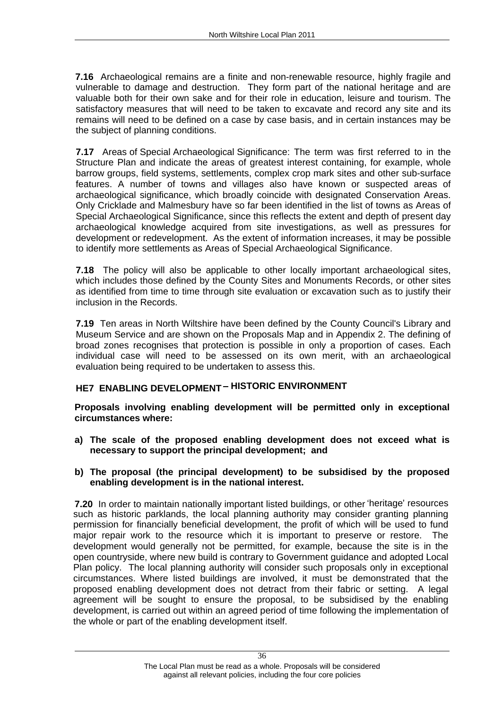**7.16** Archaeological remains are a finite and non-renewable resource, highly fragile and vulnerable to damage and destruction. They form part of the national heritage and are valuable both for their own sake and for their role in education, leisure and tourism. The satisfactory measures that will need to be taken to excavate and record any site and its remains will need to be defined on a case by case basis, and in certain instances may be the subject of planning conditions.

**7.17** Areas of Special Archaeological Significance: The term was first referred to in the Structure Plan and indicate the areas of greatest interest containing, for example, whole barrow groups, field systems, settlements, complex crop mark sites and other sub-surface features. A number of towns and villages also have known or suspected areas of archaeological significance, which broadly coincide with designated Conservation Areas. Only Cricklade and Malmesbury have so far been identified in the list of towns as Areas of Special Archaeological Significance, since this reflects the extent and depth of present day archaeological knowledge acquired from site investigations, as well as pressures for development or redevelopment. As the extent of information increases, it may be possible to identify more settlements as Areas of Special Archaeological Significance.

**7.18** The policy will also be applicable to other locally important archaeological sites, which includes those defined by the County Sites and Monuments Records, or other sites as identified from time to time through site evaluation or excavation such as to justify their inclusion in the Records.

**7.19** Ten areas in North Wiltshire have been defined by the County Council's Library and Museum Service and are shown on the Proposals Map and in Appendix 2. The defining of broad zones recognises that protection is possible in only a proportion of cases. Each individual case will need to be assessed on its own merit, with an archaeological evaluation being required to be undertaken to assess this.

# **HE7 ENABLING DEVELOPMENT - HISTORIC ENVIRONMENT**

**Proposals involving enabling development will be permitted only in exceptional circumstances where: a) The scale of the proposed enabling development does not exceed what is** 

- **necessary to support the principal development; and b) The proposal (the principal development) to be subsidised by the proposed**
- **enabling development is in the national interest.**<br>**7.20** In order to maintain nationally important listed buildings, or other 'heritage' resources

such as historic parklands, the local planning authority may consider granting planning permission for financially beneficial development, the profit of which will be used to fund major repair work to the resource which it is important to preserve or restore. The development would generally not be permitted, for example, because the site is in the open countryside, where new build is contrary to Government guidance and adopted Local Plan policy. The local planning authority will consider such proposals only in exceptional circumstances. Where listed buildings are involved, it must be demonstrated that the proposed enabling development does not detract from their fabric or setting. A legal agreement will be sought to ensure the proposal, to be subsidised by the enabling development, is carried out within an agreed period of time following the implementation of the whole or part of the enabling development itself.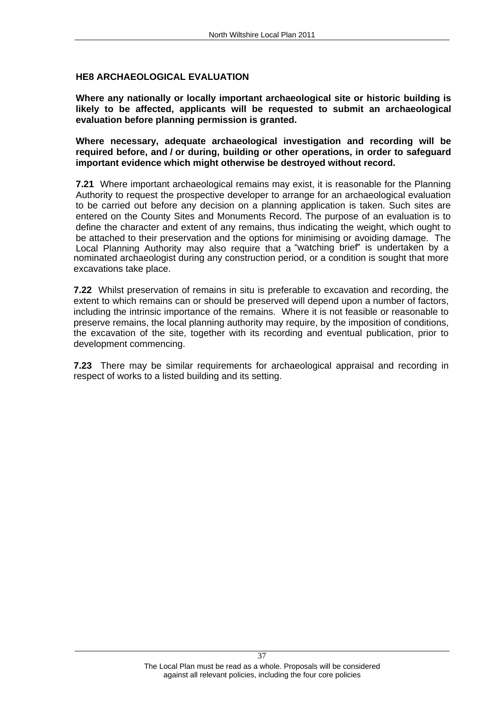**HE8 ARCHAEOLOGICAL EVALUATION Where any nationally or locally important archaeological site or historic building is likely to be affected, applicants will be requested to submit an archaeological evaluation before planning permission is granted. Where necessary, adequate archaeological investigation and recording will be** 

**required before, and / or during, building or other operations, in order to safeguard important evidence which might otherwise be destroyed without record.**

**7.21** Where important archaeological remains may exist, it is reasonable for the Planning Authority to request the prospective developer to arrange for an archaeological evaluation to be carried out before any decision on a planning application is taken. Such sites are entered on the County Sites and Monuments Record. The purpose of an evaluation is to define the character and extent of any remains, thus indicating the weight, which ought to be attached to their preservation and the options for minimising or avoiding damage. The Local Planning Authority may also require that a "watching brief" is undertaken by a nominated archaeologist during any construction period, or a condition is sought that more excavations take place.

**7.22** Whilst preservation of remains in situ is preferable to excavation and recording, the extent to which remains can or should be preserved will depend upon a number of factors, including the intrinsic importance of the remains. Where it is not feasible or reasonable to preserve remains, the local planning authority may require, by the imposition of conditions, the excavation of the site, together with its recording and eventual publication, prior to development commencing.

**7.23** There may be similar requirements for archaeological appraisal and recording in respect of works to a listed building and its setting.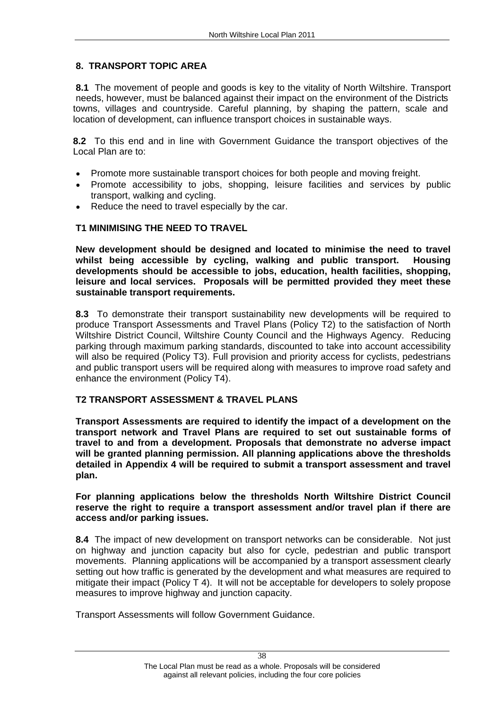# **8. TRANSPORT TOPIC AREA**

**8.1** The movement of people and goods is key to the vitality of North Wiltshire. Transport needs, however, must be balanced against their impact on the environment of the Districts towns, villages and countryside. Careful planning, by shaping the pattern, scale and location of development, can influence transport choices in sustainable ways.

**8.2** To this end and in line with Government Guidance the transport objectives of the Local Plan are to:<br>• Promote more sustainable transport choices for both people and moving freight.

- 
- $\bullet$ Promote accessibility to jobs, shopping, leisure facilities and services by public transport, walking and cycling.
- Reduce the need to travel especially by the car.

# **T1 MINIMISING THE NEED TO TRAVEL**

**New development should be designed and located to minimise the need to travel whilst being accessible by cycling, walking and public transport. Housing developments should be accessible to jobs, education, health facilities, shopping, leisure and local services. Proposals will be permitted provided they meet these sustainable transport requirements.**

**8.3** To demonstrate their transport sustainability new developments will be required to produce Transport Assessments and Travel Plans (Policy T2) to the satisfaction of North Wiltshire District Council, Wiltshire County Council and the Highways Agency. Reducing parking through maximum parking standards, discounted to take into account accessibility will also be required (Policy T3). Full provision and priority access for cyclists, pedestrians and public transport users will be required along with measures to improve road safety and enhance the environment (Policy T4).

**T2 TRANSPORT ASSESSMENT & TRAVEL PLANS Transport Assessments are required to identify the impact of a development on the transport network and Travel Plans are required to set out sustainable forms of travel to and from a development. Proposals that demonstrate no adverse impact will be granted planning permission. All planning applications above the thresholds detailed in Appendix 4 will be required to submit a transport assessment and travel plan. For planning applications below the thresholds North Wiltshire District Council** 

**reserve the right to require a transport assessment and/or travel plan if there are access and/or parking issues.**

**8.4** The impact of new development on transport networks can be considerable. Not just on highway and junction capacity but also for cycle, pedestrian and public transport movements. Planning applications will be accompanied by a transport assessment clearly setting out how traffic is generated by the development and what measures are required to mitigate their impact (Policy T 4). It will not be acceptable for developers to solely propose measures to improve highway and junction capacity. Transport Assessments will follow Government Guidance.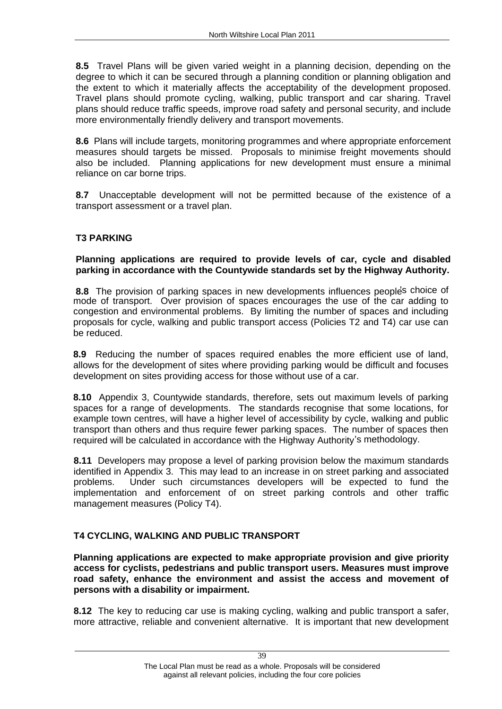**8.5** Travel Plans will be given varied weight in a planning decision, depending on the degree to which it can be secured through a planning condition or planning obligation and the extent to which it materially affects the acceptability of the development proposed. Travel plans should promote cycling, walking, public transport and car sharing. Travel plans should reduce traffic speeds, improve road safety and personal security, and include more environmentally friendly delivery and transport movements.

**8.6** Plans will include targets, monitoring programmes and where appropriate enforcement measures should targets be missed. Proposals to minimise freight movements should also be included. Planning applications for new development must ensure a minimal reliance on car borne trips.

**8.7** Unacceptable development will not be permitted because of the existence of a transport assessment or a travel plan.

# **T3 PARKING Planning applications are required to provide levels of car, cycle and disabled parking in accordance with the Countywide standards set by the Highway Authority.**

**8.8** The provision of parking spaces in new developments influences peoples choice of mode of transport. Over provision of spaces encourages the use of the car adding to congestion and environmental problems. By limiting the number of spaces and including proposals for cycle, walking and public transport access (Policies T2 and T4) car use can be reduced.

**8.9** Reducing the number of spaces required enables the more efficient use of land, allows for the development of sites where providing parking would be difficult and focuses development on sites providing access for those without use of a car.

**8.10** Appendix 3, Countywide standards, therefore, sets out maximum levels of parking spaces for a range of developments. The standards recognise that some locations, for example town centres, will have a higher level of accessibility by cycle, walking and public transport than others and thus require fewer parking spaces. The number of spaces then required will be calculated in accordance with the Highway Authority's methodology.

**8.11** Developers may propose a level of parking provision below the maximum standards identified in Appendix 3. This may lead to an increase in on street parking and associated problems. Under such circumstances developers will be expected to fund the implementation and enforcement of on street parking controls and other traffic management measures (Policy T4).

**T4 CYCLING, WALKING AND PUBLIC TRANSPORT Planning applications are expected to make appropriate provision and give priority access for cyclists, pedestrians and public transport users. Measures must improve road safety, enhance the environment and assist the access and movement of persons with a disability or impairment.**

**8.12** The key to reducing car use is making cycling, walking and public transport a safer, more attractive, reliable and convenient alternative. It is important that new development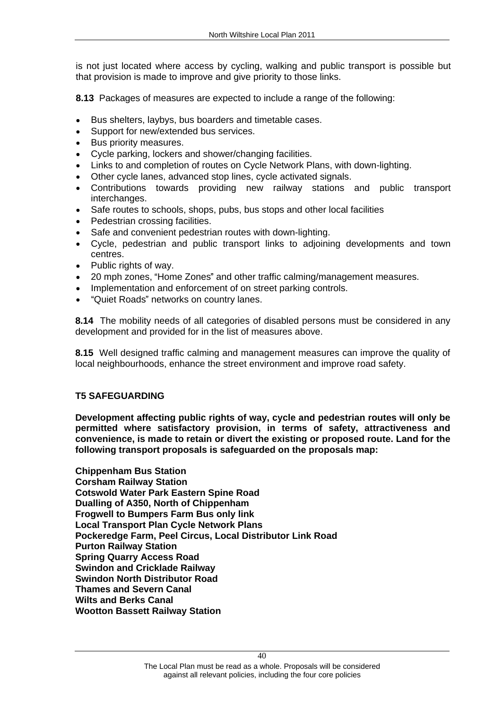is not just located where access by cycling, walking and public transport is possible but that provision is made to improve and give priority to those links.

**8.13** Packages of measures are expected to include a range of the following:<br>• Bus shelters, laybys, bus boarders and timetable cases.

- 
- Support for new/extended bus services.
- $\bullet$ Bus priority measures.
- Cycle parking, lockers and shower/changing facilities.  $\bullet$
- Links to and completion of routes on Cycle Network Plans, with down-lighting.  $\bullet$
- Other cycle lanes, advanced stop lines, cycle activated signals.  $\bullet$
- Contributions towards providing new railway stations and public transport interchanges.
- Safe routes to schools, shops, pubs, bus stops and other local facilities
- $\bullet$ Pedestrian crossing facilities.
- $\bullet$ Safe and convenient pedestrian routes with down-lighting.
- Cycle, pedestrian and public transport links to adjoining developments and town centres.
- Public rights of way.  $\bullet$
- 20 mph zones, "Home Zones" and other traffic calming/management measures.
- Implementation and enforcement of on street parking controls.
- "Quiet Roads" networks on country lanes.

**8.14** The mobility needs of all categories of disabled persons must be considered in any development and provided for in the list of measures above.

**8.15** Well designed traffic calming and management measures can improve the quality of local neighbourhoods, enhance the street environment and improve road safety.

T5 SAFEGUARDING<br>Development affecting public rights of way, cycle and pedestrian routes will only be **permitted where satisfactory provision, in terms of safety, attractiveness and convenience, is made to retain or divert the existing or proposed route. Land for the following transport proposals is safeguarded on the proposals map: Chippenham Bus Station**

**Corsham Railway Station Cotswold Water Park Eastern Spine Road Dualling of A350, North of Chippenham Frogwell to Bumpers Farm Bus only link Local Transport Plan Cycle Network Plans Pockeredge Farm, Peel Circus, Local Distributor Link Road Purton Railway Station Spring Quarry Access Road Swindon and Cricklade Railway Swindon North Distributor Road Thames and Severn Canal Wilts and Berks Canal Wootton Bassett Railway Station**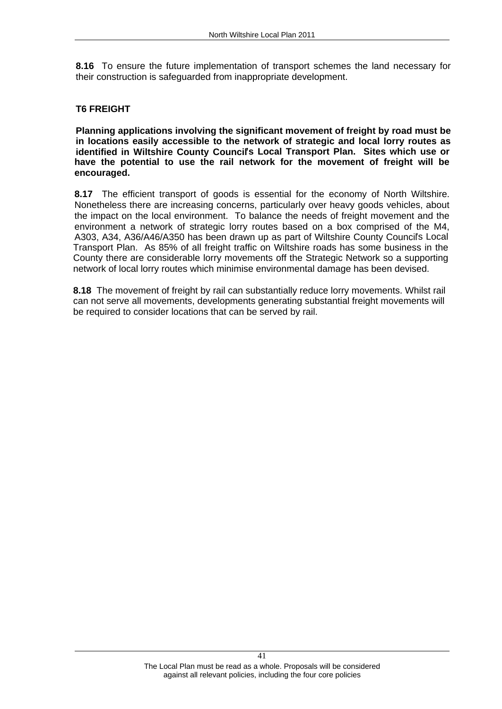**8.16** To ensure the future implementation of transport schemes the land necessary for their construction is safeguarded from inappropriate development.

**T6 FREIGHT Planning applications involving the significant movement of freight by road must be in locations easily accessible to the network of strategic and local lorry routes as**  identified in Wiltshire County Council's Local Transport Plan. Sites which use or **have the potential to use the rail network for the movement of freight will be encouraged.**

**8.17** The efficient transport of goods is essential for the economy of North Wiltshire. Nonetheless there are increasing concerns, particularly over heavy goods vehicles, about the impact on the local environment. To balance the needs of freight movement and the environment a network of strategic lorry routes based on a box comprised of the M4, A303, A34, A36/A46/A350 has been drawn up as part of Wiltshire County Councils Local Transport Plan. As 85% of all freight traffic on Wiltshire roads has some business in the County there are considerable lorry movements off the Strategic Network so a supporting network of local lorry routes which minimise environmental damage has been devised.

**8.18** The movement of freight by rail can substantially reduce lorry movements. Whilst rail can not serve all movements, developments generating substantial freight movements will be required to consider locations that can be served by rail.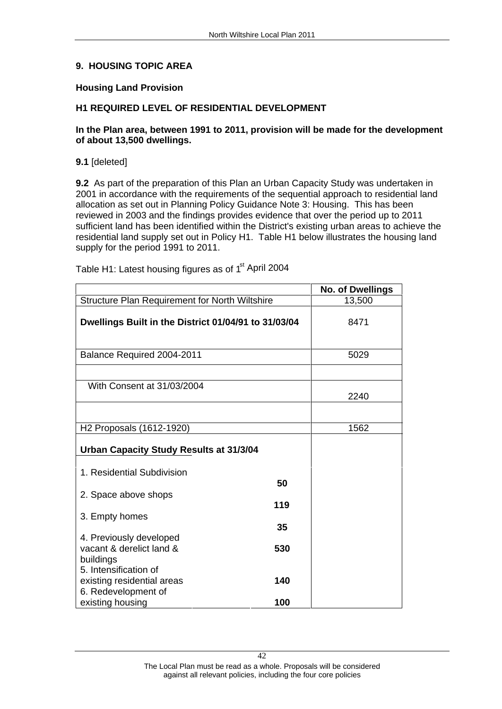### **9. HOUSING TOPIC AREA**

### **Housing Land Provision**

### **H1 REQUIRED LEVEL OF RESIDENTIAL DEVELOPMENT**

# **In the Plan area, between 1991 to 2011, provision will be made for the development of about 13,500 dwellings.**<br>9.1 [deleted]

| North Wiltshire Local Plan 2011                                                                                                                                                                                                                                                                                                       |                         |  |  |  |
|---------------------------------------------------------------------------------------------------------------------------------------------------------------------------------------------------------------------------------------------------------------------------------------------------------------------------------------|-------------------------|--|--|--|
|                                                                                                                                                                                                                                                                                                                                       |                         |  |  |  |
|                                                                                                                                                                                                                                                                                                                                       |                         |  |  |  |
|                                                                                                                                                                                                                                                                                                                                       |                         |  |  |  |
|                                                                                                                                                                                                                                                                                                                                       |                         |  |  |  |
| 9. HOUSING TOPIC AREA                                                                                                                                                                                                                                                                                                                 |                         |  |  |  |
| <b>Housing Land Provision</b>                                                                                                                                                                                                                                                                                                         |                         |  |  |  |
| H1 REQUIRED LEVEL OF RESIDENTIAL DEVELOPMENT                                                                                                                                                                                                                                                                                          |                         |  |  |  |
| In the Plan area, between 1991 to 2011, provision will be made for the development<br>of about 13,500 dwellings.                                                                                                                                                                                                                      |                         |  |  |  |
| 9.1 [deleted]                                                                                                                                                                                                                                                                                                                         |                         |  |  |  |
| 9.2 As part of the preparation of this Plan an Urban Capacity Study was undertaken in                                                                                                                                                                                                                                                 |                         |  |  |  |
| 2001 in accordance with the requirements of the sequential approach to residential land                                                                                                                                                                                                                                               |                         |  |  |  |
| allocation as set out in Planning Policy Guidance Note 3: Housing. This has been                                                                                                                                                                                                                                                      |                         |  |  |  |
| reviewed in 2003 and the findings provides evidence that over the period up to 2011                                                                                                                                                                                                                                                   |                         |  |  |  |
| sufficient land has been identified within the District's existing urban areas to achieve the                                                                                                                                                                                                                                         |                         |  |  |  |
| residential land supply set out in Policy H1. Table H1 below illustrates the housing land<br>supply for the period 1991 to 2011.                                                                                                                                                                                                      |                         |  |  |  |
|                                                                                                                                                                                                                                                                                                                                       |                         |  |  |  |
| Table H1: Latest housing figures as of 1 <sup>st</sup> April 2004                                                                                                                                                                                                                                                                     |                         |  |  |  |
|                                                                                                                                                                                                                                                                                                                                       | <b>No. of Dwellings</b> |  |  |  |
|                                                                                                                                                                                                                                                                                                                                       |                         |  |  |  |
|                                                                                                                                                                                                                                                                                                                                       | 13,500                  |  |  |  |
|                                                                                                                                                                                                                                                                                                                                       |                         |  |  |  |
|                                                                                                                                                                                                                                                                                                                                       | 8471                    |  |  |  |
|                                                                                                                                                                                                                                                                                                                                       |                         |  |  |  |
|                                                                                                                                                                                                                                                                                                                                       | 5029                    |  |  |  |
|                                                                                                                                                                                                                                                                                                                                       |                         |  |  |  |
| With Consent at 31/03/2004                                                                                                                                                                                                                                                                                                            |                         |  |  |  |
|                                                                                                                                                                                                                                                                                                                                       | 2240                    |  |  |  |
|                                                                                                                                                                                                                                                                                                                                       |                         |  |  |  |
|                                                                                                                                                                                                                                                                                                                                       | 1562                    |  |  |  |
|                                                                                                                                                                                                                                                                                                                                       |                         |  |  |  |
|                                                                                                                                                                                                                                                                                                                                       |                         |  |  |  |
| 1. Residential Subdivision<br>50                                                                                                                                                                                                                                                                                                      |                         |  |  |  |
|                                                                                                                                                                                                                                                                                                                                       |                         |  |  |  |
| 119                                                                                                                                                                                                                                                                                                                                   |                         |  |  |  |
| 35                                                                                                                                                                                                                                                                                                                                    |                         |  |  |  |
|                                                                                                                                                                                                                                                                                                                                       |                         |  |  |  |
| 530                                                                                                                                                                                                                                                                                                                                   |                         |  |  |  |
| Structure Plan Requirement for North Wiltshire<br>Dwellings Built in the District 01/04/91 to 31/03/04<br>Balance Required 2004-2011<br>H <sub>2</sub> Proposals (1612-1920)<br>Urban Capacity Study Results at 31/3/04<br>2. Space above shops<br>3. Empty homes<br>4. Previously developed<br>vacant & derelict land &<br>buildings |                         |  |  |  |
| 5. Intensification of<br>140<br>existing residential areas<br>6. Redevelopment of                                                                                                                                                                                                                                                     |                         |  |  |  |
|                                                                                                                                                                                                                                                                                                                                       |                         |  |  |  |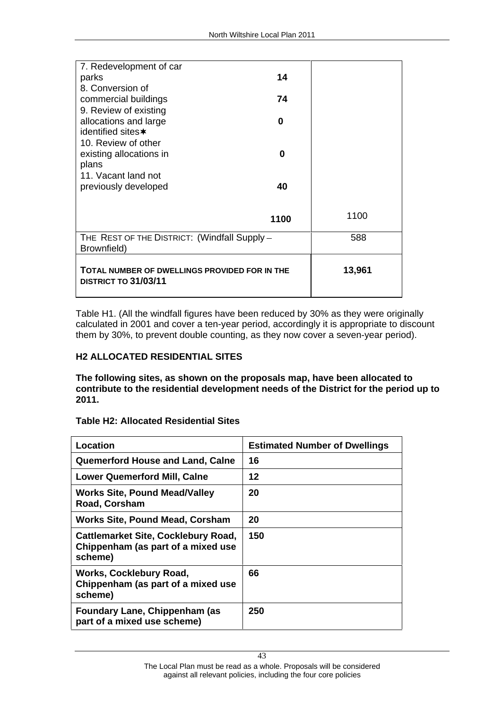|                                                             | North Wiltshire Local Plan 2011 |        |
|-------------------------------------------------------------|---------------------------------|--------|
|                                                             |                                 |        |
| 7. Redevelopment of car                                     |                                 |        |
| parks<br>8. Conversion of                                   | 14                              |        |
| commercial buildings                                        | 74                              |        |
| 9. Review of existing                                       |                                 |        |
| allocations and large                                       | $\mathbf{0}$                    |        |
| identified sites*                                           |                                 |        |
| 10. Review of other                                         | $\mathbf 0$                     |        |
| existing allocations in<br>plans                            |                                 |        |
| 11. Vacant land not                                         |                                 |        |
| previously developed                                        | 40                              |        |
|                                                             |                                 |        |
|                                                             | 1100                            | 1100   |
| THE REST OF THE DISTRICT: (Windfall Supply -<br>Brownfield) |                                 | 588    |
| TOTAL NUMBER OF DWELLINGS PROVIDED FOR IN THE               |                                 | 13,961 |
|                                                             |                                 |        |

Table H1. (All the windfall figures have been reduced by 30% as they were originally calculated in 2001 and cover a ten-year period, accordingly it is appropriate to discount them by 30%, to prevent double counting, as they now cover a seven-year period).

**H2 ALLOCATED RESIDENTIAL SITES**<br>The following sites, as shown on the proposals map, have been allocated to **contribute to the residential development needs of the District for the period up to** 

| 2011.                                                                                                  |                                      |
|--------------------------------------------------------------------------------------------------------|--------------------------------------|
| <b>Table H2: Allocated Residential Sites</b>                                                           |                                      |
| <b>Location</b>                                                                                        | <b>Estimated Number of Dwellings</b> |
| $\mid$ Quemerford House and Land, Calne $\mid$                                                         |                                      |
| <b>Lower Quemerford Mill, Calne</b>                                                                    |                                      |
| Works Site, Pound Mead/Valley<br>Road, Corsham                                                         | 20                                   |
| Works Site, Pound Mead, Corsham                                                                        | 20                                   |
| Cattlemarket Site, Cocklebury Road,   150<br>Chippenham (as part of a mixed use $\parallel$<br>scheme) |                                      |
| <b>Works, Cocklebury Road,</b><br>Chippenham (as part of a mixed use<br>scheme)                        | 66                                   |
| Foundary Lane, Chippenham (as<br>part of a mixed use scheme)                                           | 250                                  |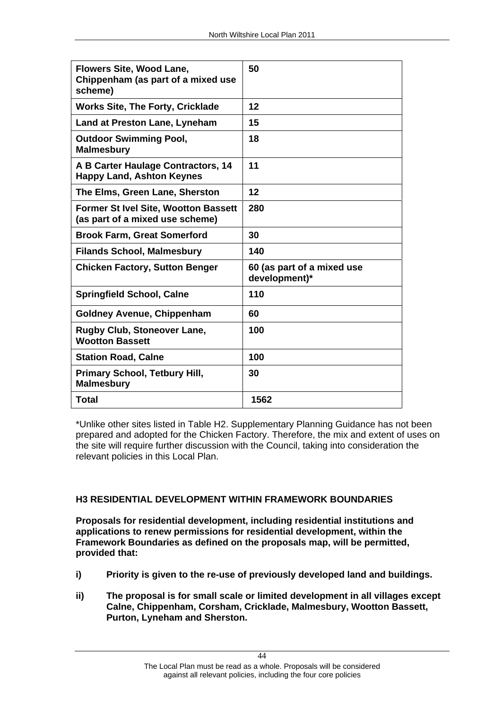| Flowers Site, Wood Lane,<br>Chippenham (as part of a mixed use<br>scheme)                 | 50                                          |
|-------------------------------------------------------------------------------------------|---------------------------------------------|
| <b>Works Site, The Forty, Cricklade</b>                                                   | 12                                          |
| Land at Preston Lane, Lyneham                                                             | 15                                          |
| <b>Outdoor Swimming Pool,</b><br>  Malmesbury                                             | 18                                          |
| $\vert$ A B Carter Haulage Contractors, 14 $\vert$ 11<br><b>Happy Land, Ashton Keynes</b> |                                             |
| The Elms, Green Lane, Sherston                                                            | 12                                          |
| $\mid$ Former St Ivel Site, Wootton Bassett $\mid$ 280<br>(as part of a mixed use scheme) |                                             |
| <b>Brook Farm, Great Somerford</b>                                                        | 30                                          |
| Filands School, Malmesbury                                                                | 140                                         |
| <b>Chicken Factory, Sutton Benger</b>                                                     | 60 (as part of a mixed use<br>development)* |
| <b>Springfield School, Calne</b>                                                          | 110                                         |
| <b>Goldney Avenue, Chippenham</b>                                                         | 60                                          |
| Rugby Club, Stoneover Lane,<br><b>Wootton Bassett</b>                                     | 100                                         |
| <b>Station Road, Calne</b>                                                                | 100                                         |
| Primary School, Tetbury Hill,<br><b>Malmesbury</b>                                        | 30                                          |
| <b>Total</b>                                                                              | 1562                                        |

\*Unlike other sites listed in Table H2. Supplementary Planning Guidance has not been prepared and adopted for the Chicken Factory. Therefore, the mix and extent of uses on the site will require further discussion with the Council, taking into consideration the relevant policies in this Local Plan.

**H3 RESIDENTIAL DEVELOPMENT WITHIN FRAMEWORK BOUNDARIES Proposals for residential development, including residential institutions and applications to renew permissions for residential development, within the Framework Boundaries as defined on the proposals map, will be permitted, provided that:** 

- **i) Priority is given to the re-use of previously developed land and buildings.**
- **ii) The proposal is for small scale or limited development in all villages except Calne, Chippenham, Corsham, Cricklade, Malmesbury, Wootton Bassett, Purton, Lyneham and Sherston.**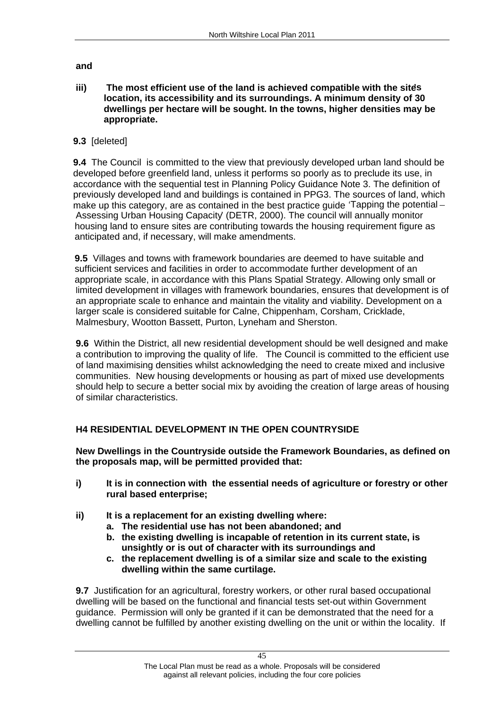**and** 

**iii) The most efficient use of the land is achieved compatible with the sites location, its accessibility and its surroundings. A minimum density of 30 dwellings per hectare will be sought. In the towns, higher densities may be appropriate.**

# **9.3** [deleted]

**9.4** The Council is committed to the view that previously developed urban land should be developed before greenfield land, unless it performs so poorly as to preclude its use, in accordance with the sequential test in Planning Policy Guidance Note 3. The definition of previously developed land and buildings is contained in PPG3. The sources of land, which make up this category, are as contained in the best practice quide 'Tapping the potential – Assessing Urban Housing Capacity (DETR, 2000). The council will annually monitor housing land to ensure sites are contributing towards the housing requirement figure as anticipated and, if necessary, will make amendments.

**9.5** Villages and towns with framework boundaries are deemed to have suitable and sufficient services and facilities in order to accommodate further development of an appropriate scale, in accordance with this Plans Spatial Strategy. Allowing only small or limited development in villages with framework boundaries, ensures that development is of an appropriate scale to enhance and maintain the vitality and viability. Development on a larger scale is considered suitable for Calne, Chippenham, Corsham, Cricklade, Malmesbury, Wootton Bassett, Purton, Lyneham and Sherston.

**9.6** Within the District, all new residential development should be well designed and make a contribution to improving the quality of life. The Council is committed to the efficient use of land maximising densities whilst acknowledging the need to create mixed and inclusive communities. New housing developments or housing as part of mixed use developments should help to secure a better social mix by avoiding the creation of large areas of housing of similar characteristics.

# **H4 RESIDENTIAL DEVELOPMENT IN THE OPEN COUNTRYSIDE**

**New Dwellings in the Countryside outside the Framework Boundaries, as defined on the proposals map, will be permitted provided that:** 

- **i) It is in connection with the essential needs of agriculture or forestry or other rural based enterprise;**
- **ii) It is a replacement for an existing dwelling where:**
	- **a. The residential use has not been abandoned; and**
	- **b. the existing dwelling is incapable of retention in its current state, is unsightly or is out of character with its surroundings and**
	- **c. the replacement dwelling is of a similar size and scale to the existing**

**dwelling within the same curtilage.**<br>9.7 Justification for an agricultural, forestry workers, or other rural based occupational dwelling will be based on the functional and financial tests set-out within Government guidance. Permission will only be granted if it can be demonstrated that the need for a dwelling cannot be fulfilled by another existing dwelling on the unit or within the locality. If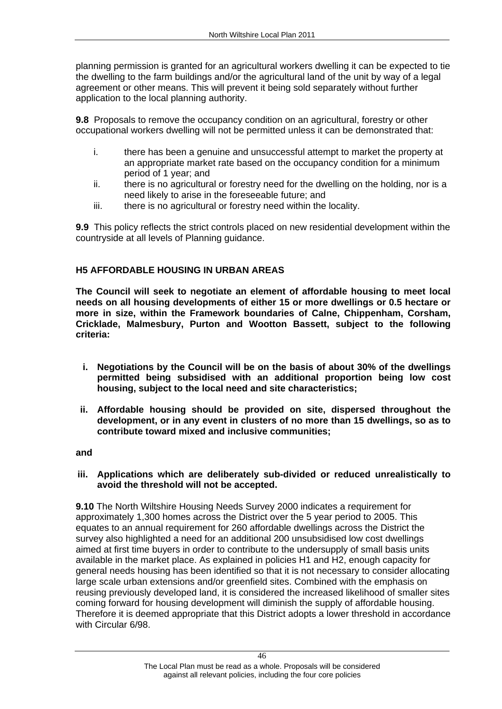planning permission is granted for an agricultural workers dwelling it can be expected to tie the dwelling to the farm buildings and/or the agricultural land of the unit by way of a legal agreement or other means. This will prevent it being sold separately without further application to the local planning authority.

**9.8** Proposals to remove the occupancy condition on an agricultural, forestry or other occupational workers dwelling will not be permitted unless it can be demonstrated that:

- i. there has been a genuine and unsuccessful attempt to market the property at an appropriate market rate based on the occupancy condition for a minimum period of 1 year; and
- ii. there is no agricultural or forestry need for the dwelling on the holding, nor is a need likely to arise in the foreseeable future; and
- iii. there is no agricultural or forestry need within the locality.

**9.9** This policy reflects the strict controls placed on new residential development within the

countryside at all levels of Planning guidance.<br>**H5 AFFORDABLE HOUSING IN URBAN AREAS**<br>The Council will seek to negotiate an element of affordable housing to meet local **needs on all housing developments of either 15 or more dwellings or 0.5 hectare or more in size, within the Framework boundaries of Calne, Chippenham, Corsham, Cricklade, Malmesbury, Purton and Wootton Bassett, subject to the following criteria:** 

- **i. Negotiations by the Council will be on the basis of about 30% of the dwellings permitted being subsidised with an additional proportion being low cost housing, subject to the local need and site characteristics;**
- **ii. Affordable housing should be provided on site, dispersed throughout the development, or in any event in clusters of no more than 15 dwellings, so as to contribute toward mixed and inclusive communities; and**

# **iii. Applications which are deliberately sub-divided or reduced unrealistically to avoid the threshold will not be accepted.**

**9.10** The North Wiltshire Housing Needs Survey 2000 indicates a requirement for approximately 1,300 homes across the District over the 5 year period to 2005. This equates to an annual requirement for 260 affordable dwellings across the District the survey also highlighted a need for an additional 200 unsubsidised low cost dwellings aimed at first time buyers in order to contribute to the undersupply of small basis units available in the market place. As explained in policies H1 and H2, enough capacity for general needs housing has been identified so that it is not necessary to consider allocating large scale urban extensions and/or greenfield sites. Combined with the emphasis on reusing previously developed land, it is considered the increased likelihood of smaller sites coming forward for housing development will diminish the supply of affordable housing. Therefore it is deemed appropriate that this District adopts a lower threshold in accordance with Circular 6/98.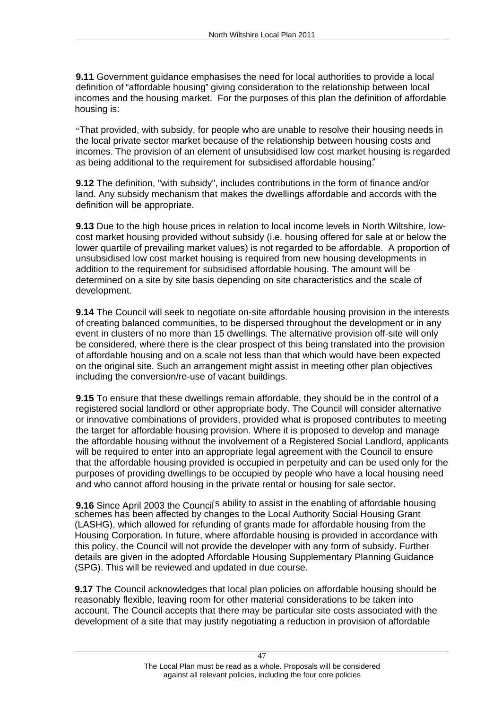**9.11** Government guidance emphasises the need for local authorities to provide a local definition of "affordable housing" giving consideration to the relationship between local incomes and the housing market. For the purposes of this plan the definition of affordable housing is:<br>"That provided, with subsidy, for people who are unable to resolve their housing needs in

the local private sector market because of the relationship between housing costs and incomes. The provision of an element of unsubsidised low cost market housing is regarded as being additional to the requirement for subsidised affordable housing.

**9.12** The definition, "with subsidy", includes contributions in the form of finance and/or land. Any subsidy mechanism that makes the dwellings affordable and accords with the definition will be appropriate.

**9.13** Due to the high house prices in relation to local income levels in North Wiltshire, low cost market housing provided without subsidy (i.e. housing offered for sale at or below the lower quartile of prevailing market values) is not regarded to be affordable. A proportion of unsubsidised low cost market housing is required from new housing developments in addition to the requirement for subsidised affordable housing. The amount will be determined on a site by site basis depending on site characteristics and the scale of development.

**9.14** The Council will seek to negotiate on-site affordable housing provision in the interests of creating balanced communities, to be dispersed throughout the development or in any event in clusters of no more than 15 dwellings. The alternative provision off-site will only be considered, where there is the clear prospect of this being translated into the provision of affordable housing and on a scale not less than that which would have been expected on the original site. Such an arrangement might assist in meeting other plan objectives including the conversion/re-use of vacant buildings.

**9.15** To ensure that these dwellings remain affordable, they should be in the control of a registered social landlord or other appropriate body. The Council will consider alternative or innovative combinations of providers, provided what is proposed contributes to meeting the target for affordable housing provision. Where it is proposed to develop and manage the affordable housing without the involvement of a Registered Social Landlord, applicants will be required to enter into an appropriate legal agreement with the Council to ensure that the affordable housing provided is occupied in perpetuity and can be used only for the purposes of providing dwellings to be occupied by people who have a local housing need and who cannot afford housing in the private rental or housing for sale sector.

**9.16** Since April 2003 the Council<sup>'s</sup> ability to assist in the enabling of affordable housing schemes has been affected by changes to the Local Authority Social Housing Grant (LASHG), which allowed for refunding of grants made for affordable housing from the Housing Corporation. In future, where affordable housing is provided in accordance with this policy, the Council will not provide the developer with any form of subsidy. Further details are given in the adopted Affordable Housing Supplementary Planning Guidance (SPG). This will be reviewed and updated in due course.

**9.17** The Council acknowledges that local plan policies on affordable housing should be reasonably flexible, leaving room for other material considerations to be taken into account. The Council accepts that there may be particular site costs associated with the development of a site that may justify negotiating a reduction in provision of affordable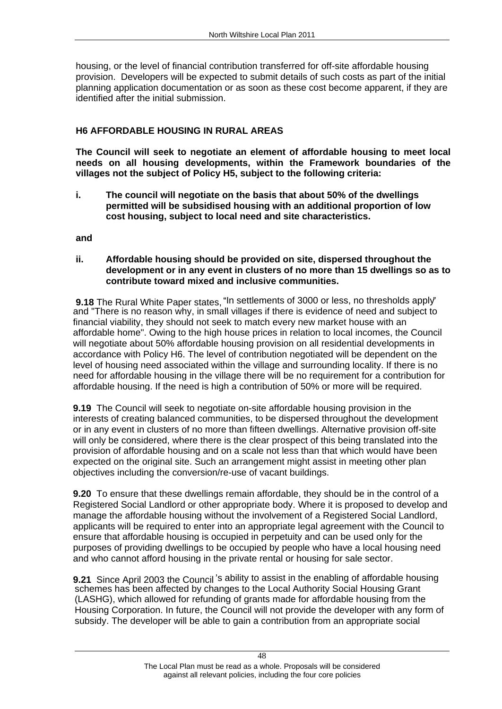housing, or the level of financial contribution transferred for off-site affordable housing provision. Developers will be expected to submit details of such costs as part of the initial planning application documentation or as soon as these cost become apparent, if they are identified after the initial submission.

**H6 AFFORDABLE HOUSING IN RURAL AREAS The Council will seek to negotiate an element of affordable housing to meet local needs on all housing developments, within the Framework boundaries of the villages not the subject of Policy H5, subject to the following criteria:**

**i. The council will negotiate on the basis that about 50% of the dwellings permitted will be subsidised housing with an additional proportion of low cost housing, subject to local need and site characteristics. and** 

**ii. Affordable housing should be provided on site, dispersed throughout the development or in any event in clusters of no more than 15 dwellings so as to** 

**contribute toward mixed and inclusive communities.**<br>9.18 The Rural White Paper states, "In settlements of 3000 or less, no thresholds apply" and "There is no reason why, in small villages if there is evidence of need and subject to financial viability, they should not seek to match every new market house with an affordable home". Owing to the high house prices in relation to local incomes, the Council will negotiate about 50% affordable housing provision on all residential developments in accordance with Policy H6. The level of contribution negotiated will be dependent on the level of housing need associated within the village and surrounding locality. If there is no need for affordable housing in the village there will be no requirement for a contribution for affordable housing. If the need is high a contribution of 50% or more will be required.

**9.19** The Council will seek to negotiate on-site affordable housing provision in the interests of creating balanced communities, to be dispersed throughout the development or in any event in clusters of no more than fifteen dwellings. Alternative provision off-site will only be considered, where there is the clear prospect of this being translated into the provision of affordable housing and on a scale not less than that which would have been expected on the original site. Such an arrangement might assist in meeting other plan objectives including the conversion/re-use of vacant buildings.

**9.20** To ensure that these dwellings remain affordable, they should be in the control of a Registered Social Landlord or other appropriate body. Where it is proposed to develop and manage the affordable housing without the involvement of a Registered Social Landlord, applicants will be required to enter into an appropriate legal agreement with the Council to ensure that affordable housing is occupied in perpetuity and can be used only for the purposes of providing dwellings to be occupied by people who have a local housing need and who cannot afford housing in the private rental or housing for sale sector.

**9.21** Since April 2003 the Council 's ability to assist in the enabling of affordable housing schemes has been affected by changes to the Local Authority Social Housing Grant (LASHG), which allowed for refunding of grants made for affordable housing from the Housing Corporation. In future, the Council will not provide the developer with any form of subsidy. The developer will be able to gain a contribution from an appropriate social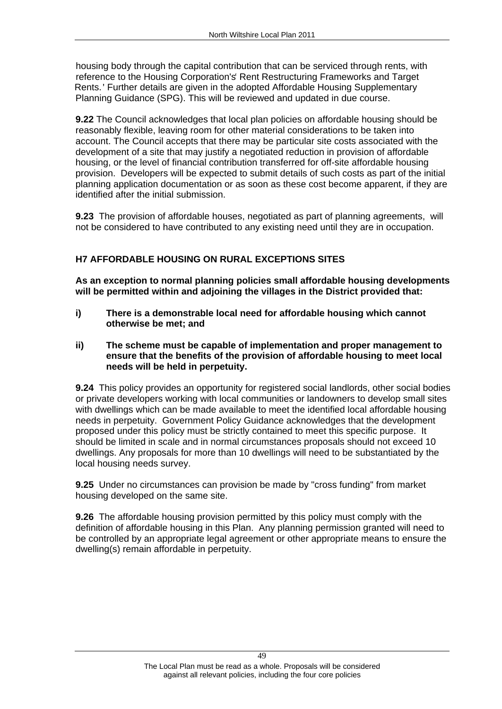housing body through the capital contribution that can be serviced through rents, with reference to the Housing Corporation's Rent Restructuring Frameworks and Target Rents. Further details are given in the adopted Affordable Housing Supplementary Planning Guidance (SPG). This will be reviewed and updated in due course.

**9.22** The Council acknowledges that local plan policies on affordable housing should be reasonably flexible, leaving room for other material considerations to be taken into account. The Council accepts that there may be particular site costs associated with the development of a site that may justify a negotiated reduction in provision of affordable housing, or the level of financial contribution transferred for off-site affordable housing provision. Developers will be expected to submit details of such costs as part of the initial planning application documentation or as soon as these cost become apparent, if they are identified after the initial submission.

**9.23** The provision of affordable houses, negotiated as part of planning agreements, will

not be considered to have contributed to any existing need until they are in occupation.<br>H7 AFFORDABLE HOUSING ON RURAL EXCEPTIONS SITES<br>As an exception to normal planning policies small affordable housing developments **will be permitted within and adjoining the villages in the District provided that:** 

- **i) There is a demonstrable local need for affordable housing which cannot otherwise be met; and**
- **ii) The scheme must be capable of implementation and proper management to ensure that the benefits of the provision of affordable housing to meet local needs will be held in perpetuity. 9.24** This policy provides an opportunity for registered social landlords, other social bodies

or private developers working with local communities or landowners to develop small sites with dwellings which can be made available to meet the identified local affordable housing needs in perpetuity. Government Policy Guidance acknowledges that the development proposed under this policy must be strictly contained to meet this specific purpose. It should be limited in scale and in normal circumstances proposals should not exceed 10 dwellings. Any proposals for more than 10 dwellings will need to be substantiated by the local housing needs survey.

**9.25** Under no circumstances can provision be made by "cross funding" from market housing developed on the same site.

**9.26** The affordable housing provision permitted by this policy must comply with the definition of affordable housing in this Plan. Any planning permission granted will need to be controlled by an appropriate legal agreement or other appropriate means to ensure the dwelling(s) remain affordable in perpetuity.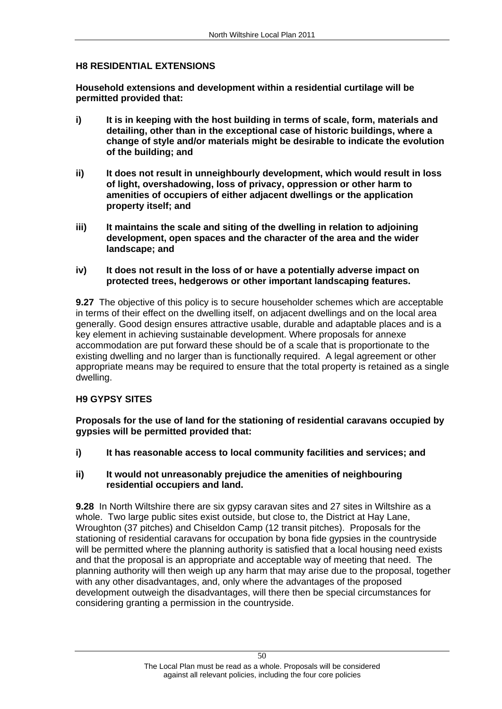**H8 RESIDENTIAL EXTENSIONS Household extensions and development within a residential curtilage will be permitted provided that:** 

- **i) It is in keeping with the host building in terms of scale, form, materials and detailing, other than in the exceptional case of historic buildings, where a change of style and/or materials might be desirable to indicate the evolution of the building; and**
- **ii) It does not result in unneighbourly development, which would result in loss of light, overshadowing, loss of privacy, oppression or other harm to amenities of occupiers of either adjacent dwellings or the application property itself; and**
- **iii) It maintains the scale and siting of the dwelling in relation to adjoining development, open spaces and the character of the area and the wider landscape; and**
- **iv) It does not result in the loss of or have a potentially adverse impact on protected trees, hedgerows or other important landscaping features.**

**9.27** The objective of this policy is to secure householder schemes which are acceptable in terms of their effect on the dwelling itself, on adjacent dwellings and on the local area generally. Good design ensures attractive usable, durable and adaptable places and is a key element in achieving sustainable development. Where proposals for annexe accommodation are put forward these should be of a scale that is proportionate to the existing dwelling and no larger than is functionally required. A legal agreement or other appropriate means may be required to ensure that the total property is retained as a single dwelling.

## **H9 GYPSY SITES**

**Proposals for the use of land for the stationing of residential caravans occupied by gypsies will be permitted provided that:**

**i) It has reasonable access to local community facilities and services; and** 

## **ii) It would not unreasonably prejudice the amenities of neighbouring residential occupiers and land.**

**9.28** In North Wiltshire there are six gypsy caravan sites and 27 sites in Wiltshire as a whole. Two large public sites exist outside, but close to, the District at Hay Lane, Wroughton (37 pitches) and Chiseldon Camp (12 transit pitches). Proposals for the stationing of residential caravans for occupation by bona fide gypsies in the countryside will be permitted where the planning authority is satisfied that a local housing need exists and that the proposal is an appropriate and acceptable way of meeting that need. The planning authority will then weigh up any harm that may arise due to the proposal, together with any other disadvantages, and, only where the advantages of the proposed development outweigh the disadvantages, will there then be special circumstances for considering granting a permission in the countryside.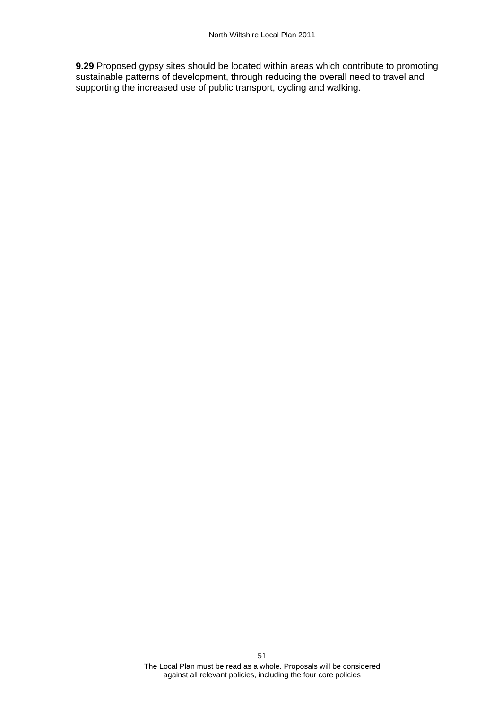**9.29** Proposed gypsy sites should be located within areas which contribute to promoting sustainable patterns of development, through reducing the overall need to travel and supporting the increased use of public transport, cycling and walking.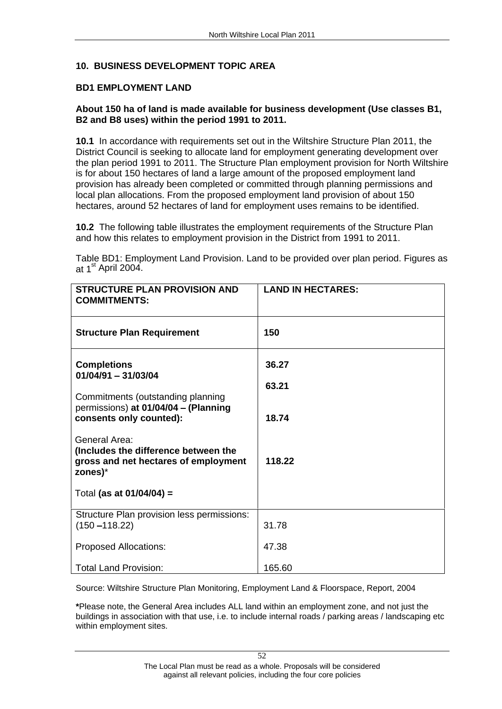# 10. BUSINESS DEVELOPMENT TOPIC AREA<br>BD1 EMPLOYMENT LAND<br>About 150 ha of land is made available for business development (Use classes B1, **B2 and B8 uses) within the period 1991 to 2011.**<br>**10.1** In accordance with requirements set out in the Wiltshire Structure Plan 2011, the

District Council is seeking to allocate land for employment generating development over the plan period 1991 to 2011. The Structure Plan employment provision for North Wiltshire is for about 150 hectares of land a large amount of the proposed employment land provision has already been completed or committed through planning permissions and local plan allocations. From the proposed employment land provision of about 150 hectares, around 52 hectares of land for employment uses remains to be identified.

**10.2** The following table illustrates the employment requirements of the Structure Plan and how this relates to employment provision in the District from 1991 to 2011.

Table BD1: Employment Land Provision. Land to be provided over plan period. Figures as at  $1^{\text{st}}$  April 2004.

| STRUCTURE PLAN PROVISION AND<br><b>COMMITMENTS:</b>                                                             | <b>LAND IN HECTARES:</b> |
|-----------------------------------------------------------------------------------------------------------------|--------------------------|
| <b>Structure Plan Requirement</b>                                                                               | 150                      |
| <b>Completions</b><br>01/04/91 - 31/03/04                                                                       | 36.27<br>63.21           |
| Commitments (outstanding planning<br>permissions) at 01/04/04 - (Planning<br>consents only counted):            | 18.74                    |
| <b>General Area:</b><br>(Includes the difference between the<br>gross and net hectares of employment<br>zones)* | 118.22                   |
| Total (as at $01/04/04$ ) =                                                                                     |                          |
| Structure Plan provision less permissions:<br>$(150 - 118.22)$                                                  | 31.78                    |
| <b>Proposed Allocations:</b>                                                                                    | 47.38                    |
| <b>Total Land Provision:</b>                                                                                    | 165.60                   |

Source: Wiltshire Structure Plan Monitoring, Employment Land & Floorspace, Report, 2004

**\***Please note, the General Area includes ALL land within an employment zone, and not just the buildings in association with that use, i.e. to include internal roads / parking areas / landscaping etc within employment sites.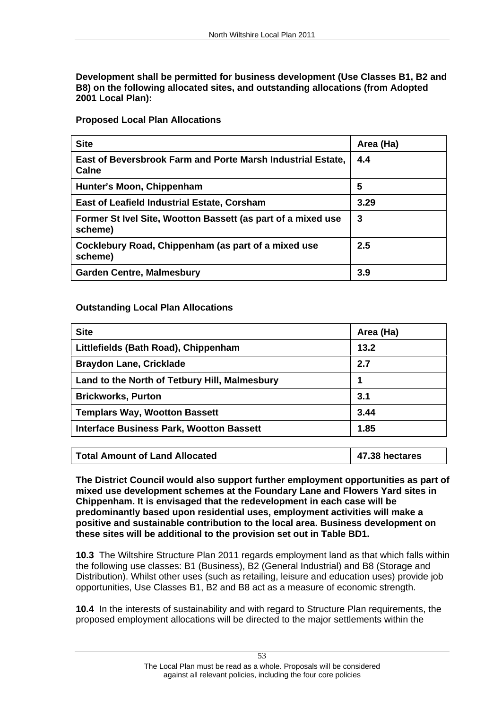**Development shall be permitted for business development (Use Classes B1, B2 and B8) on the following allocated sites, and outstanding allocations (from Adopted 2001 Local Plan): Proposed Local Plan Allocations**

|                                                                                        | Area (Ha) |
|----------------------------------------------------------------------------------------|-----------|
| East of Beversbrook Farm and Porte Marsh Industrial Estate, $\mid$ 4.4<br><b>Calne</b> |           |
| Hunter's Moon, Chippenham                                                              |           |
| <b>East of Leafield Industrial Estate, Corsham</b>                                     | 3.29      |
| Former St Ivel Site, Wootton Bassett (as part of a mixed use $\parallel$ 3<br>scheme)  |           |
| $\mid$ Cocklebury Road, Chippenham (as part of a mixed use<br>scheme)                  |           |
| Garden Centre, Malmesbury                                                              |           |

| <b>Site</b>                                   | Area (Ha) |
|-----------------------------------------------|-----------|
| Littlefields (Bath Road), Chippenham          | ے:13      |
| <b>Braydon Lane, Cricklade</b>                |           |
| Land to the North of Tetbury Hill, Malmesbury |           |
| <b>Brickworks, Purton</b>                     |           |
| <b>Templars Way, Wootton Bassett</b>          | 3.44      |
| Interface Business Park, Wootton Bassett      | 1.85      |

| <b>Total Amount of Land Allocated</b> | −58 hectare. . |
|---------------------------------------|----------------|
|---------------------------------------|----------------|

**The District Council would also support further employment opportunities as part of mixed use development schemes at the Foundary Lane and Flowers Yard sites in Chippenham. It is envisaged that the redevelopment in each case will be predominantly based upon residential uses, employment activities will make a positive and sustainable contribution to the local area. Business development on these sites will be additional to the provision set out in Table BD1.**

**10.3** The Wiltshire Structure Plan 2011 regards employment land as that which falls within the following use classes: B1 (Business), B2 (General Industrial) and B8 (Storage and Distribution). Whilst other uses (such as retailing, leisure and education uses) provide job opportunities, Use Classes B1, B2 and B8 act as a measure of economic strength.

**10.4** In the interests of sustainability and with regard to Structure Plan requirements, the proposed employment allocations will be directed to the major settlements within the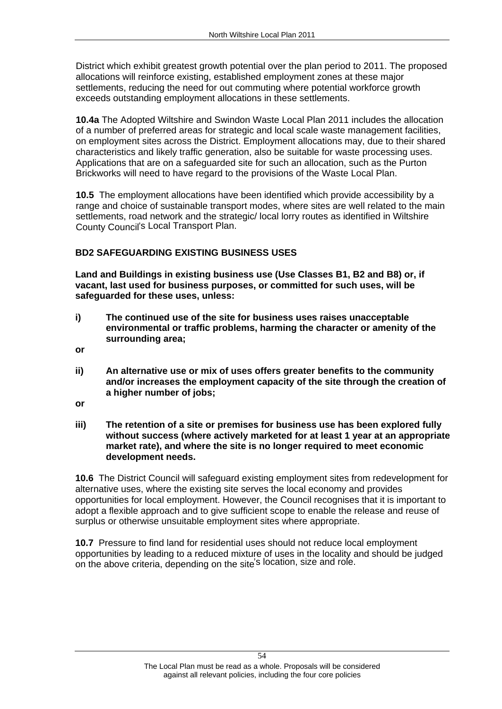District which exhibit greatest growth potential over the plan period to 2011. The proposed allocations will reinforce existing, established employment zones at these major settlements, reducing the need for out commuting where potential workforce growth exceeds outstanding employment allocations in these settlements.

**10.4a** The Adopted Wiltshire and Swindon Waste Local Plan 2011 includes the allocation of a number of preferred areas for strategic and local scale waste management facilities, on employment sites across the District. Employment allocations may, due to their shared characteristics and likely traffic generation, also be suitable for waste processing uses. Applications that are on a safeguarded site for such an allocation, such as the Purton Brickworks will need to have regard to the provisions of the Waste Local Plan.

**10.5** The employment allocations have been identified which provide accessibility by a range and choice of sustainable transport modes, where sites are well related to the main settlements, road network and the strategic/ local lorry routes as identified in Wiltshire County Council's Local Transport Plan.

**BD2 SAFEGUARDING EXISTING BUSINESS USES Land and Buildings in existing business use (Use Classes B1, B2 and B8) or, if vacant, last used for business purposes, or committed for such uses, will be safeguarded for these uses, unless:** 

- **i) The continued use of the site for business uses raises unacceptable environmental or traffic problems, harming the character or amenity of the surrounding area;**
- **or**
- **ii) An alternative use or mix of uses offers greater benefits to the community and/or increases the employment capacity of the site through the creation of a higher number of jobs;**
- **or**
- **iii) The retention of a site or premises for business use has been explored fully without success (where actively marketed for at least 1 year at an appropriate market rate), and where the site is no longer required to meet economic development needs. 10.6** The District Council will safeguard existing employment sites from redevelopment for

alternative uses, where the existing site serves the local economy and provides opportunities for local employment. However, the Council recognises that it is important to adopt a flexible approach and to give sufficient scope to enable the release and reuse of surplus or otherwise unsuitable employment sites where appropriate.

**10.7** Pressure to find land for residential uses should not reduce local employment opportunities by leading to a reduced mixture of uses in the locality and should be judged on the above criteria, depending on the site's location, size and role.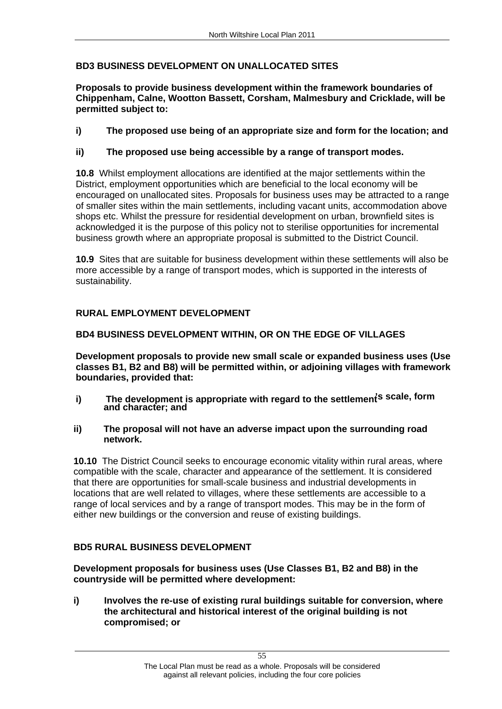**BD3 BUSINESS DEVELOPMENT ON UNALLOCATED SITES<br>Proposals to provide business development within the framework boundaries of Chippenham, Calne, Wootton Bassett, Corsham, Malmesbury and Cricklade, will be permitted subject to:** 

# **i) The proposed use being of an appropriate size and form for the location; and**

# **ii) The proposed use being accessible by a range of transport modes.**

**10.8** Whilst employment allocations are identified at the major settlements within the District, employment opportunities which are beneficial to the local economy will be encouraged on unallocated sites. Proposals for business uses may be attracted to a range of smaller sites within the main settlements, including vacant units, accommodation above shops etc. Whilst the pressure for residential development on urban, brownfield sites is acknowledged it is the purpose of this policy not to sterilise opportunities for incremental business growth where an appropriate proposal is submitted to the District Council.

**10.9** Sites that are suitable for business development within these settlements will also be more accessible by a range of transport modes, which is supported in the interests of sustainability.

RURAL EMPLOYMENT DEVELOPMENT<br>BD4 BUSINESS DEVELOPMENT WITHIN, OR ON THE EDGE OF VILLAGES<br>Development proposals to provide new small scale or expanded business uses (Use **classes B1, B2 and B8) will be permitted within, or adjoining villages with framework boundaries, provided that:** 

- i) The development is appropriate with regard to the settlement<sup>'s scale, form</sup> **and character; and**
- **ii) The proposal will not have an adverse impact upon the surrounding road**

**network.**<br>**10.10** The District Council seeks to encourage economic vitality within rural areas, where compatible with the scale, character and appearance of the settlement. It is considered that there are opportunities for small-scale business and industrial developments in locations that are well related to villages, where these settlements are accessible to a range of local services and by a range of transport modes. This may be in the form of either new buildings or the conversion and reuse of existing buildings.

## **BD5 RURAL BUSINESS DEVELOPMENT**

**Development proposals for business uses (Use Classes B1, B2 and B8) in the countryside will be permitted where development:** 

**i) Involves the re-use of existing rural buildings suitable for conversion, where the architectural and historical interest of the original building is not compromised; or**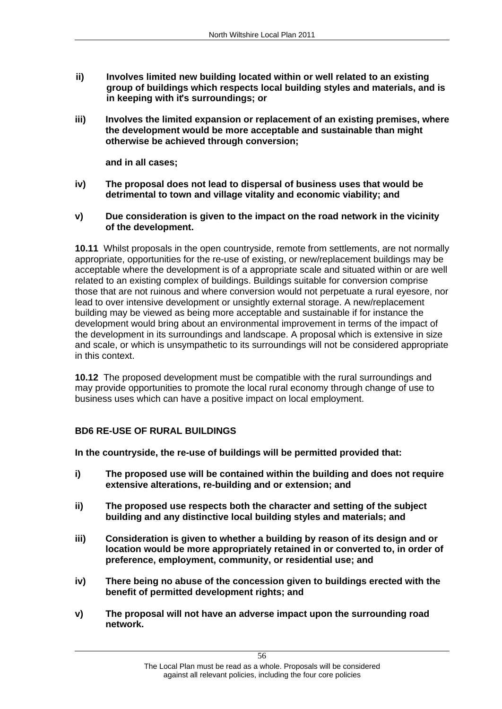- **ii) Involves limited new building located within or well related to an existing group of buildings which respects local building styles and materials, and is**  in keeping with it's surroundings; or
- **iii) Involves the limited expansion or replacement of an existing premises, where the development would be more acceptable and sustainable than might otherwise be achieved through conversion; and in all cases;**

- **iv) The proposal does not lead to dispersal of business uses that would be**
- detrimental to town and village vitality and economic viability; and<br>**v)** Due consideration is given to the impact on the road network in the vicinity

**of the development.**<br>**10.11** Whilst proposals in the open countryside, remote from settlements, are not normally appropriate, opportunities for the re-use of existing, or new/replacement buildings may be acceptable where the development is of a appropriate scale and situated within or are well related to an existing complex of buildings. Buildings suitable for conversion comprise those that are not ruinous and where conversion would not perpetuate a rural eyesore, nor lead to over intensive development or unsightly external storage. A new/replacement building may be viewed as being more acceptable and sustainable if for instance the development would bring about an environmental improvement in terms of the impact of the development in its surroundings and landscape. A proposal which is extensive in size and scale, or which is unsympathetic to its surroundings will not be considered appropriate in this context.

**10.12** The proposed development must be compatible with the rural surroundings and may provide opportunities to promote the local rural economy through change of use to business uses which can have a positive impact on local employment.

## **BD6 RE-USE OF RURAL BUILDINGS**

**In the countryside, the re-use of buildings will be permitted provided that:** 

- **i) The proposed use will be contained within the building and does not require extensive alterations, re-building and or extension; and**
- **ii) The proposed use respects both the character and setting of the subject building and any distinctive local building styles and materials; and**
- **iii) Consideration is given to whether a building by reason of its design and or location would be more appropriately retained in or converted to, in order of preference, employment, community, or residential use; and**
- **iv) There being no abuse of the concession given to buildings erected with the benefit of permitted development rights; and<br>v)** The proposal will not have an adverse impact upon the surrounding road
- **network.**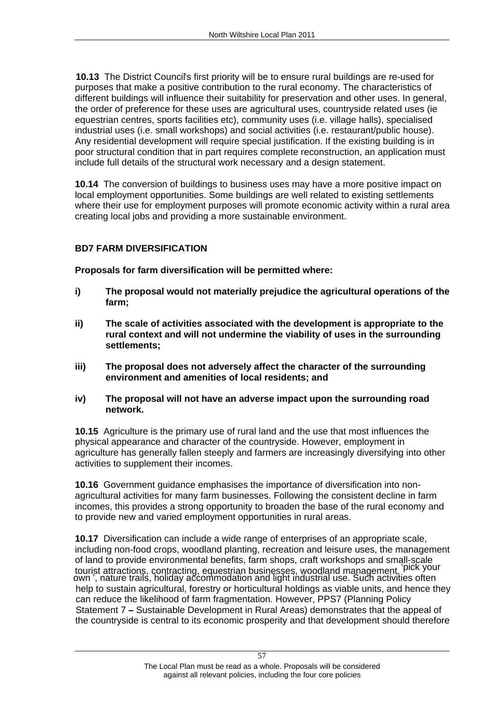**10.13** The District Council's first priority will be to ensure rural buildings are re-used for purposes that make a positive contribution to the rural economy. The characteristics of different buildings will influence their suitability for preservation and other uses. In general, the order of preference for these uses are agricultural uses, countryside related uses (ie equestrian centres, sports facilities etc), community uses (i.e. village halls), specialised industrial uses (i.e. small workshops) and social activities (i.e. restaurant/public house). Any residential development will require special justification. If the existing building is in poor structural condition that in part requires complete reconstruction, an application must include full details of the structural work necessary and a design statement.

**10.14** The conversion of buildings to business uses may have a more positive impact on local employment opportunities. Some buildings are well related to existing settlements where their use for employment purposes will promote economic activity within a rural area creating local jobs and providing a more sustainable environment.

**BD7 FARM DIVERSIFICATION Proposals for farm diversification will be permitted where:** 

- **i) The proposal would not materially prejudice the agricultural operations of the farm;**
- **ii) The scale of activities associated with the development is appropriate to the rural context and will not undermine the viability of uses in the surrounding settlements;**
- **iii) The proposal does not adversely affect the character of the surrounding environment and amenities of local residents; and**
- **iv) The proposal will not have an adverse impact upon the surrounding road network. 10.15** Agriculture is the primary use of rural land and the use that most influences the

physical appearance and character of the countryside. However, employment in agriculture has generally fallen steeply and farmers are increasingly diversifying into other activities to supplement their incomes.

**10.16** Government guidance emphasises the importance of diversification into non agricultural activities for many farm businesses. Following the consistent decline in farm incomes, this provides a strong opportunity to broaden the base of the rural economy and to provide new and varied employment opportunities in rural areas.

**10.17** Diversification can include a wide range of enterprises of an appropriate scale, including non-food crops, woodland planting, recreation and leisure uses, the management of land to provide environmental benefits, farm shops, craft workshops and small-scale tourist attractions, contracting, equestrian businesses, woodland management, pick your own", nature trails, holiday accommodation and light industrial use. Such activities often help to sustain agricultural, forestry or horticultural holdings as viable units, and hence they can reduce the likelihood of farm fragmentation. However, PPS7 (Planning Policy Statement 7 - Sustainable Development in Rural Areas) demonstrates that the appeal of the countryside is central to its economic prosperity and that development should therefore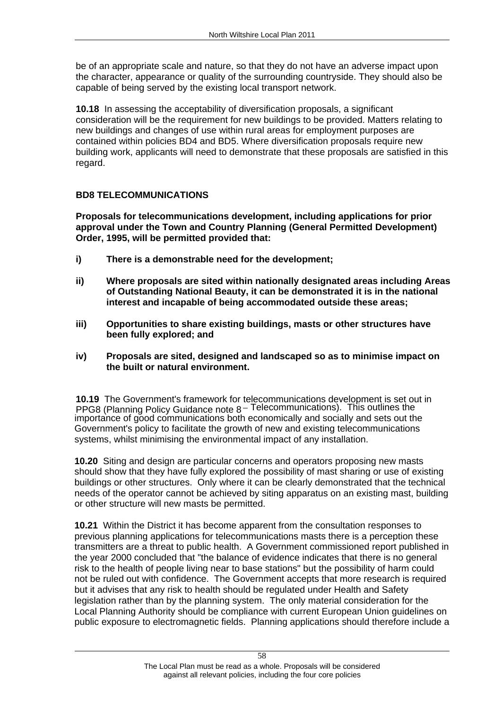be of an appropriate scale and nature, so that they do not have an adverse impact upon the character, appearance or quality of the surrounding countryside. They should also be capable of being served by the existing local transport network.

**10.18** In assessing the acceptability of diversification proposals, a significant consideration will be the requirement for new buildings to be provided. Matters relating to new buildings and changes of use within rural areas for employment purposes are contained within policies BD4 and BD5. Where diversification proposals require new building work, applicants will need to demonstrate that these proposals are satisfied in this

regard.<br>BD8 TELECOMMUNICATIONS<br>Proposals for telecommunications development, including applications for prior **approval under the Town and Country Planning (General Permitted Development) Order, 1995, will be permitted provided that:** 

- **i) There is a demonstrable need for the development;**
- **ii) Where proposals are sited within nationally designated areas including Areas of Outstanding National Beauty, it can be demonstrated it is in the national interest and incapable of being accommodated outside these areas;**
- **iii) Opportunities to share existing buildings, masts or other structures have been fully explored; and**
- **iv) Proposals are sited, designed and landscaped so as to minimise impact on**

**the built or natural environment.**<br>10.19 The Government's framework for telecommunications development is set out in PPG8 (Planning Policy Guidance note 8<sup>-Telecommunications).</sup> This outlines the importance of good communications both economically and socially and sets out the Government's policy to facilitate the growth of new and existing telecommunications systems, whilst minimising the environmental impact of any installation.

**10.20** Siting and design are particular concerns and operators proposing new masts should show that they have fully explored the possibility of mast sharing or use of existing buildings or other structures. Only where it can be clearly demonstrated that the technical needs of the operator cannot be achieved by siting apparatus on an existing mast, building or other structure will new masts be permitted.

**10.21** Within the District it has become apparent from the consultation responses to previous planning applications for telecommunications masts there is a perception these transmitters are a threat to public health. A Government commissioned report published in the year 2000 concluded that "the balance of evidence indicates that there is no general risk to the health of people living near to base stations" but the possibility of harm could not be ruled out with confidence. The Government accepts that more research is required but it advises that any risk to health should be regulated under Health and Safety legislation rather than by the planning system. The only material consideration for the Local Planning Authority should be compliance with current European Union guidelines on public exposure to electromagnetic fields. Planning applications should therefore include a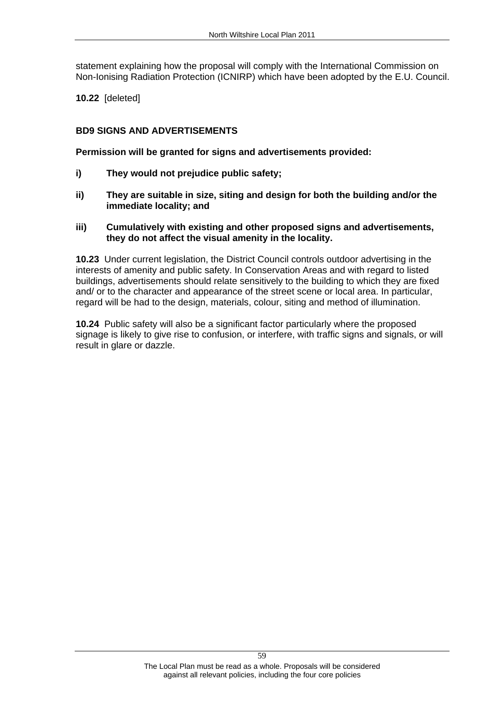statement explaining how the proposal will comply with the International Commission on Non-Ionising Radiation Protection (ICNIRP) which have been adopted by the E.U. Council. **10.22** [deleted]

**BD9 SIGNS AND ADVERTISEMENTS Permission will be granted for signs and advertisements provided:** 

- **i) They would not prejudice public safety;**
- **ii) They are suitable in size, siting and design for both the building and/or the immediate locality; and**
- **iii) Cumulatively with existing and other proposed signs and advertisements, they do not affect the visual amenity in the locality. 10.23** Under current legislation, the District Council controls outdoor advertising in the

interests of amenity and public safety. In Conservation Areas and with regard to listed buildings, advertisements should relate sensitively to the building to which they are fixed and/ or to the character and appearance of the street scene or local area. In particular, regard will be had to the design, materials, colour, siting and method of illumination.

**10.24** Public safety will also be a significant factor particularly where the proposed signage is likely to give rise to confusion, or interfere, with traffic signs and signals, or will result in glare or dazzle.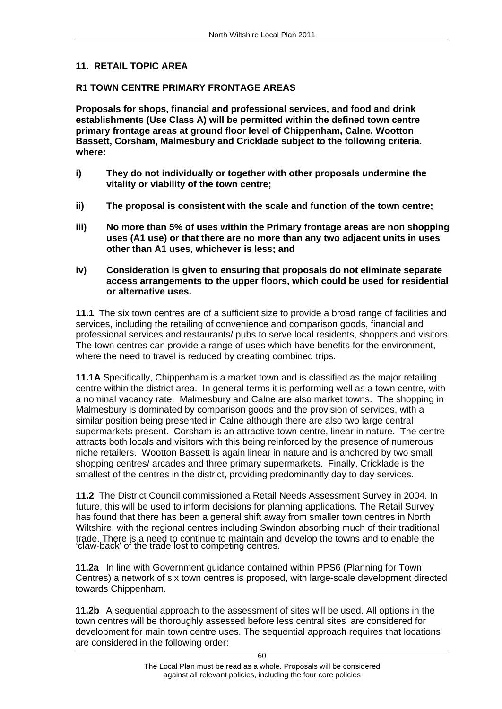11. RETAIL TOPIC AREA<br>R1 TOWN CENTRE PRIMARY FRONTAGE AREAS<br>Proposals for shops, financial and professional services, and food and drink **establishments (Use Class A) will be permitted within the defined town centre primary frontage areas at ground floor level of Chippenham, Calne, Wootton Bassett, Corsham, Malmesbury and Cricklade subject to the following criteria. where:** 

- **i) They do not individually or together with other proposals undermine the vitality or viability of the town centre;**
- **ii) The proposal is consistent with the scale and function of the town centre;**
- **iii) No more than 5% of uses within the Primary frontage areas are non shopping uses (A1 use) or that there are no more than any two adjacent units in uses other than A1 uses, whichever is less; and**
- **iv) Consideration is given to ensuring that proposals do not eliminate separate access arrangements to the upper floors, which could be used for residential or alternative uses.**<br>**11.1** The six town centres are of a sufficient size to provide a broad range of facilities and

services, including the retailing of convenience and comparison goods, financial and professional services and restaurants/ pubs to serve local residents, shoppers and visitors. The town centres can provide a range of uses which have benefits for the environment, where the need to travel is reduced by creating combined trips.

**11.1A** Specifically, Chippenham is a market town and is classified as the major retailing centre within the district area. In general terms it is performing well as a town centre, with a nominal vacancy rate. Malmesbury and Calne are also market towns. The shopping in Malmesbury is dominated by comparison goods and the provision of services, with a similar position being presented in Calne although there are also two large central supermarkets present. Corsham is an attractive town centre, linear in nature. The centre attracts both locals and visitors with this being reinforced by the presence of numerous niche retailers. Wootton Bassett is again linear in nature and is anchored by two small shopping centres/ arcades and three primary supermarkets. Finally, Cricklade is the smallest of the centres in the district, providing predominantly day to day services.

**11.2** The District Council commissioned a Retail Needs Assessment Survey in 2004. In future, this will be used to inform decisions for planning applications. The Retail Survey has found that there has been a general shift away from smaller town centres in North Wiltshire, with the regional centres including Swindon absorbing much of their traditional trade. There is a need to continue to maintain and develop the towns and to enable the claw-back' of the trade lost to competing centres.

**11.2a** In line with Government guidance contained within PPS6 (Planning for Town Centres) a network of six town centres is proposed, with large-scale development directed towards Chippenham.

**11.2b** A sequential approach to the assessment of sites will be used. All options in the town centres will be thoroughly assessed before less central sites are considered for development for main town centre uses. The sequential approach requires that locations are considered in the following order: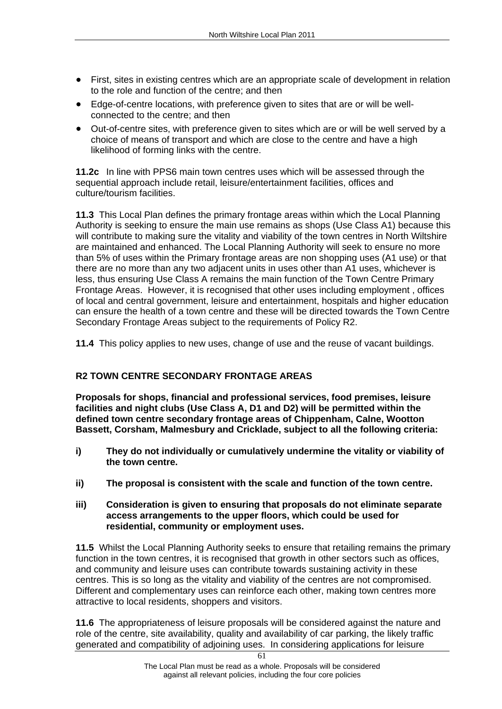- First, sites in existing centres which are an appropriate scale of development in relation to the role and function of the centre; and then
- Edge-of-centre locations, with preference given to sites that are or will be well connected to the centre; and then
- Out-of-centre sites, with preference given to sites which are or will be well served by a  $\bullet$ choice of means of transport and which are close to the centre and have a high likelihood of forming links with the centre.

**11.2c** In line with PPS6 main town centres uses which will be assessed through the sequential approach include retail, leisure/entertainment facilities, offices and culture/tourism facilities.

**11.3** This Local Plan defines the primary frontage areas within which the Local Planning Authority is seeking to ensure the main use remains as shops (Use Class A1) because this will contribute to making sure the vitality and viability of the town centres in North Wiltshire are maintained and enhanced. The Local Planning Authority will seek to ensure no more than 5% of uses within the Primary frontage areas are non shopping uses (A1 use) or that there are no more than any two adjacent units in uses other than A1 uses, whichever is less, thus ensuring Use Class A remains the main function of the Town Centre Primary Frontage Areas. However, it is recognised that other uses including employment , offices of local and central government, leisure and entertainment, hospitals and higher education can ensure the health of a town centre and these will be directed towards the Town Centre Secondary Frontage Areas subject to the requirements of Policy R2.

**11.4** This policy applies to new uses, change of use and the reuse of vacant buildings.

**R2 TOWN CENTRE SECONDARY FRONTAGE AREAS Proposals for shops, financial and professional services, food premises, leisure facilities and night clubs (Use Class A, D1 and D2) will be permitted within the defined town centre secondary frontage areas of Chippenham, Calne, Wootton Bassett, Corsham, Malmesbury and Cricklade, subject to all the following criteria:** 

- **i) They do not individually or cumulatively undermine the vitality or viability of the town centre.**
- **ii) The proposal is consistent with the scale and function of the town centre.**
- **iii) Consideration is given to ensuring that proposals do not eliminate separate access arrangements to the upper floors, which could be used for residential, community or employment uses.**<br>**11.5** Whilst the Local Planning Authority seeks to ensure that retailing remains the primary

function in the town centres, it is recognised that growth in other sectors such as offices, and community and leisure uses can contribute towards sustaining activity in these centres. This is so long as the vitality and viability of the centres are not compromised. Different and complementary uses can reinforce each other, making town centres more attractive to local residents, shoppers and visitors.

**11.6** The appropriateness of leisure proposals will be considered against the nature and role of the centre, site availability, quality and availability of car parking, the likely traffic generated and compatibility of adjoining uses. In considering applications for leisure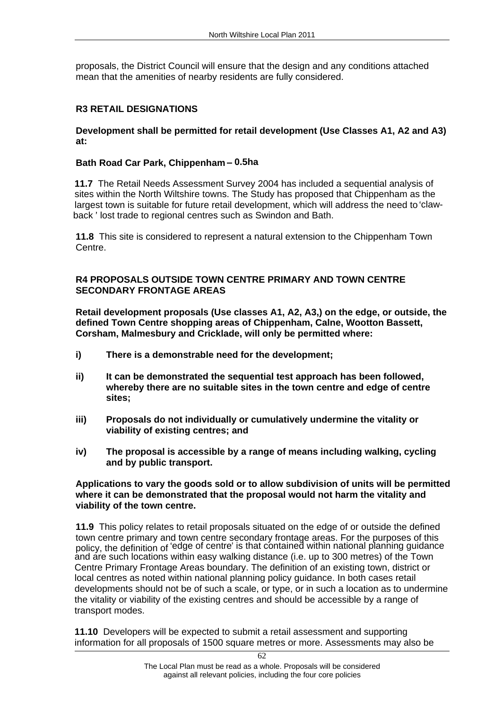proposals, the District Council will ensure that the design and any conditions attached

# mean that the amenities of nearby residents are fully considered.<br>**R3 RETAIL DESIGNATIONS**<br>Development shall be permitted for retail development (Use Classes A1, A2 and A3)

**at:**<br>**Bath Road Car Park, Chippenham – 0.5ha**<br>11.7 The Retail Needs Assessment Survey 2004 has included a sequential analysis of sites within the North Wiltshire towns. The Study has proposed that Chippenham as the largest town is suitable for future retail development, which will address the need to 'clawback ' lost trade to regional centres such as Swindon and Bath.

**11.8** This site is considered to represent a natural extension to the Chippenham Town Centre.

# **R4 PROPOSALS OUTSIDE TOWN CENTRE PRIMARY AND TOWN CENTRE**

Retail development proposals (Use classes A1, A2, A3,) on the edge, or outside, the **defined Town Centre shopping areas of Chippenham, Calne, Wootton Bassett, Corsham, Malmesbury and Cricklade, will only be permitted where:** 

- **i) There is a demonstrable need for the development;**
- **ii) It can be demonstrated the sequential test approach has been followed, whereby there are no suitable sites in the town centre and edge of centre sites;**
- **iii) Proposals do not individually or cumulatively undermine the vitality or viability of existing centres; and**
- **iv) The proposal is accessible by a range of means including walking, cycling and by public transport. Applications to vary the goods sold or to allow subdivision of units will be permitted**

# **where it can be demonstrated that the proposal would not harm the vitality and viability of the town centre.**<br>11.9 This policy relates to retail proposals situated on the edge of or outside the defined

town centre primary and town centre secondary frontage areas. For the purposes of this policy, the definition of edge of centre' is that contained within national planning guidance and are such locations within easy walking distance (i.e. up to 300 metres) of the Town Centre Primary Frontage Areas boundary. The definition of an existing town, district or local centres as noted within national planning policy guidance. In both cases retail developments should not be of such a scale, or type, or in such a location as to undermine the vitality or viability of the existing centres and should be accessible by a range of transport modes.

**11.10** Developers will be expected to submit a retail assessment and supporting information for all proposals of 1500 square metres or more. Assessments may also be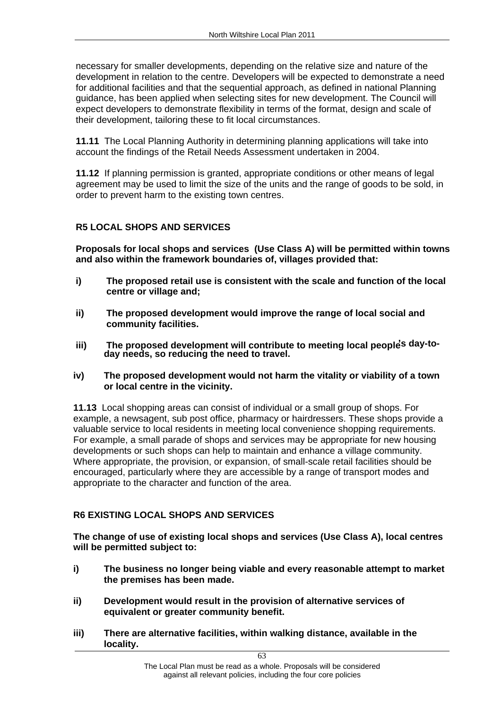necessary for smaller developments, depending on the relative size and nature of the development in relation to the centre. Developers will be expected to demonstrate a need for additional facilities and that the sequential approach, as defined in national Planning guidance, has been applied when selecting sites for new development. The Council will expect developers to demonstrate flexibility in terms of the format, design and scale of their development, tailoring these to fit local circumstances.

**11.11** The Local Planning Authority in determining planning applications will take into account the findings of the Retail Needs Assessment undertaken in 2004.

**11.12** If planning permission is granted, appropriate conditions or other means of legal agreement may be used to limit the size of the units and the range of goods to be sold, in

order to prevent harm to the existing town centres.<br>R5 LOCAL SHOPS AND SERVICES<br>Proposals for local shops and services (Use Class A) will be permitted within towns **and also within the framework boundaries of, villages provided that:** 

- **i) The proposed retail use is consistent with the scale and function of the local centre or village and;**
- **ii) The proposed development would improve the range of local social and community facilities.**
- **iii) The proposed development will contribute to meeting local peoples day-to- day needs, so reducing the need to travel.**
- **iv) The proposed development would not harm the vitality or viability of a town or local centre in the vicinity.**<br>**11.13** Local shopping areas can consist of individual or a small group of shops. For

example, a newsagent, sub post office, pharmacy or hairdressers. These shops provide a valuable service to local residents in meeting local convenience shopping requirements. For example, a small parade of shops and services may be appropriate for new housing developments or such shops can help to maintain and enhance a village community. Where appropriate, the provision, or expansion, of small-scale retail facilities should be encouraged, particularly where they are accessible by a range of transport modes and appropriate to the character and function of the area.

**R6 EXISTING LOCAL SHOPS AND SERVICES The change of use of existing local shops and services (Use Class A), local centres will be permitted subject to:** 

- **i) The business no longer being viable and every reasonable attempt to market the premises has been made.**
- **ii) Development would result in the provision of alternative services of equivalent or greater community benefit.**
- **iii) There are alternative facilities, within walking distance, available in the locality.**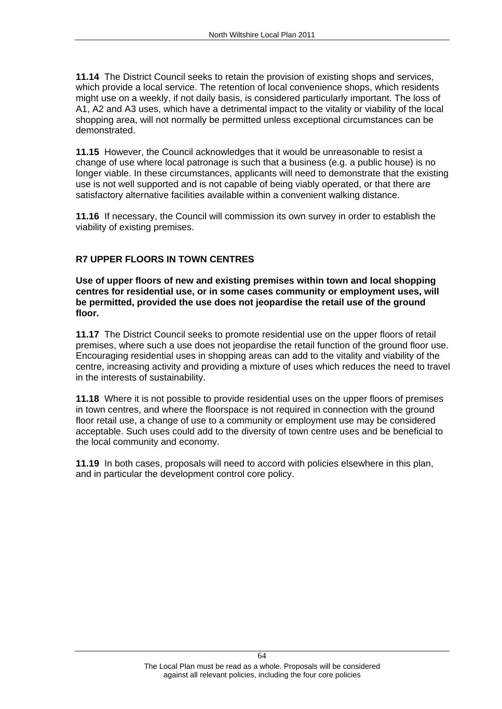**11.14** The District Council seeks to retain the provision of existing shops and services, which provide a local service. The retention of local convenience shops, which residents might use on a weekly, if not daily basis, is considered particularly important. The loss of A1, A2 and A3 uses, which have a detrimental impact to the vitality or viability of the local shopping area, will not normally be permitted unless exceptional circumstances can be demonstrated.

**11.15** However, the Council acknowledges that it would be unreasonable to resist a change of use where local patronage is such that a business (e.g. a public house) is no longer viable. In these circumstances, applicants will need to demonstrate that the existing use is not well supported and is not capable of being viably operated, or that there are satisfactory alternative facilities available within a convenient walking distance.

**11.16** If necessary, the Council will commission its own survey in order to establish the

viability of existing premises.<br>R7 UPPER FLOORS IN TOWN CENTRES<br>Use of upper floors of new and existing premises within town and local shopping **centres for residential use, or in some cases community or employment uses, will be permitted, provided the use does not jeopardise the retail use of the ground floor.**<br>**11.17** The District Council seeks to promote residential use on the upper floors of retail

premises, where such a use does not jeopardise the retail function of the ground floor use. Encouraging residential uses in shopping areas can add to the vitality and viability of the centre, increasing activity and providing a mixture of uses which reduces the need to travel in the interests of sustainability.

**11.18** Where it is not possible to provide residential uses on the upper floors of premises in town centres, and where the floorspace is not required in connection with the ground floor retail use, a change of use to a community or employment use may be considered acceptable. Such uses could add to the diversity of town centre uses and be beneficial to the local community and economy.

**11.19** In both cases, proposals will need to accord with policies elsewhere in this plan, and in particular the development control core policy.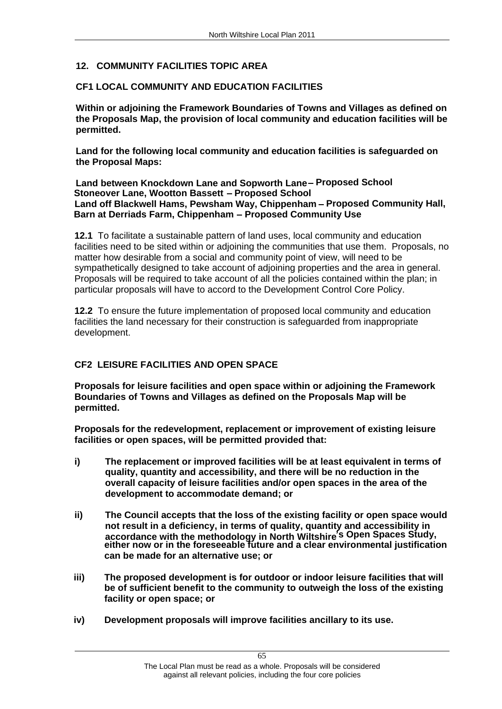# **12. COMMUNITY FACILITIES TOPIC AREA**

**CF1 LOCAL COMMUNITY AND EDUCATION FACILITIES Within or adjoining the Framework Boundaries of Towns and Villages as defined on the Proposals Map, the provision of local community and education facilities will be permitted. Land for the following local community and education facilities is safeguarded on** 

**the Proposal Maps: Land between Knockdown Lane and Sopworth Lane Proposed School**

# **Stoneover Lane, Wootton Bassett - Proposed School** Land off Blackwell Hams, Pewsham Way, Chippenham - Proposed Community Hall, **Barn at Derriads Farm, Chippenham - Proposed Community Use**

**12.1** To facilitate a sustainable pattern of land uses, local community and education facilities need to be sited within or adjoining the communities that use them. Proposals, no matter how desirable from a social and community point of view, will need to be sympathetically designed to take account of adjoining properties and the area in general. Proposals will be required to take account of all the policies contained within the plan; in particular proposals will have to accord to the Development Control Core Policy.

**12.2** To ensure the future implementation of proposed local community and education facilities the land necessary for their construction is safeguarded from inappropriate development.

**CF2 LEISURE FACILITIES AND OPEN SPACE Proposals for leisure facilities and open space within or adjoining the Framework Boundaries of Towns and Villages as defined on the Proposals Map will be permitted. Proposals for the redevelopment, replacement or improvement of existing leisure** 

**facilities or open spaces, will be permitted provided that:** 

- **i) The replacement or improved facilities will be at least equivalent in terms of quality, quantity and accessibility, and there will be no reduction in the overall capacity of leisure facilities and/or open spaces in the area of the development to accommodate demand; or**
- **ii) The Council accepts that the loss of the existing facility or open space would not result in a deficiency, in terms of quality, quantity and accessibility in accordance with the methodology in North Wiltshire s Open Spaces Study, either now or in the foreseeable future and a clear environmental justification can be made for an alternative use; or**
- **iii) The proposed development is for outdoor or indoor leisure facilities that will be of sufficient benefit to the community to outweigh the loss of the existing facility or open space; or**
- **iv) Development proposals will improve facilities ancillary to its use.**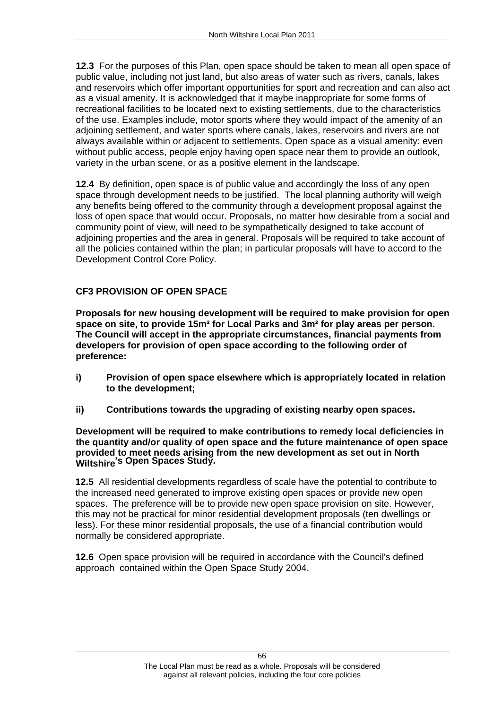**12.3** For the purposes of this Plan, open space should be taken to mean all open space of public value, including not just land, but also areas of water such as rivers, canals, lakes and reservoirs which offer important opportunities for sport and recreation and can also act as a visual amenity. It is acknowledged that it maybe inappropriate for some forms of recreational facilities to be located next to existing settlements, due to the characteristics of the use. Examples include, motor sports where they would impact of the amenity of an adjoining settlement, and water sports where canals, lakes, reservoirs and rivers are not always available within or adjacent to settlements. Open space as a visual amenity: even without public access, people enjoy having open space near them to provide an outlook, variety in the urban scene, or as a positive element in the landscape.

**12.4** By definition, open space is of public value and accordingly the loss of any open space through development needs to be justified. The local planning authority will weigh any benefits being offered to the community through a development proposal against the loss of open space that would occur. Proposals, no matter how desirable from a social and community point of view, will need to be sympathetically designed to take account of adjoining properties and the area in general. Proposals will be required to take account of all the policies contained within the plan; in particular proposals will have to accord to the Development Control Core Policy. **CF3 PROVISION OF OPEN SPACE**

**Proposals for new housing development will be required to make provision for open space on site, to provide 15m² for Local Parks and 3m² for play areas per person. The Council will accept in the appropriate circumstances, financial payments from developers for provision of open space according to the following order of preference:** 

- **i) Provision of open space elsewhere which is appropriately located in relation to the development;**
- 

**ii) Contributions towards the upgrading of existing nearby open spaces. Development will be required to make contributions to remedy local deficiencies in the quantity and/or quality of open space and the future maintenance of open space provided to meet needs arising from the new development as set out in North Wiltshire s Open Spaces Study.**

**12.5** All residential developments regardless of scale have the potential to contribute to the increased need generated to improve existing open spaces or provide new open spaces. The preference will be to provide new open space provision on site. However, this may not be practical for minor residential development proposals (ten dwellings or less). For these minor residential proposals, the use of a financial contribution would normally be considered appropriate.

**12.6** Open space provision will be required in accordance with the Council's defined approach contained within the Open Space Study 2004.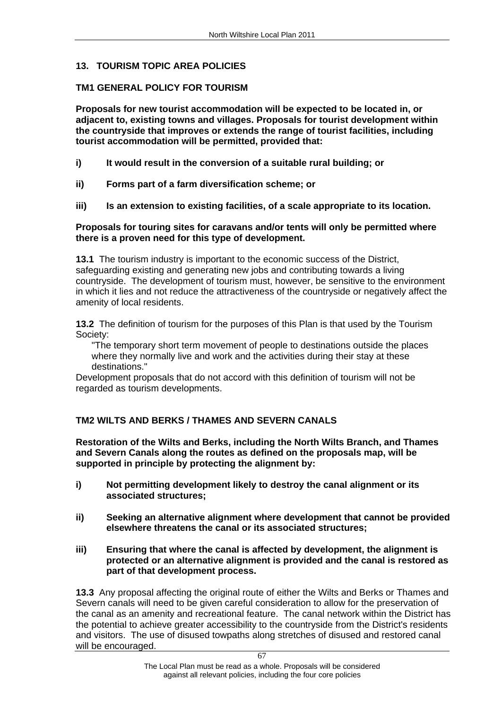# **13. TOURISM TOPIC AREA POLICIES**

**TM1 GENERAL POLICY FOR TOURISM**<br>Proposals for new tourist accommodation will be expected to be located in, or **adjacent to, existing towns and villages. Proposals for tourist development within the countryside that improves or extends the range of tourist facilities, including tourist accommodation will be permitted, provided that:** 

- **i) It would result in the conversion of a suitable rural building; or**
- **ii) Forms part of a farm diversification scheme; or**
- **iii) Is an extension to existing facilities, of a scale appropriate to its location. Proposals for touring sites for caravans and/or tents will only be permitted where**

# **there is a proven need for this type of development.**

**13.1** The tourism industry is important to the economic success of the District, safeguarding existing and generating new jobs and contributing towards a living countryside. The development of tourism must, however, be sensitive to the environment in which it lies and not reduce the attractiveness of the countryside or negatively affect the amenity of local residents.

**13.2** The definition of tourism for the purposes of this Plan is that used by the Tourism Society: "The temporary short term movement of people to destinations outside the places

where they normally live and work and the activities during their stay at these destinations."

Development proposals that do not accord with this definition of tourism will not be regarded as tourism developments.

**TM2 WILTS AND BERKS / THAMES AND SEVERN CANALS Restoration of the Wilts and Berks, including the North Wilts Branch, and Thames and Severn Canals along the routes as defined on the proposals map, will be supported in principle by protecting the alignment by:** 

- **i) Not permitting development likely to destroy the canal alignment or its associated structures;**
- **ii) Seeking an alternative alignment where development that cannot be provided elsewhere threatens the canal or its associated structures;**
- **iii) Ensuring that where the canal is affected by development, the alignment is protected or an alternative alignment is provided and the canal is restored as part of that development process.**

**13.3** Any proposal affecting the original route of either the Wilts and Berks or Thames and Severn canals will need to be given careful consideration to allow for the preservation of the canal as an amenity and recreational feature. The canal network within the District has the potential to achieve greater accessibility to the countryside from the District's residents and visitors. The use of disused towpaths along stretches of disused and restored canal will be encouraged.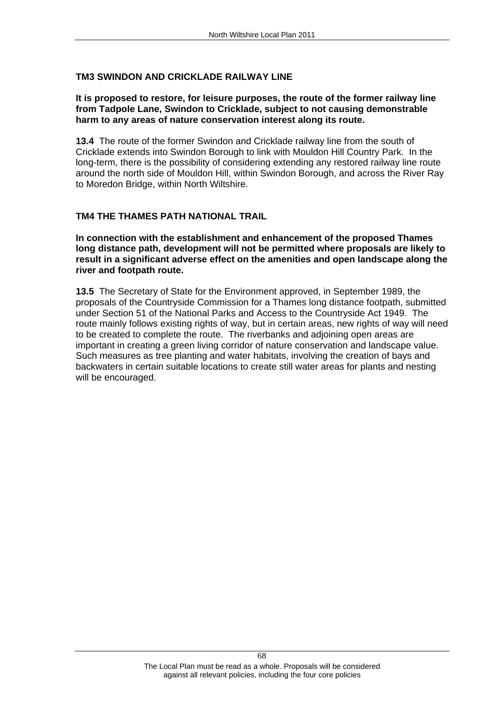# **TM3 SWINDON AND CRICKLADE RAILWAY LINE**

# **It is proposed to restore, for leisure purposes, the route of the former railway line from Tadpole Lane, Swindon to Cricklade, subject to not causing demonstrable harm to any areas of nature conservation interest along its route.**

**13.4** The route of the former Swindon and Cricklade railway line from the south of Cricklade extends into Swindon Borough to link with Mouldon Hill Country Park. In the long-term, there is the possibility of considering extending any restored railway line route around the north side of Mouldon Hill, within Swindon Borough, and across the River Ray to Moredon Bridge, within North Wiltshire.

# **TM4 THE THAMES PATH NATIONAL TRAIL**

**In connection with the establishment and enhancement of the proposed Thames long distance path, development will not be permitted where proposals are likely to result in a significant adverse effect on the amenities and open landscape along the river and footpath route.**<br>**13.5** The Secretary of State for the Environment approved, in September 1989, the

proposals of the Countryside Commission for a Thames long distance footpath, submitted under Section 51 of the National Parks and Access to the Countryside Act 1949. The route mainly follows existing rights of way, but in certain areas, new rights of way will need to be created to complete the route. The riverbanks and adjoining open areas are important in creating a green living corridor of nature conservation and landscape value. Such measures as tree planting and water habitats, involving the creation of bays and backwaters in certain suitable locations to create still water areas for plants and nesting will be encouraged.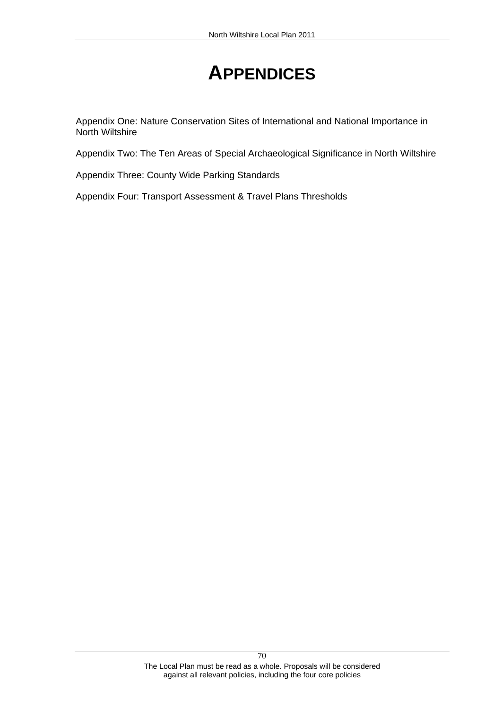# **APPENDICES**

Appendix One: Nature Conservation Sites of International and National Importance in

Appendix Two: The Ten Areas of Special Archaeological Significance in North Wiltshire<br>Appendix Three: County Wide Parking Standards<br>Appendix Four: Transport Assessment & Travel Plans Thresholds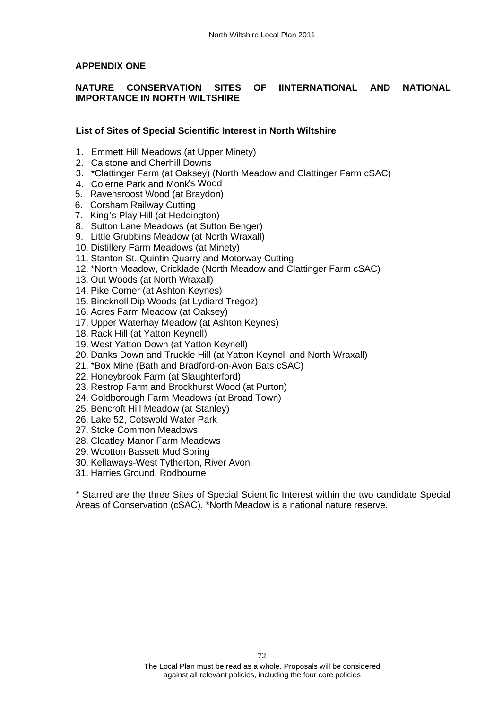# APPENDIX ONE<br>NATURE CONSERVATION SITES OF IINTERNATIONAL AND NATIONAL **IMPORTANCE IN NORTH WILTSHIRE**

# **List of Sites of Special Scientific Interest in North Wiltshire**

- 1. Emmett Hill Meadows (at Upper Minety)
- 2. Calstone and Cherhill Downs
- 3. \*Clattinger Farm (at Oaksey) (North Meadow and Clattinger Farm cSAC)
- 4. Colerne Park and Monk's Wood
- 5. Ravensroost Wood (at Braydon)
- 6. Corsham Railway Cutting
- 7. King's Play Hill (at Heddington)
- 8. Sutton Lane Meadows (at Sutton Benger)
- 9. Little Grubbins Meadow (at North Wraxall)
- 10. Distillery Farm Meadows (at Minety)
- 11. Stanton St. Quintin Quarry and Motorway Cutting
- 12. \*North Meadow, Cricklade (North Meadow and Clattinger Farm cSAC)
- 13. Out Woods (at North Wraxall)
- 14. Pike Corner (at Ashton Keynes)
- 15. Bincknoll Dip Woods (at Lydiard Tregoz)
- 16. Acres Farm Meadow (at Oaksey)
- 17. Upper Waterhay Meadow (at Ashton Keynes)
- 18. Rack Hill (at Yatton Keynell)
- 19. West Yatton Down (at Yatton Keynell)
- 20. Danks Down and Truckle Hill (at Yatton Keynell and North Wraxall)
- 21. \*Box Mine (Bath and Bradford-on-Avon Bats cSAC)
- 22. Honeybrook Farm (at Slaughterford)
- 23. Restrop Farm and Brockhurst Wood (at Purton)
- 24. Goldborough Farm Meadows (at Broad Town)
- 25. Bencroft Hill Meadow (at Stanley)
- 26. Lake 52, Cotswold Water Park
- 27. Stoke Common Meadows
- 28. Cloatley Manor Farm Meadows
- 29. Wootton Bassett Mud Spring
- 30. Kellaways-West Tytherton, River Avon
- 

31. Harries Ground, Rodbourne<br>\* Starred are the three Sites of Special Scientific Interest within the two candidate Special Areas of Conservation (cSAC). \*North Meadow is a national nature reserve.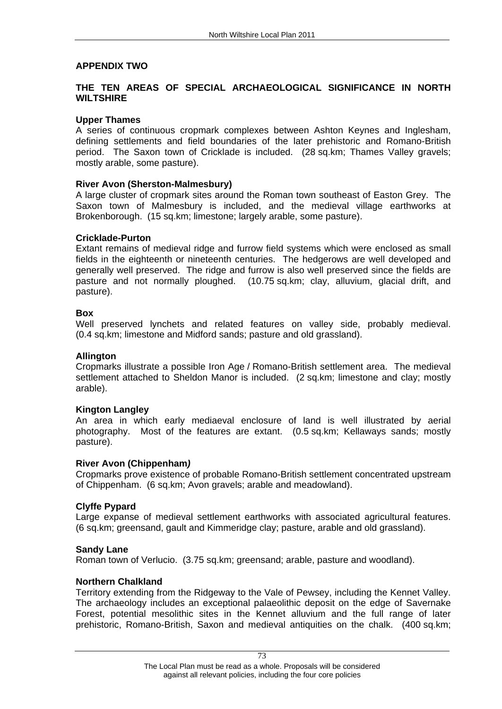# **APPENDIX TWO THE TEN AREAS OF SPECIAL ARCHAEOLOGICAL SIGNIFICANCE IN NORTH WILTSHIRE**

## **Upper Thames**

A series of continuous cropmark complexes between Ashton Keynes and Inglesham, defining settlements and field boundaries of the later prehistoric and Romano-British period. The Saxon town of Cricklade is included. (28 sq.km; Thames Valley gravels; mostly arable, some pasture).

## **River Avon (Sherston-Malmesbury)**

A large cluster of cropmark sites around the Roman town southeast of Easton Grey. The Saxon town of Malmesbury is included, and the medieval village earthworks at Brokenborough. (15 sq.km; limestone; largely arable, some pasture).

# **Cricklade-Purton**

Extant remains of medieval ridge and furrow field systems which were enclosed as small fields in the eighteenth or nineteenth centuries. The hedgerows are well developed and generally well preserved. The ridge and furrow is also well preserved since the fields are pasture and not normally ploughed. (10.75 sq.km; clay, alluvium, glacial drift, and pasture).

## **Box**

Well preserved lynchets and related features on valley side, probably medieval. (0.4 sq.km; limestone and Midford sands; pasture and old grassland).

# **Allington**

Cropmarks illustrate a possible Iron Age / Romano-British settlement area. The medieval settlement attached to Sheldon Manor is included. (2 sq.km; limestone and clay; mostly arable).

## **Kington Langley**

An area in which early mediaeval enclosure of land is well illustrated by aerial photography. Most of the features are extant. (0.5 sq.km; Kellaways sands; mostly pasture).

## **River Avon (Chippenham)**

Cropmarks prove existence of probable Romano-British settlement concentrated upstream of Chippenham. (6 sq.km; Avon gravels; arable and meadowland).

## **Clyffe Pypard**

Large expanse of medieval settlement earthworks with associated agricultural features. (6 sq.km; greensand, gault and Kimmeridge clay; pasture, arable and old grassland).

## **Sandy Lane**

Roman town of Verlucio. (3.75 sq.km; greensand; arable, pasture and woodland).

## **Northern Chalkland**

Territory extending from the Ridgeway to the Vale of Pewsey, including the Kennet Valley. The archaeology includes an exceptional palaeolithic deposit on the edge of Savernake Forest, potential mesolithic sites in the Kennet alluvium and the full range of later prehistoric, Romano-British, Saxon and medieval antiquities on the chalk. (400 sq.km;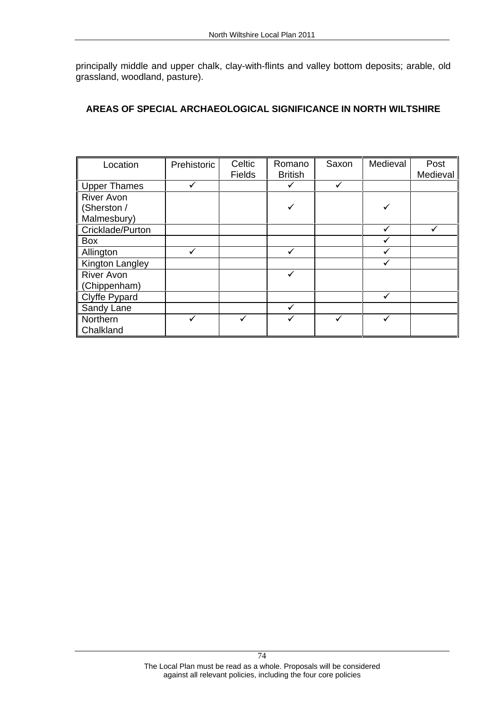|                                                                                              |              |        | North Wiltshire Local Plan 2011 |              |              |              |
|----------------------------------------------------------------------------------------------|--------------|--------|---------------------------------|--------------|--------------|--------------|
|                                                                                              |              |        |                                 |              |              |              |
| principally middle and upper chalk, clay-with-flints and valley bottom deposits; arable, old |              |        |                                 |              |              |              |
| grassland, woodland, pasture).                                                               |              |        |                                 |              |              |              |
|                                                                                              |              |        |                                 |              |              |              |
|                                                                                              |              |        |                                 |              |              |              |
| AREAS OF SPECIAL ARCHAEOLOGICAL SIGNIFICANCE IN NORTH WILTSHIRE                              |              |        |                                 |              |              |              |
|                                                                                              |              |        |                                 |              |              |              |
|                                                                                              |              |        |                                 |              |              |              |
|                                                                                              |              |        |                                 |              |              |              |
| Location                                                                                     | Prehistoric  | Celtic | Romano                          | Saxon        | Medieval     | Post         |
|                                                                                              |              | Fields | <b>British</b>                  |              |              | Medieval     |
|                                                                                              |              |        |                                 |              |              |              |
| Upper Thames                                                                                 | $\checkmark$ |        | $\checkmark$                    | $\checkmark$ |              |              |
| <b>River Avon</b>                                                                            |              |        | $\checkmark$                    |              |              |              |
| (Sherston /                                                                                  |              |        |                                 |              | $\checkmark$ |              |
| Malmesbury)                                                                                  |              |        |                                 |              | $\checkmark$ | $\checkmark$ |
| Cricklade/Purton                                                                             |              |        |                                 |              | $\checkmark$ |              |
| Box                                                                                          | $\checkmark$ |        | $\checkmark$                    |              | $\checkmark$ |              |
| Allington                                                                                    |              |        |                                 |              | $\checkmark$ |              |
| Kington Langley                                                                              |              |        | $\checkmark$                    |              |              |              |
| <b>River Avon</b>                                                                            |              |        |                                 |              |              |              |
| (Chippenham)                                                                                 |              |        |                                 |              | $\checkmark$ |              |
| Clyffe Pypard<br>Sandy Lane                                                                  |              |        | $\checkmark$                    |              |              |              |
|                                                                                              |              |        |                                 |              |              |              |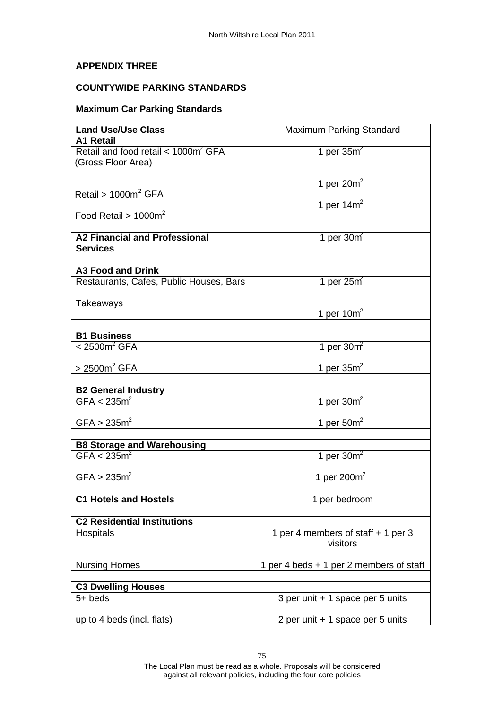# **APPENDIX THREE COUNTYWIDE PARKING STANDARDS Maximum Car Parking Standards**

| <b>Land Use/Use Class</b>                                                                                   | <b>Maximum Parking Standard</b>                |
|-------------------------------------------------------------------------------------------------------------|------------------------------------------------|
| A1 Retail                                                                                                   |                                                |
| Retail and food retail < 1000m <sup>2</sup> GFA<br>(Gross Floor Area)                                       | 1 per $35m^2$                                  |
|                                                                                                             | 1 per $20m^2$                                  |
| $Reta$ il > 1000m <sup>2</sup> GFA                                                                          | 1 per 14 $m2$                                  |
| Food Retail > $1000m^2$                                                                                     |                                                |
|                                                                                                             |                                                |
| A2 Financial and Professional<br>Services                                                                   | 1 per $30m$                                    |
| A3 Food and Drink                                                                                           |                                                |
| Restaurants, Cafes, Public Houses, Bars                                                                     | 1 per $25m$                                    |
|                                                                                                             |                                                |
| Takeaways                                                                                                   | 1 per $10m^2$                                  |
|                                                                                                             |                                                |
| $\begin{array}{ l l }\n\hline\n\textbf{B1 Business} \\ \hline\n\lt2500 \text{m}^2 \text{ GFA}\n\end{array}$ |                                                |
|                                                                                                             | 1 per $30m2$                                   |
| $>2500m^2$ GFA                                                                                              | 1 per $35m^2$                                  |
|                                                                                                             |                                                |
| B2 General Industry<br>$GFA < 235m^2$                                                                       | 1 per $30m^2$                                  |
|                                                                                                             |                                                |
| GFA > 235m <sup>2</sup>                                                                                     | 1 per $50m²$                                   |
|                                                                                                             |                                                |
| <b>B8 Storage and Warehousing</b><br>$GFA < 235m^2$                                                         | 1 per $30m^2$                                  |
| $\text{GFA} > 235 \text{m}^2$                                                                               | 1 per 200 $m2$                                 |
| <b>C1 Hotels and Hostels</b>                                                                                | 1 per bedroom                                  |
|                                                                                                             |                                                |
| <b>C2 Residential Institutions</b>                                                                          |                                                |
| Hospitals                                                                                                   | 1 per 4 members of staff + 1 per 3<br>visitors |
| <b>Nursing Homes</b>                                                                                        | 1 per 4 beds + 1 per 2 members of staff        |
|                                                                                                             |                                                |
| <b>C3 Dwelling Houses</b><br>$5 + \text{beds}$                                                              | 3 per unit + 1 space per 5 units               |
|                                                                                                             |                                                |
| up to 4 beds (incl. flats)                                                                                  | 2 per unit + 1 space per 5 units               |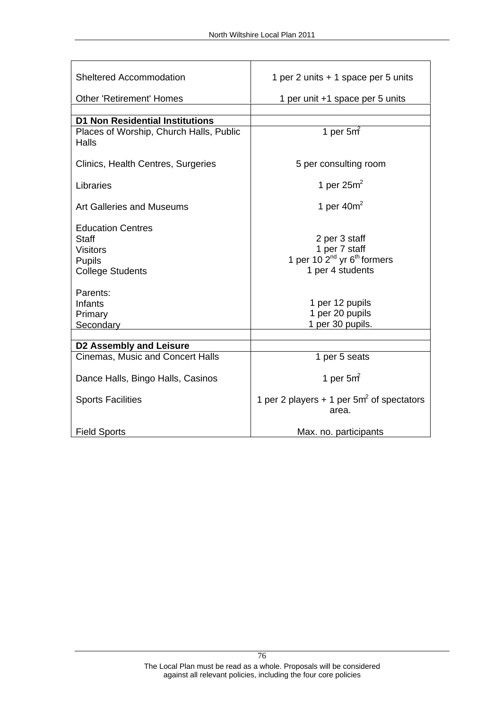| Sheltered Accommodation                          | 1 per 2 units + 1 space per 5 units                                  |
|--------------------------------------------------|----------------------------------------------------------------------|
| Other 'Retirement' Homes                         | 1 per unit +1 space per 5 units                                      |
| <b>D1 Non Residential Institutions</b>           |                                                                      |
|                                                  |                                                                      |
| Places of Worship, Church Halls, Public<br>Halls | 1 per $5m²$                                                          |
| Clinics, Health Centres, Surgeries               | 5 per consulting room                                                |
| Libraries                                        | 1 per $25m^2$                                                        |
| Art Galleries and Museums                        | 1 per $40m^2$                                                        |
|                                                  |                                                                      |
| Education Centres<br>Staff                       | 2 per 3 staff                                                        |
| Visitors                                         |                                                                      |
|                                                  | 1 per 7 staff<br>1 per 10 2 <sup>nd</sup> yr 6 <sup>th</sup> formers |
| Pupils<br>College Students                       | 1 per 4 students                                                     |
|                                                  |                                                                      |
| Parents:                                         |                                                                      |
| Infants                                          |                                                                      |
| Primary                                          | 1 per 12 pupils<br>1 per 20 pupils                                   |
| Secondary                                        | 1 per 30 pupils.                                                     |
| D2 Assembly and Leisure                          |                                                                      |
| Cinemas, Music and Concert Halls                 | 1 per 5 seats                                                        |
|                                                  |                                                                      |
| Dance Halls, Bingo Halls, Casinos                | 1 per 5 $m2$                                                         |
| Sports Facilities                                | 1 per 2 players + 1 per $5m²$ of spectators                          |
|                                                  | area.                                                                |
| Field Sports                                     | Max. no. participants                                                |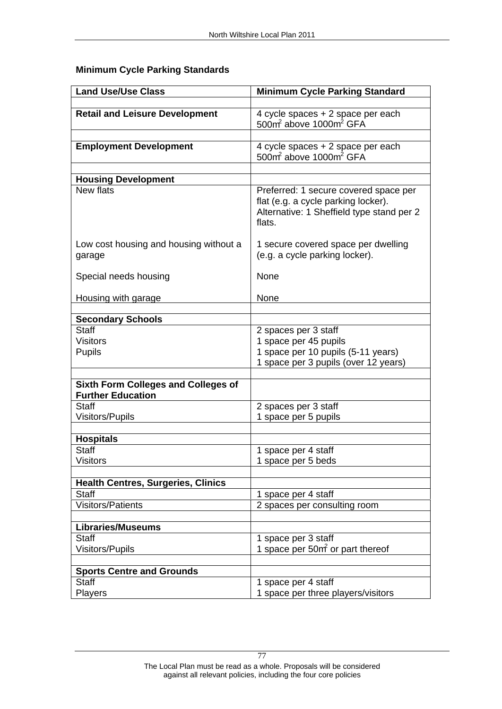| <b>Land Use/Use Class</b>                 | <b>Minimum Cycle Parking Standard</b>                                               |
|-------------------------------------------|-------------------------------------------------------------------------------------|
| <b>Retail and Leisure Development</b>     |                                                                                     |
|                                           | 4 cycle spaces + 2 space per each<br>500m <sup>2</sup> above 1000m <sup>2</sup> GFA |
|                                           |                                                                                     |
| <b>Employment Development</b>             | 4 cycle spaces + 2 space per each<br>500 $\text{m}^2$ above 1000 $\text{m}^2$ GFA   |
|                                           |                                                                                     |
| <b>Housing Development</b>                |                                                                                     |
| New flats                                 | Preferred: 1 secure covered space per                                               |
|                                           | flat (e.g. a cycle parking locker).<br>Alternative: 1 Sheffield type stand per 2    |
|                                           |                                                                                     |
|                                           | flats.                                                                              |
| Low cost housing and housing without a    | 1 secure covered space per dwelling                                                 |
| garage                                    | (e.g. a cycle parking locker).                                                      |
|                                           |                                                                                     |
| Special needs housing                     | None                                                                                |
| Housing with garage                       | None                                                                                |
|                                           |                                                                                     |
| <b>Secondary Schools</b>                  |                                                                                     |
| Staff                                     | 2 spaces per 3 staff<br>1 space per 45 pupils                                       |
| <b>Visitors</b>                           |                                                                                     |
| Pupils                                    | 1 space per 10 pupils (5-11 years)<br>1 space per 3 pupils (over 12 years)          |
|                                           |                                                                                     |
| Sixth Form Colleges and Colleges of       |                                                                                     |
| <b>Further Education</b>                  |                                                                                     |
| <b>Staff</b>                              | 2 spaces per 3 staff                                                                |
| Visitors/Pupils                           | 1 space per 5 pupils                                                                |
| <b>Hospitals</b>                          |                                                                                     |
| <b>Staff</b>                              | 1 space per 4 staff                                                                 |
| Visitors                                  | 1 space per 5 beds                                                                  |
|                                           |                                                                                     |
| Health Centres, Surgeries, Clinics        |                                                                                     |
| Staff<br>Visitors/Patients                | 1 space per 4 staff                                                                 |
|                                           | 2 spaces per consulting room                                                        |
| <b>Libraries/Museums</b>                  |                                                                                     |
| Staff                                     | 1 space per 3 staff<br>1 space per 50m <sup>2</sup> or part thereof                 |
| Visitors/Pupils                           |                                                                                     |
|                                           |                                                                                     |
| <b>Sports Centre and Grounds</b><br>Staff | 1 space per 4 staff                                                                 |
| Players                                   | 1 space per three players/visitors                                                  |
|                                           |                                                                                     |

# **Minimum Cycle Parking Standards**